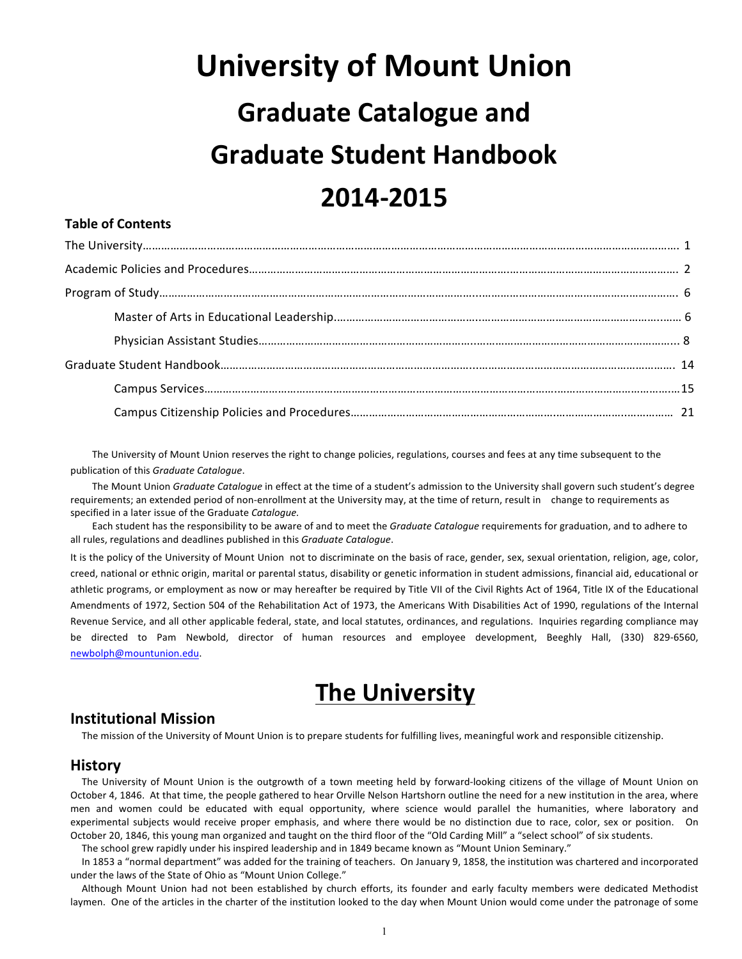# **University of Mount Union Graduate Catalogue and Graduate Student Handbook 2014-2015**

# **Table of Contents**

The University of Mount Union reserves the right to change policies, regulations, courses and fees at any time subsequent to the publication of this *Graduate Catalogue*.

The Mount Union *Graduate Catalogue* in effect at the time of a student's admission to the University shall govern such student's degree requirements; an extended period of non-enrollment at the University may, at the time of return, result in change to requirements as specified in a later issue of the Graduate *Catalogue.*

Each student has the responsibility to be aware of and to meet the *Graduate Catalogue* requirements for graduation, and to adhere to all rules, regulations and deadlines published in this *Graduate Catalogue*.

It is the policy of the University of Mount Union not to discriminate on the basis of race, gender, sex, sexual orientation, religion, age, color, creed, national or ethnic origin, marital or parental status, disability or genetic information in student admissions, financial aid, educational or athletic programs, or employment as now or may hereafter be required by Title VII of the Civil Rights Act of 1964, Title IX of the Educational Amendments of 1972, Section 504 of the Rehabilitation Act of 1973, the Americans With Disabilities Act of 1990, regulations of the Internal Revenue Service, and all other applicable federal, state, and local statutes, ordinances, and regulations. Inquiries regarding compliance may be directed to Pam Newbold, director of human resources and employee development, Beeghly Hall, (330) 829-6560, newbolph@mountunion.edu.

# **The University**

# **Institutional Mission**

The mission of the University of Mount Union is to prepare students for fulfilling lives, meaningful work and responsible citizenship.

# **History**

The University of Mount Union is the outgrowth of a town meeting held by forward-looking citizens of the village of Mount Union on October 4, 1846. At that time, the people gathered to hear Orville Nelson Hartshorn outline the need for a new institution in the area, where men and women could be educated with equal opportunity, where science would parallel the humanities, where laboratory and experimental subjects would receive proper emphasis, and where there would be no distinction due to race, color, sex or position. On October 20, 1846, this young man organized and taught on the third floor of the "Old Carding Mill" a "select school" of six students.

The school grew rapidly under his inspired leadership and in 1849 became known as "Mount Union Seminary."

In 1853 a "normal department" was added for the training of teachers. On January 9, 1858, the institution was chartered and incorporated under the laws of the State of Ohio as "Mount Union College."

Although Mount Union had not been established by church efforts, its founder and early faculty members were dedicated Methodist laymen. One of the articles in the charter of the institution looked to the day when Mount Union would come under the patronage of some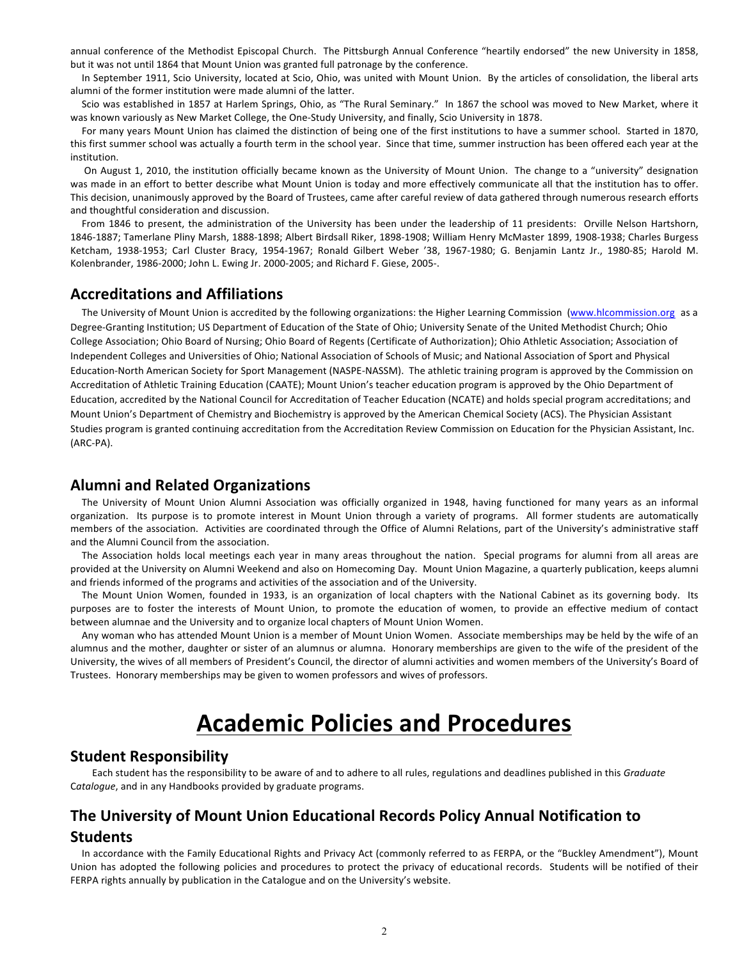annual conference of the Methodist Episcopal Church. The Pittsburgh Annual Conference "heartily endorsed" the new University in 1858, but it was not until 1864 that Mount Union was granted full patronage by the conference.

In September 1911, Scio University, located at Scio, Ohio, was united with Mount Union. By the articles of consolidation, the liberal arts alumni of the former institution were made alumni of the latter.

Scio was established in 1857 at Harlem Springs, Ohio, as "The Rural Seminary." In 1867 the school was moved to New Market, where it was known variously as New Market College, the One-Study University, and finally, Scio University in 1878.

For many years Mount Union has claimed the distinction of being one of the first institutions to have a summer school. Started in 1870, this first summer school was actually a fourth term in the school year. Since that time, summer instruction has been offered each year at the institution.

On August 1, 2010, the institution officially became known as the University of Mount Union. The change to a "university" designation was made in an effort to better describe what Mount Union is today and more effectively communicate all that the institution has to offer. This decision, unanimously approved by the Board of Trustees, came after careful review of data gathered through numerous research efforts and thoughtful consideration and discussion.

From 1846 to present, the administration of the University has been under the leadership of 11 presidents: Orville Nelson Hartshorn, 1846-1887; Tamerlane Pliny Marsh, 1888-1898; Albert Birdsall Riker, 1898-1908; William Henry McMaster 1899, 1908-1938; Charles Burgess Ketcham, 1938-1953; Carl Cluster Bracy, 1954-1967; Ronald Gilbert Weber '38, 1967-1980; G. Benjamin Lantz Jr., 1980-85; Harold M. Kolenbrander, 1986-2000; John L. Ewing Jr. 2000-2005; and Richard F. Giese, 2005-.

# **Accreditations and Affiliations**

The University of Mount Union is accredited by the following organizations: the Higher Learning Commission (www.hlcommission.org as a Degree-Granting Institution; US Department of Education of the State of Ohio; University Senate of the United Methodist Church; Ohio College Association; Ohio Board of Nursing; Ohio Board of Regents (Certificate of Authorization); Ohio Athletic Association; Association of Independent Colleges and Universities of Ohio; National Association of Schools of Music; and National Association of Sport and Physical Education-North American Society for Sport Management (NASPE-NASSM). The athletic training program is approved by the Commission on Accreditation of Athletic Training Education (CAATE); Mount Union's teacher education program is approved by the Ohio Department of Education, accredited by the National Council for Accreditation of Teacher Education (NCATE) and holds special program accreditations; and Mount Union's Department of Chemistry and Biochemistry is approved by the American Chemical Society (ACS). The Physician Assistant Studies program is granted continuing accreditation from the Accreditation Review Commission on Education for the Physician Assistant, Inc. (ARC-PA).

# **Alumni and Related Organizations**

The University of Mount Union Alumni Association was officially organized in 1948, having functioned for many years as an informal organization. Its purpose is to promote interest in Mount Union through a variety of programs. All former students are automatically members of the association. Activities are coordinated through the Office of Alumni Relations, part of the University's administrative staff and the Alumni Council from the association.

The Association holds local meetings each year in many areas throughout the nation. Special programs for alumni from all areas are provided at the University on Alumni Weekend and also on Homecoming Day. Mount Union Magazine, a quarterly publication, keeps alumni and friends informed of the programs and activities of the association and of the University.

The Mount Union Women, founded in 1933, is an organization of local chapters with the National Cabinet as its governing body. Its purposes are to foster the interests of Mount Union, to promote the education of women, to provide an effective medium of contact between alumnae and the University and to organize local chapters of Mount Union Women.

Any woman who has attended Mount Union is a member of Mount Union Women. Associate memberships may be held by the wife of an alumnus and the mother, daughter or sister of an alumnus or alumna. Honorary memberships are given to the wife of the president of the University, the wives of all members of President's Council, the director of alumni activities and women members of the University's Board of Trustees. Honorary memberships may be given to women professors and wives of professors.

# **Academic Policies and Procedures**

# **Student Responsibility**

Each student has the responsibility to be aware of and to adhere to all rules, regulations and deadlines published in this *Graduate* C*atalogue*, and in any Handbooks provided by graduate programs.

# **The University of Mount Union Educational Records Policy Annual Notification to Students**

In accordance with the Family Educational Rights and Privacy Act (commonly referred to as FERPA, or the "Buckley Amendment"), Mount Union has adopted the following policies and procedures to protect the privacy of educational records. Students will be notified of their FERPA rights annually by publication in the Catalogue and on the University's website.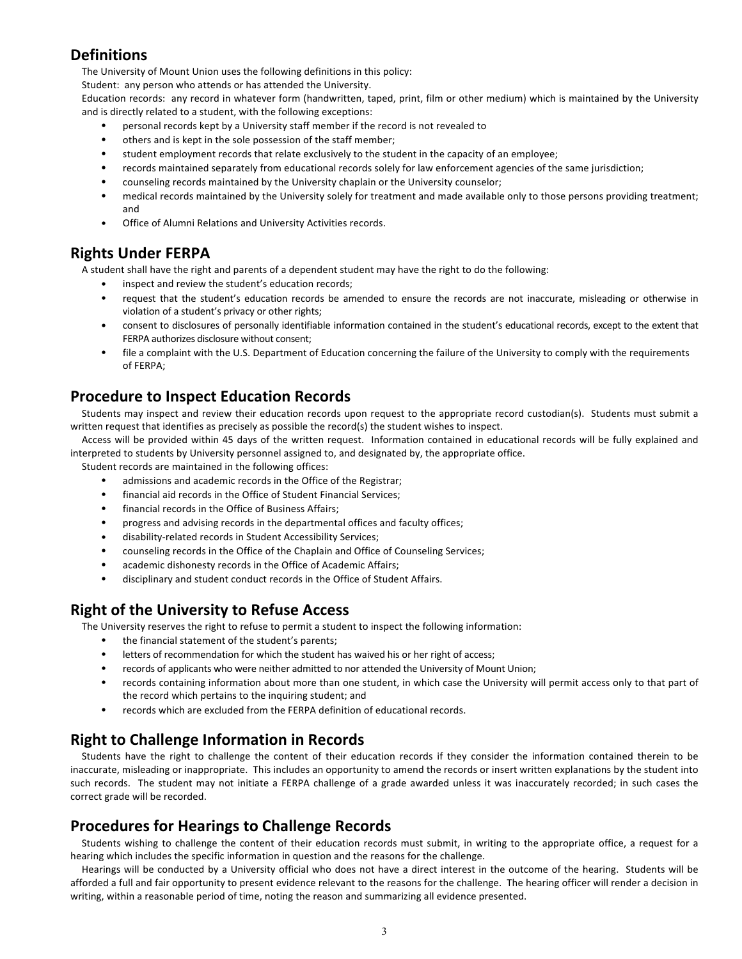# **Definitions**

The University of Mount Union uses the following definitions in this policy:

Student: any person who attends or has attended the University.

Education records: any record in whatever form (handwritten, taped, print, film or other medium) which is maintained by the University and is directly related to a student, with the following exceptions:

- personal records kept by a University staff member if the record is not revealed to
- others and is kept in the sole possession of the staff member;
- student employment records that relate exclusively to the student in the capacity of an employee;
- records maintained separately from educational records solely for law enforcement agencies of the same jurisdiction;
- counseling records maintained by the University chaplain or the University counselor;
- medical records maintained by the University solely for treatment and made available only to those persons providing treatment; and
- Office of Alumni Relations and University Activities records.

# **Rights Under FERPA**

A student shall have the right and parents of a dependent student may have the right to do the following:

- inspect and review the student's education records;
- request that the student's education records be amended to ensure the records are not inaccurate, misleading or otherwise in violation of a student's privacy or other rights;
- consent to disclosures of personally identifiable information contained in the student's educational records, except to the extent that FERPA authorizes disclosure without consent;
- file a complaint with the U.S. Department of Education concerning the failure of the University to comply with the requirements of FERPA;

# **Procedure to Inspect Education Records**

Students may inspect and review their education records upon request to the appropriate record custodian(s). Students must submit a written request that identifies as precisely as possible the record(s) the student wishes to inspect.

Access will be provided within 45 days of the written request. Information contained in educational records will be fully explained and interpreted to students by University personnel assigned to, and designated by, the appropriate office.

Student records are maintained in the following offices:

- admissions and academic records in the Office of the Registrar;
- financial aid records in the Office of Student Financial Services;
- financial records in the Office of Business Affairs:
- progress and advising records in the departmental offices and faculty offices;
- disability-related records in Student Accessibility Services;
- counseling records in the Office of the Chaplain and Office of Counseling Services;
- academic dishonesty records in the Office of Academic Affairs;
- disciplinary and student conduct records in the Office of Student Affairs.

# **Right of the University to Refuse Access**

The University reserves the right to refuse to permit a student to inspect the following information:

- the financial statement of the student's parents;
- letters of recommendation for which the student has waived his or her right of access;
- records of applicants who were neither admitted to nor attended the University of Mount Union;
- records containing information about more than one student, in which case the University will permit access only to that part of the record which pertains to the inquiring student; and
- records which are excluded from the FERPA definition of educational records.

# **Right to Challenge Information in Records**

Students have the right to challenge the content of their education records if they consider the information contained therein to be inaccurate, misleading or inappropriate. This includes an opportunity to amend the records or insert written explanations by the student into such records. The student may not initiate a FERPA challenge of a grade awarded unless it was inaccurately recorded; in such cases the correct grade will be recorded.

# **Procedures for Hearings to Challenge Records**

Students wishing to challenge the content of their education records must submit, in writing to the appropriate office, a request for a hearing which includes the specific information in question and the reasons for the challenge.

Hearings will be conducted by a University official who does not have a direct interest in the outcome of the hearing. Students will be afforded a full and fair opportunity to present evidence relevant to the reasons for the challenge. The hearing officer will render a decision in writing, within a reasonable period of time, noting the reason and summarizing all evidence presented.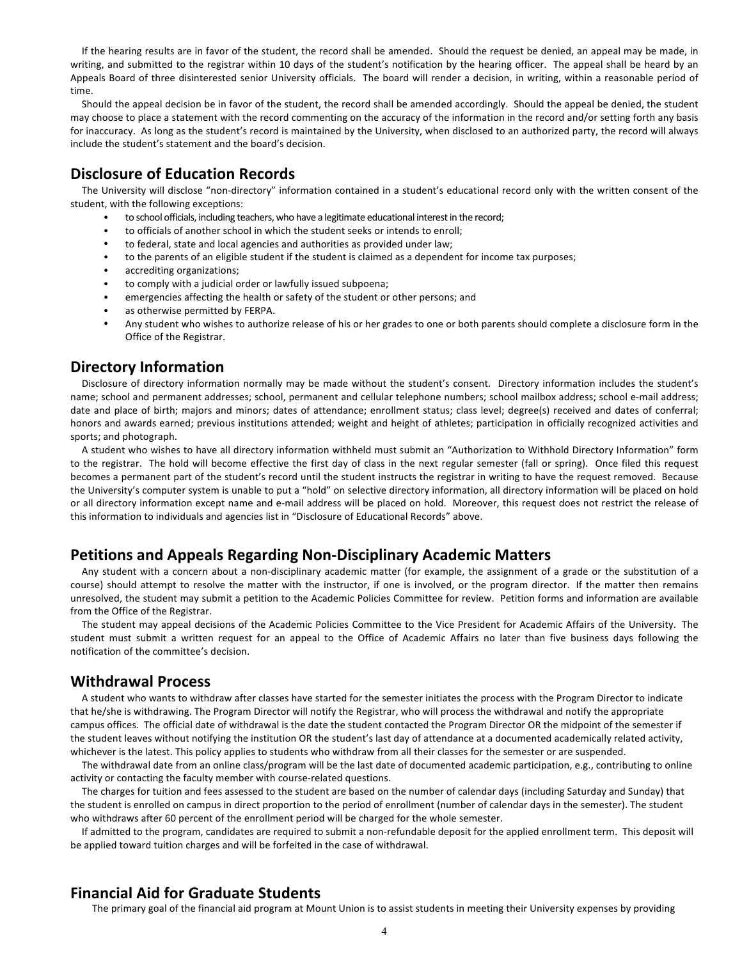If the hearing results are in favor of the student, the record shall be amended. Should the request be denied, an appeal may be made, in writing, and submitted to the registrar within 10 days of the student's notification by the hearing officer. The appeal shall be heard by an Appeals Board of three disinterested senior University officials. The board will render a decision, in writing, within a reasonable period of time.

Should the appeal decision be in favor of the student, the record shall be amended accordingly. Should the appeal be denied, the student may choose to place a statement with the record commenting on the accuracy of the information in the record and/or setting forth any basis for inaccuracy. As long as the student's record is maintained by the University, when disclosed to an authorized party, the record will always include the student's statement and the board's decision.

# **Disclosure of Education Records**

The University will disclose "non-directory" information contained in a student's educational record only with the written consent of the student, with the following exceptions:

- to school officials, including teachers, who have a legitimate educational interest in the record;
- to officials of another school in which the student seeks or intends to enroll:
- to federal, state and local agencies and authorities as provided under law;
- to the parents of an eligible student if the student is claimed as a dependent for income tax purposes;
- accrediting organizations;
- to comply with a judicial order or lawfully issued subpoena;
- emergencies affecting the health or safety of the student or other persons; and
- as otherwise permitted by FERPA.
- Any student who wishes to authorize release of his or her grades to one or both parents should complete a disclosure form in the Office of the Registrar.

# **Directory Information**

Disclosure of directory information normally may be made without the student's consent. Directory information includes the student's name; school and permanent addresses; school, permanent and cellular telephone numbers; school mailbox address; school e-mail address; date and place of birth; majors and minors; dates of attendance; enrollment status; class level; degree(s) received and dates of conferral; honors and awards earned; previous institutions attended; weight and height of athletes; participation in officially recognized activities and sports; and photograph.

A student who wishes to have all directory information withheld must submit an "Authorization to Withhold Directory Information" form to the registrar. The hold will become effective the first day of class in the next regular semester (fall or spring). Once filed this request becomes a permanent part of the student's record until the student instructs the registrar in writing to have the request removed. Because the University's computer system is unable to put a "hold" on selective directory information, all directory information will be placed on hold or all directory information except name and e-mail address will be placed on hold. Moreover, this request does not restrict the release of this information to individuals and agencies list in "Disclosure of Educational Records" above.

# **Petitions and Appeals Regarding Non-Disciplinary Academic Matters**

Any student with a concern about a non-disciplinary academic matter (for example, the assignment of a grade or the substitution of a course) should attempt to resolve the matter with the instructor, if one is involved, or the program director. If the matter then remains unresolved, the student may submit a petition to the Academic Policies Committee for review. Petition forms and information are available from the Office of the Registrar.

The student may appeal decisions of the Academic Policies Committee to the Vice President for Academic Affairs of the University. The student must submit a written request for an appeal to the Office of Academic Affairs no later than five business days following the notification of the committee's decision.

# **Withdrawal Process**

A student who wants to withdraw after classes have started for the semester initiates the process with the Program Director to indicate that he/she is withdrawing. The Program Director will notify the Registrar, who will process the withdrawal and notify the appropriate campus offices. The official date of withdrawal is the date the student contacted the Program Director OR the midpoint of the semester if the student leaves without notifying the institution OR the student's last day of attendance at a documented academically related activity, whichever is the latest. This policy applies to students who withdraw from all their classes for the semester or are suspended.

The withdrawal date from an online class/program will be the last date of documented academic participation, e.g., contributing to online activity or contacting the faculty member with course-related questions.

The charges for tuition and fees assessed to the student are based on the number of calendar days (including Saturday and Sunday) that the student is enrolled on campus in direct proportion to the period of enrollment (number of calendar days in the semester). The student who withdraws after 60 percent of the enrollment period will be charged for the whole semester.

If admitted to the program, candidates are required to submit a non-refundable deposit for the applied enrollment term. This deposit will be applied toward tuition charges and will be forfeited in the case of withdrawal.

# **Financial Aid for Graduate Students**

The primary goal of the financial aid program at Mount Union is to assist students in meeting their University expenses by providing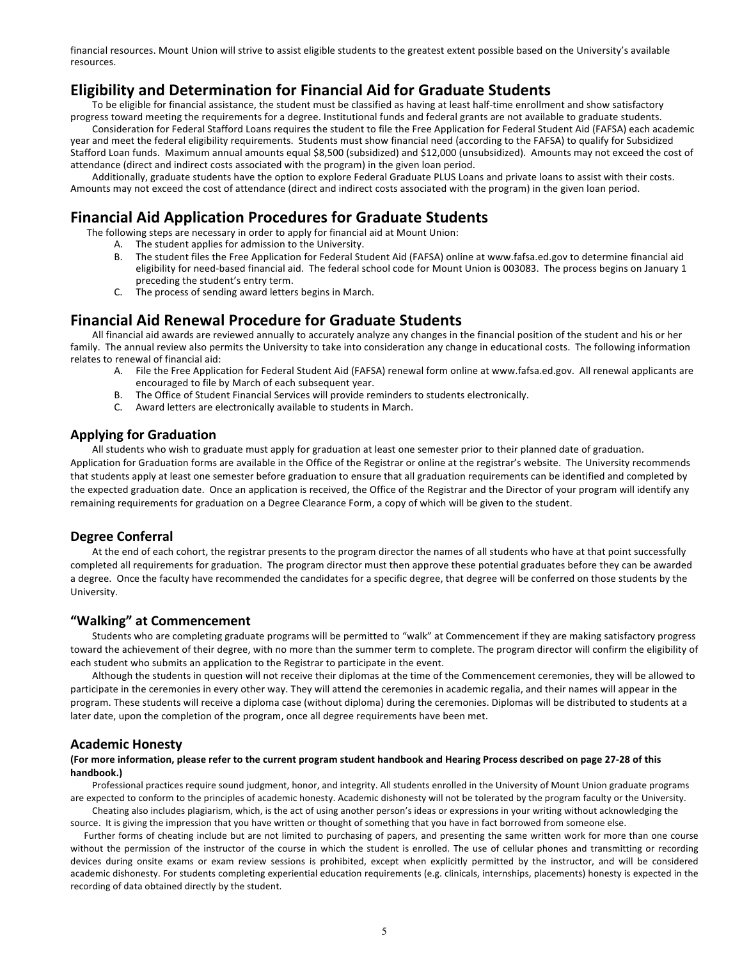financial resources. Mount Union will strive to assist eligible students to the greatest extent possible based on the University's available resources.

# **Eligibility and Determination for Financial Aid for Graduate Students**

To be eligible for financial assistance, the student must be classified as having at least half-time enrollment and show satisfactory progress toward meeting the requirements for a degree. Institutional funds and federal grants are not available to graduate students.

Consideration for Federal Stafford Loans requires the student to file the Free Application for Federal Student Aid (FAFSA) each academic year and meet the federal eligibility requirements. Students must show financial need (according to the FAFSA) to qualify for Subsidized Stafford Loan funds. Maximum annual amounts equal \$8,500 (subsidized) and \$12,000 (unsubsidized). Amounts may not exceed the cost of attendance (direct and indirect costs associated with the program) in the given loan period.

Additionally, graduate students have the option to explore Federal Graduate PLUS Loans and private loans to assist with their costs. Amounts may not exceed the cost of attendance (direct and indirect costs associated with the program) in the given loan period.

# **Financial Aid Application Procedures for Graduate Students**

The following steps are necessary in order to apply for financial aid at Mount Union:

- A. The student applies for admission to the University.
- B. The student files the Free Application for Federal Student Aid (FAFSA) online at www.fafsa.ed.gov to determine financial aid eligibility for need-based financial aid. The federal school code for Mount Union is 003083. The process begins on January 1 preceding the student's entry term.
- C. The process of sending award letters begins in March.

# **Financial Aid Renewal Procedure for Graduate Students**

All financial aid awards are reviewed annually to accurately analyze any changes in the financial position of the student and his or her family. The annual review also permits the University to take into consideration any change in educational costs. The following information relates to renewal of financial aid:

- A. File the Free Application for Federal Student Aid (FAFSA) renewal form online at www.fafsa.ed.gov. All renewal applicants are encouraged to file by March of each subsequent year.
- B. The Office of Student Financial Services will provide reminders to students electronically.
- C. Award letters are electronically available to students in March.

# **Applying for Graduation**

All students who wish to graduate must apply for graduation at least one semester prior to their planned date of graduation.

Application for Graduation forms are available in the Office of the Registrar or online at the registrar's website. The University recommends that students apply at least one semester before graduation to ensure that all graduation requirements can be identified and completed by the expected graduation date. Once an application is received, the Office of the Registrar and the Director of your program will identify any remaining requirements for graduation on a Degree Clearance Form, a copy of which will be given to the student.

# **Degree Conferral**

At the end of each cohort, the registrar presents to the program director the names of all students who have at that point successfully completed all requirements for graduation. The program director must then approve these potential graduates before they can be awarded a degree. Once the faculty have recommended the candidates for a specific degree, that degree will be conferred on those students by the University.

# **"Walking" at Commencement**

Students who are completing graduate programs will be permitted to "walk" at Commencement if they are making satisfactory progress toward the achievement of their degree, with no more than the summer term to complete. The program director will confirm the eligibility of each student who submits an application to the Registrar to participate in the event.

Although the students in question will not receive their diplomas at the time of the Commencement ceremonies, they will be allowed to participate in the ceremonies in every other way. They will attend the ceremonies in academic regalia, and their names will appear in the program. These students will receive a diploma case (without diploma) during the ceremonies. Diplomas will be distributed to students at a later date, upon the completion of the program, once all degree requirements have been met.

# **Academic Honesty**

### (For more information, please refer to the current program student handbook and Hearing Process described on page 27-28 of this **handbook.)**

Professional practices require sound judgment, honor, and integrity. All students enrolled in the University of Mount Union graduate programs are expected to conform to the principles of academic honesty. Academic dishonesty will not be tolerated by the program faculty or the University. Cheating also includes plagiarism, which, is the act of using another person's ideas or expressions in your writing without acknowledging the

source. It is giving the impression that you have written or thought of something that you have in fact borrowed from someone else.

Further forms of cheating include but are not limited to purchasing of papers, and presenting the same written work for more than one course without the permission of the instructor of the course in which the student is enrolled. The use of cellular phones and transmitting or recording devices during onsite exams or exam review sessions is prohibited, except when explicitly permitted by the instructor, and will be considered academic dishonesty. For students completing experiential education requirements (e.g. clinicals, internships, placements) honesty is expected in the recording of data obtained directly by the student.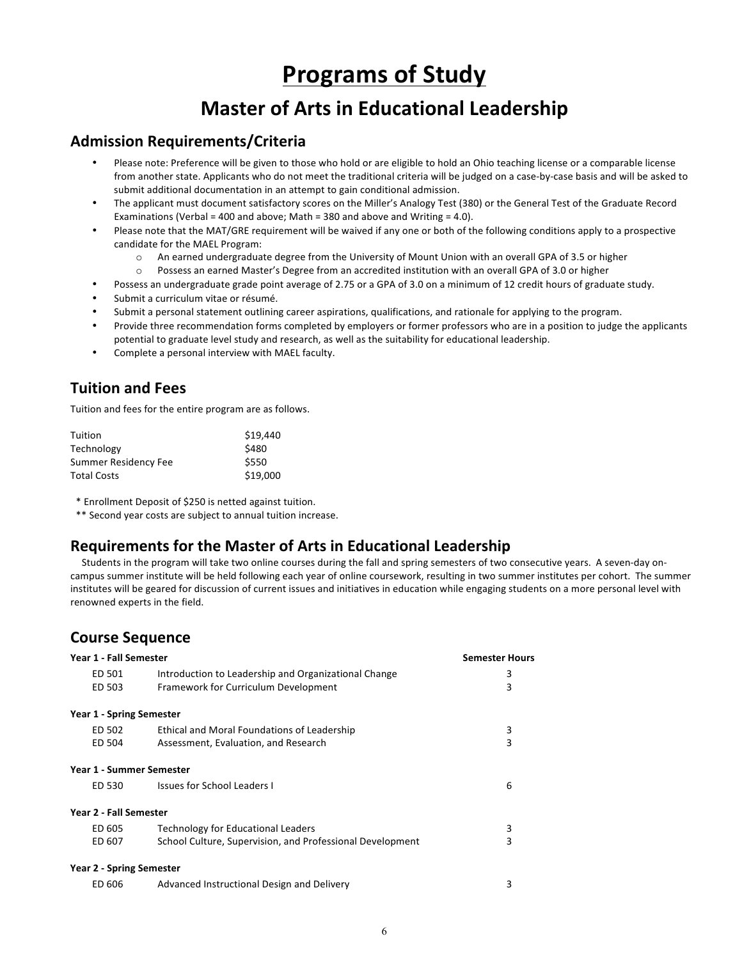# **Programs of Study**

# **Master of Arts in Educational Leadership**

# **Admission Requirements/Criteria**

- Please note: Preference will be given to those who hold or are eligible to hold an Ohio teaching license or a comparable license from another state. Applicants who do not meet the traditional criteria will be judged on a case-by-case basis and will be asked to submit additional documentation in an attempt to gain conditional admission.
- The applicant must document satisfactory scores on the Miller's Analogy Test (380) or the General Test of the Graduate Record Examinations (Verbal = 400 and above; Math = 380 and above and Writing = 4.0).
- Please note that the MAT/GRE requirement will be waived if any one or both of the following conditions apply to a prospective candidate for the MAEL Program:
	- $\circ$  An earned undergraduate degree from the University of Mount Union with an overall GPA of 3.5 or higher
	- $\circ$  Possess an earned Master's Degree from an accredited institution with an overall GPA of 3.0 or higher
- Possess an undergraduate grade point average of 2.75 or a GPA of 3.0 on a minimum of 12 credit hours of graduate study.
- Submit a curriculum vitae or résumé.
- Submit a personal statement outlining career aspirations, qualifications, and rationale for applying to the program.
- Provide three recommendation forms completed by employers or former professors who are in a position to judge the applicants potential to graduate level study and research, as well as the suitability for educational leadership.
- Complete a personal interview with MAEL faculty.

# **Tuition and Fees**

Tuition and fees for the entire program are as follows.

| Tuition              | \$19,440 |
|----------------------|----------|
| Technology           | \$480    |
| Summer Residency Fee | \$550    |
| <b>Total Costs</b>   | \$19,000 |

\* Enrollment Deposit of \$250 is netted against tuition.

\*\* Second year costs are subject to annual tuition increase.

# **Requirements for the Master of Arts in Educational Leadership**

Students in the program will take two online courses during the fall and spring semesters of two consecutive years. A seven-day oncampus summer institute will be held following each year of online coursework, resulting in two summer institutes per cohort. The summer institutes will be geared for discussion of current issues and initiatives in education while engaging students on a more personal level with renowned experts in the field.

# **Course Sequence**

| Year 1 - Fall Semester          |                                                           | <b>Semester Hours</b> |
|---------------------------------|-----------------------------------------------------------|-----------------------|
| ED 501                          | Introduction to Leadership and Organizational Change      | 3                     |
| ED 503                          | Framework for Curriculum Development                      | 3                     |
| <b>Year 1 - Spring Semester</b> |                                                           |                       |
| ED 502                          | Ethical and Moral Foundations of Leadership               | 3                     |
| ED 504                          | Assessment, Evaluation, and Research                      | 3                     |
| Year 1 - Summer Semester        |                                                           |                       |
| ED 530                          | <b>Issues for School Leaders I</b>                        | 6                     |
| Year 2 - Fall Semester          |                                                           |                       |
| ED 605                          | <b>Technology for Educational Leaders</b>                 | 3                     |
| ED 607                          | School Culture, Supervision, and Professional Development | 3                     |
| <b>Year 2 - Spring Semester</b> |                                                           |                       |
| ED 606                          | Advanced Instructional Design and Delivery                | 3                     |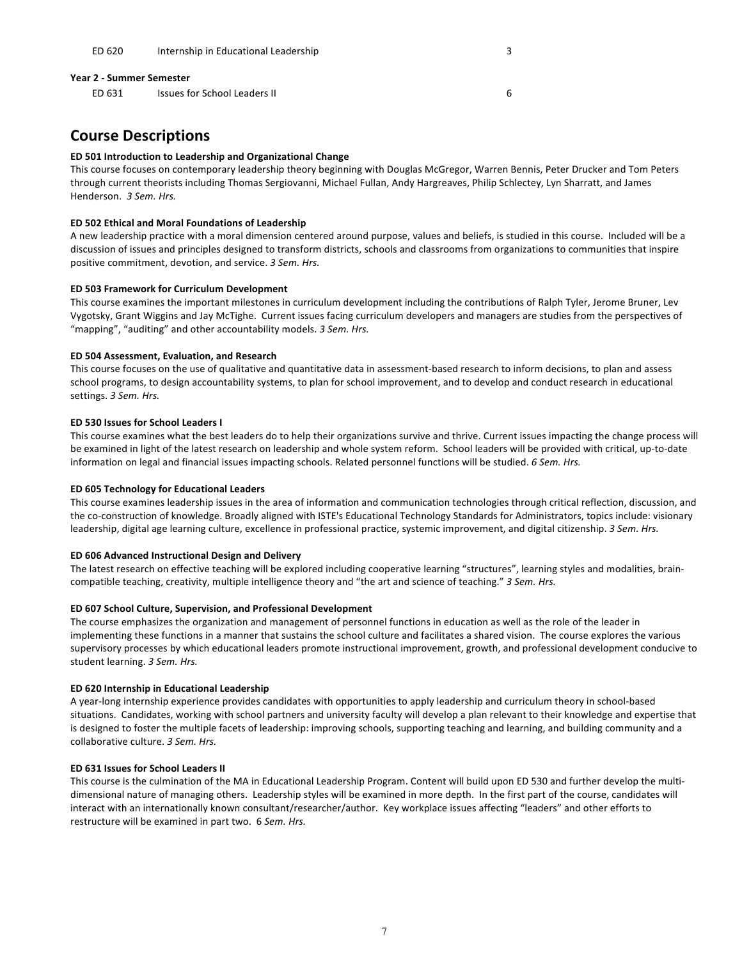#### **Year 2 - Summer Semester**

ED 631 Issues for School Leaders II 6

# **Course Descriptions**

#### **ED 501 Introduction to Leadership and Organizational Change**

This course focuses on contemporary leadership theory beginning with Douglas McGregor, Warren Bennis, Peter Drucker and Tom Peters through current theorists including Thomas Sergiovanni, Michael Fullan, Andy Hargreaves, Philip Schlectey, Lyn Sharratt, and James Henderson. *3 Sem. Hrs.*

#### **ED 502 Ethical and Moral Foundations of Leadership**

A new leadership practice with a moral dimension centered around purpose, values and beliefs, is studied in this course. Included will be a discussion of issues and principles designed to transform districts, schools and classrooms from organizations to communities that inspire positive commitment, devotion, and service. *3 Sem. Hrs.*

#### **ED 503 Framework for Curriculum Development**

This course examines the important milestones in curriculum development including the contributions of Ralph Tyler, Jerome Bruner, Lev Vygotsky, Grant Wiggins and Jay McTighe. Current issues facing curriculum developers and managers are studies from the perspectives of "mapping", "auditing" and other accountability models. 3 Sem. Hrs.

#### **ED 504 Assessment, Evaluation, and Research**

This course focuses on the use of qualitative and quantitative data in assessment-based research to inform decisions, to plan and assess school programs, to design accountability systems, to plan for school improvement, and to develop and conduct research in educational settings. *3 Sem. Hrs.*

#### **ED 530 Issues for School Leaders I**

This course examines what the best leaders do to help their organizations survive and thrive. Current issues impacting the change process will be examined in light of the latest research on leadership and whole system reform. School leaders will be provided with critical, up-to-date information on legal and financial issues impacting schools. Related personnel functions will be studied. *6 Sem. Hrs.* 

#### **ED 605 Technology for Educational Leaders**

This course examines leadership issues in the area of information and communication technologies through critical reflection, discussion, and the co-construction of knowledge. Broadly aligned with ISTE's Educational Technology Standards for Administrators, topics include: visionary leadership, digital age learning culture, excellence in professional practice, systemic improvement, and digital citizenship. 3 Sem. Hrs.

#### **ED 606 Advanced Instructional Design and Delivery**

The latest research on effective teaching will be explored including cooperative learning "structures", learning styles and modalities, braincompatible teaching, creativity, multiple intelligence theory and "the art and science of teaching." 3 Sem. Hrs.

## **ED 607 School Culture, Supervision, and Professional Development**

The course emphasizes the organization and management of personnel functions in education as well as the role of the leader in implementing these functions in a manner that sustains the school culture and facilitates a shared vision. The course explores the various supervisory processes by which educational leaders promote instructional improvement, growth, and professional development conducive to student learning. *3 Sem. Hrs.*

#### **ED 620 Internship in Educational Leadership**

A year-long internship experience provides candidates with opportunities to apply leadership and curriculum theory in school-based situations. Candidates, working with school partners and university faculty will develop a plan relevant to their knowledge and expertise that is designed to foster the multiple facets of leadership: improving schools, supporting teaching and learning, and building community and a collaborative culture. *3 Sem. Hrs.*

#### **ED 631 Issues for School Leaders II**

This course is the culmination of the MA in Educational Leadership Program. Content will build upon ED 530 and further develop the multidimensional nature of managing others. Leadership styles will be examined in more depth. In the first part of the course, candidates will interact with an internationally known consultant/researcher/author. Key workplace issues affecting "leaders" and other efforts to restructure will be examined in part two. 6 Sem. Hrs.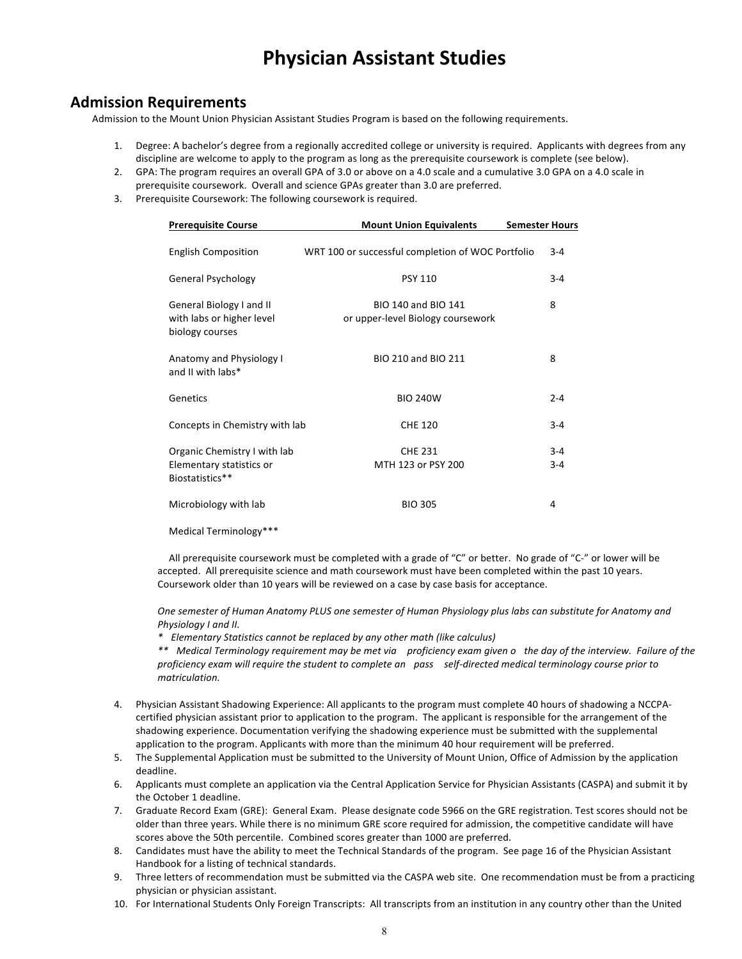# **Physician Assistant Studies**

# **Admission Requirements**

Admission to the Mount Union Physician Assistant Studies Program is based on the following requirements.

- 1. Degree: A bachelor's degree from a regionally accredited college or university is required. Applicants with degrees from any discipline are welcome to apply to the program as long as the prerequisite coursework is complete (see below).
- 2. GPA: The program requires an overall GPA of 3.0 or above on a 4.0 scale and a cumulative 3.0 GPA on a 4.0 scale in prerequisite coursework. Overall and science GPAs greater than 3.0 are preferred.
- 3. Prerequisite Coursework: The following coursework is required.

| <b>Prerequisite Course</b>                                                  | <b>Mount Union Equivalents</b>                           | <b>Semester Hours</b> |
|-----------------------------------------------------------------------------|----------------------------------------------------------|-----------------------|
| <b>English Composition</b>                                                  | WRT 100 or successful completion of WOC Portfolio        | $3 - 4$               |
| <b>General Psychology</b>                                                   | <b>PSY 110</b>                                           | $3 - 4$               |
| General Biology I and II<br>with labs or higher level<br>biology courses    | BIO 140 and BIO 141<br>or upper-level Biology coursework | 8                     |
| Anatomy and Physiology I<br>and II with labs*                               | BIO 210 and BIO 211                                      | 8                     |
| Genetics                                                                    | <b>BIO 240W</b>                                          | $2 - 4$               |
| Concepts in Chemistry with lab                                              | <b>CHE 120</b>                                           | $3 - 4$               |
| Organic Chemistry I with lab<br>Elementary statistics or<br>Biostatistics** | <b>CHE 231</b><br>MTH 123 or PSY 200                     | $3 - 4$<br>$3 - 4$    |
| Microbiology with lab                                                       | <b>BIO 305</b>                                           | 4                     |
|                                                                             |                                                          |                       |

Medical Terminology\*\*\*

All prerequisite coursework must be completed with a grade of "C" or better. No grade of "C-" or lower will be accepted. All prerequisite science and math coursework must have been completed within the past 10 years. Coursework older than 10 years will be reviewed on a case by case basis for acceptance.

*One semester of Human Anatomy PLUS one semester of Human Physiology plus labs can substitute for Anatomy and Physiology I and II.*

*\* Elementary Statistics cannot be replaced by any other math (like calculus)*

*\*\* Medical Terminology requirement may be met via proficiency exam given o the day of the interview. Failure of the* proficiency exam will require the student to complete an pass self-directed medical terminology course prior to *matriculation.*

- 4. Physician Assistant Shadowing Experience: All applicants to the program must complete 40 hours of shadowing a NCCPAcertified physician assistant prior to application to the program. The applicant is responsible for the arrangement of the shadowing experience. Documentation verifying the shadowing experience must be submitted with the supplemental application to the program. Applicants with more than the minimum 40 hour requirement will be preferred.
- 5. The Supplemental Application must be submitted to the University of Mount Union, Office of Admission by the application deadline.
- 6. Applicants must complete an application via the Central Application Service for Physician Assistants (CASPA) and submit it by the October 1 deadline.
- 7. Graduate Record Exam (GRE): General Exam. Please designate code 5966 on the GRE registration. Test scores should not be older than three years. While there is no minimum GRE score required for admission, the competitive candidate will have scores above the 50th percentile. Combined scores greater than 1000 are preferred.
- 8. Candidates must have the ability to meet the Technical Standards of the program. See page 16 of the Physician Assistant Handbook for a listing of technical standards.
- 9. Three letters of recommendation must be submitted via the CASPA web site. One recommendation must be from a practicing physician or physician assistant.
- 10. For International Students Only Foreign Transcripts: All transcripts from an institution in any country other than the United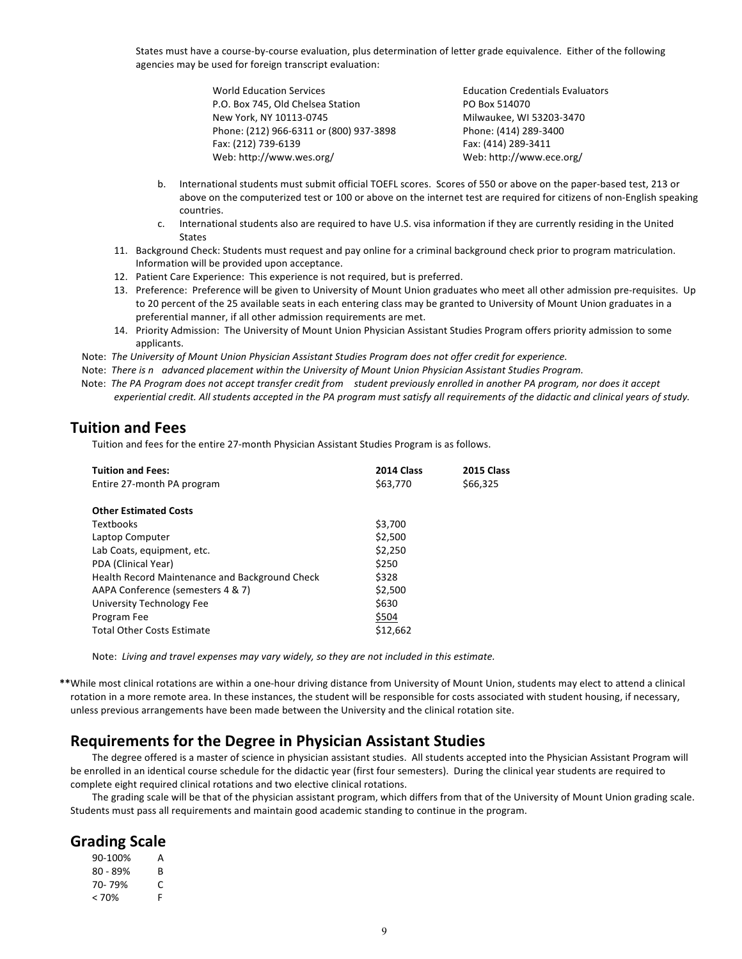States must have a course-by-course evaluation, plus determination of letter grade equivalence. Either of the following agencies may be used for foreign transcript evaluation:

| <b>World Education Services</b>         | <b>Education Credentials Evaluators</b> |
|-----------------------------------------|-----------------------------------------|
| P.O. Box 745, Old Chelsea Station       | PO Box 514070                           |
| New York, NY 10113-0745                 | Milwaukee, WI 53203-3470                |
| Phone: (212) 966-6311 or (800) 937-3898 | Phone: (414) 289-3400                   |
| Fax: (212) 739-6139                     | Fax: (414) 289-3411                     |
| Web: http://www.wes.org/                | Web: http://www.ece.org/                |

- b. International students must submit official TOEFL scores. Scores of 550 or above on the paper-based test, 213 or above on the computerized test or 100 or above on the internet test are required for citizens of non-English speaking countries.
- c. International students also are required to have U.S. visa information if they are currently residing in the United States
- 11. Background Check: Students must request and pay online for a criminal background check prior to program matriculation. Information will be provided upon acceptance.
- 12. Patient Care Experience: This experience is not required, but is preferred.
- 13. Preference: Preference will be given to University of Mount Union graduates who meet all other admission pre-requisites. Up to 20 percent of the 25 available seats in each entering class may be granted to University of Mount Union graduates in a preferential manner, if all other admission requirements are met.
- 14. Priority Admission: The University of Mount Union Physician Assistant Studies Program offers priority admission to some applicants.

Note: The University of Mount Union Physician Assistant Studies Program does not offer credit for experience.

Note: There is n advanced placement within the University of Mount Union Physician Assistant Studies Program.

Note: The PA Program does not accept transfer credit from student previously enrolled in another PA program, nor does it accept *experiential credit. All students accepted in the PA program must satisfy all requirements of the didactic and clinical years of study.*

# **Tuition and Fees**

Tuition and fees for the entire 27-month Physician Assistant Studies Program is as follows.

| <b>Tuition and Fees:</b><br>Entire 27-month PA program | 2014 Class<br>\$63,770 | 2015 Class<br>\$66,325 |
|--------------------------------------------------------|------------------------|------------------------|
| <b>Other Estimated Costs</b>                           |                        |                        |
| Textbooks                                              | \$3,700                |                        |
| Laptop Computer                                        | \$2,500                |                        |
| Lab Coats, equipment, etc.                             | \$2,250                |                        |
| PDA (Clinical Year)                                    | \$250                  |                        |
| Health Record Maintenance and Background Check         | \$328                  |                        |
| AAPA Conference (semesters 4 & 7)                      | \$2,500                |                        |
| University Technology Fee                              | \$630                  |                        |
| Program Fee                                            | \$504                  |                        |
| <b>Total Other Costs Estimate</b>                      | \$12.662               |                        |

Note: Living and travel expenses may vary widely, so they are not included in this estimate.

**\*\***While most clinical rotations are within a one-hour driving distance from University of Mount Union, students may elect to attend a clinical rotation in a more remote area. In these instances, the student will be responsible for costs associated with student housing, if necessary, unless previous arrangements have been made between the University and the clinical rotation site.

# **Requirements for the Degree in Physician Assistant Studies**

The degree offered is a master of science in physician assistant studies. All students accepted into the Physician Assistant Program will be enrolled in an identical course schedule for the didactic year (first four semesters). During the clinical year students are required to complete eight required clinical rotations and two elective clinical rotations.

The grading scale will be that of the physician assistant program, which differs from that of the University of Mount Union grading scale. Students must pass all requirements and maintain good academic standing to continue in the program.

# **Grading Scale**

| 90-100%    | А  |
|------------|----|
| $80 - 89%$ | R  |
| 70-79%     | C  |
| < 70%      | F. |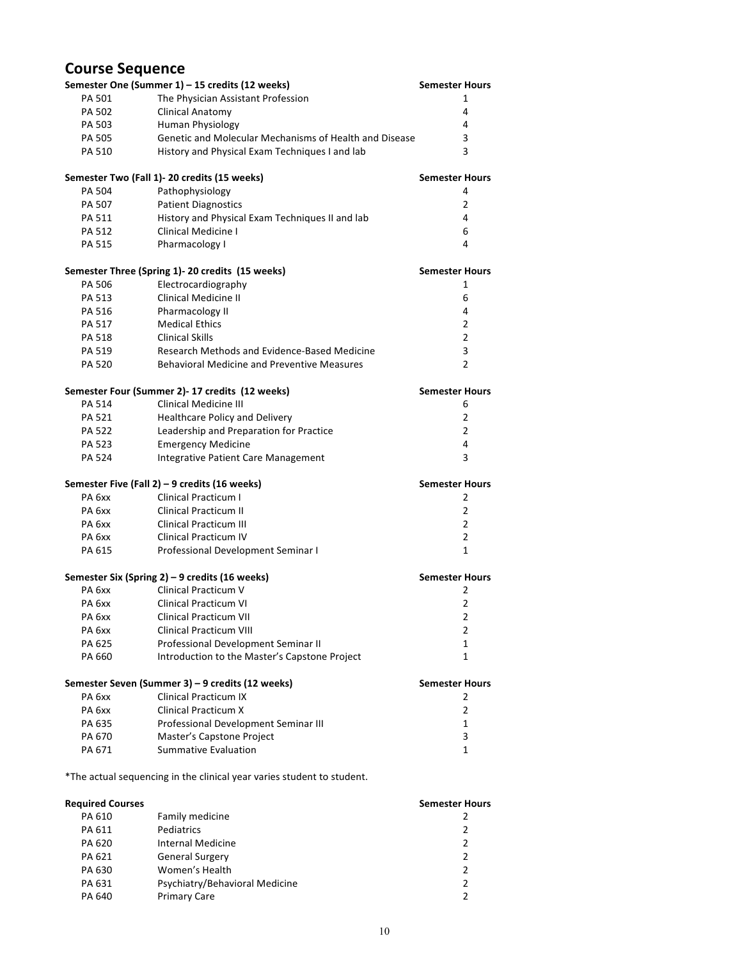# **Course Sequence**

|                   | Semester One (Summer 1) - 15 credits (12 weeks)                        | <b>Semester Hours</b> |
|-------------------|------------------------------------------------------------------------|-----------------------|
| <b>PA 501</b>     | The Physician Assistant Profession                                     | 1                     |
| PA 502            | <b>Clinical Anatomy</b>                                                | 4                     |
| PA 503            | Human Physiology                                                       | 4                     |
| PA 505            | Genetic and Molecular Mechanisms of Health and Disease                 | 3                     |
| PA 510            | History and Physical Exam Techniques I and lab                         | 3                     |
|                   | Semester Two (Fall 1)-20 credits (15 weeks)                            | <b>Semester Hours</b> |
| PA 504            | Pathophysiology                                                        | 4                     |
| PA 507            | <b>Patient Diagnostics</b>                                             | 2                     |
| PA 511            | History and Physical Exam Techniques II and lab                        | 4                     |
| PA 512            | Clinical Medicine I                                                    | 6                     |
| PA 515            | Pharmacology I                                                         | 4                     |
|                   | Semester Three (Spring 1)- 20 credits (15 weeks)                       | <b>Semester Hours</b> |
| PA 506            | Electrocardiography                                                    | 1                     |
| PA 513            | <b>Clinical Medicine II</b>                                            | 6                     |
| PA 516            | Pharmacology II                                                        | 4                     |
| PA 517            | <b>Medical Ethics</b>                                                  | 2                     |
| PA 518            | <b>Clinical Skills</b>                                                 | $\overline{2}$        |
| PA 519            | Research Methods and Evidence-Based Medicine                           | 3                     |
| PA 520            | <b>Behavioral Medicine and Preventive Measures</b>                     | $\overline{2}$        |
|                   | Semester Four (Summer 2)- 17 credits (12 weeks)                        | <b>Semester Hours</b> |
| PA 514            | <b>Clinical Medicine III</b>                                           | 6                     |
| PA 521            | Healthcare Policy and Delivery                                         | 2                     |
| PA 522            | Leadership and Preparation for Practice                                | $\overline{2}$        |
| PA 523            | <b>Emergency Medicine</b>                                              | 4                     |
| PA 524            | Integrative Patient Care Management                                    | 3                     |
|                   | Semester Five (Fall 2) - 9 credits (16 weeks)                          | <b>Semester Hours</b> |
| PA 6xx            | <b>Clinical Practicum I</b>                                            | 2                     |
| PA <sub>6xx</sub> | <b>Clinical Practicum II</b>                                           | 2                     |
| PA 6xx            | <b>Clinical Practicum III</b>                                          | 2                     |
| PA 6xx            | <b>Clinical Practicum IV</b>                                           | 2                     |
| PA 615            | Professional Development Seminar I                                     | 1                     |
|                   | Semester Six (Spring 2) - 9 credits (16 weeks)                         | <b>Semester Hours</b> |
| PA 6xx            | Clinical Practicum V                                                   | 2                     |
| PA <sub>6xx</sub> | <b>Clinical Practicum VI</b>                                           | 2                     |
| РА 6хх            | Clinical Practicum VII                                                 | 2                     |
| PA 6xx            | Clinical Practicum VIII                                                | 2                     |
| PA 625            | Professional Development Seminar II                                    | 1                     |
| PA 660            | Introduction to the Master's Capstone Project                          | 1                     |
|                   | Semester Seven (Summer 3) - 9 credits (12 weeks)                       | <b>Semester Hours</b> |
| PA <sub>6xx</sub> | <b>Clinical Practicum IX</b>                                           | 2                     |
| PA <sub>6xx</sub> | <b>Clinical Practicum X</b>                                            | 2                     |
| PA 635            | Professional Development Seminar III                                   | 1                     |
| PA 670            | Master's Capstone Project                                              | 3                     |
| PA 671            | <b>Summative Evaluation</b>                                            | 1                     |
|                   | *The actual sequencing in the clinical year varies student to student. |                       |

| <b>Required Courses</b> |                                | <b>Semester Hours</b> |
|-------------------------|--------------------------------|-----------------------|
| PA 610                  | Family medicine                | 2                     |
| PA 611                  | Pediatrics                     | 2                     |
| PA 620                  | <b>Internal Medicine</b>       | 2                     |
| PA 621                  | <b>General Surgery</b>         | 2                     |
| PA 630                  | Women's Health                 | $\mathcal{P}$         |
| PA 631                  | Psychiatry/Behavioral Medicine | 2                     |
| PA 640                  | <b>Primary Care</b>            | $\mathcal{P}$         |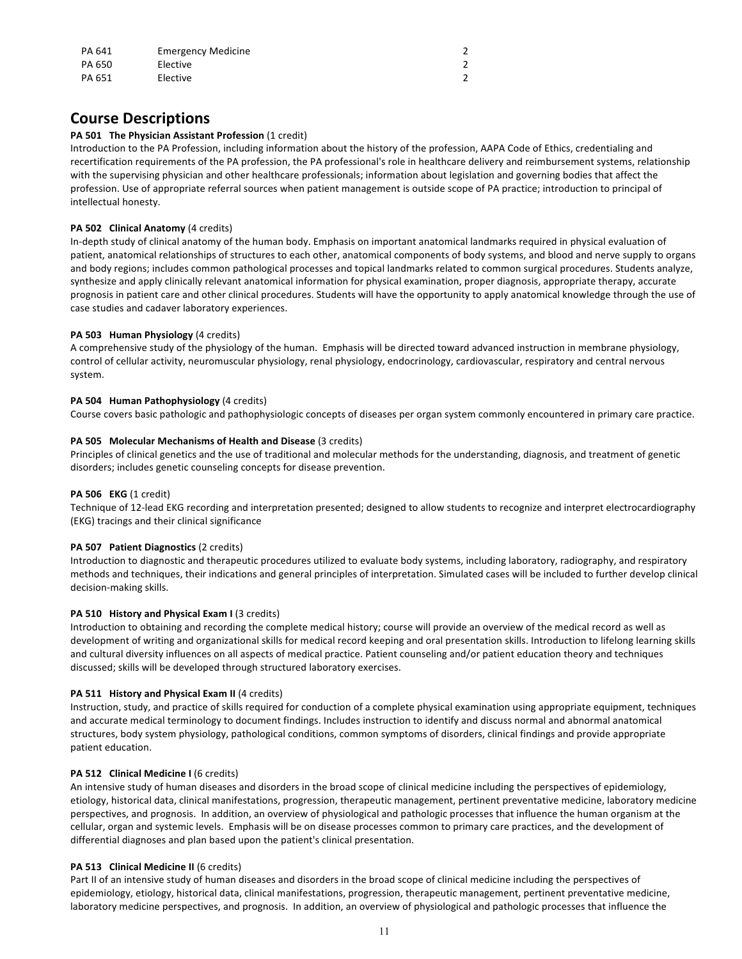| PA 641 | <b>Emergency Medicine</b> |               |
|--------|---------------------------|---------------|
| PA 650 | Elective                  |               |
| PA 651 | Elective                  | $\mathfrak z$ |

# **Course Descriptions**

# **PA 501 The Physician Assistant Profession** (1 credit)

Introduction to the PA Profession, including information about the history of the profession, AAPA Code of Ethics, credentialing and recertification requirements of the PA profession, the PA professional's role in healthcare delivery and reimbursement systems, relationship with the supervising physician and other healthcare professionals; information about legislation and governing bodies that affect the profession. Use of appropriate referral sources when patient management is outside scope of PA practice; introduction to principal of intellectual honesty.

## **PA 502 Clinical Anatomy** (4 credits)

In-depth study of clinical anatomy of the human body. Emphasis on important anatomical landmarks required in physical evaluation of patient, anatomical relationships of structures to each other, anatomical components of body systems, and blood and nerve supply to organs and body regions; includes common pathological processes and topical landmarks related to common surgical procedures. Students analyze, synthesize and apply clinically relevant anatomical information for physical examination, proper diagnosis, appropriate therapy, accurate prognosis in patient care and other clinical procedures. Students will have the opportunity to apply anatomical knowledge through the use of case studies and cadaver laboratory experiences.

# **PA 503 Human Physiology** (4 credits)

A comprehensive study of the physiology of the human. Emphasis will be directed toward advanced instruction in membrane physiology, control of cellular activity, neuromuscular physiology, renal physiology, endocrinology, cardiovascular, respiratory and central nervous system.

## **PA 504 Human Pathophysiology** (4 credits)

Course covers basic pathologic and pathophysiologic concepts of diseases per organ system commonly encountered in primary care practice.

## **PA 505 Molecular Mechanisms of Health and Disease** (3 credits)

Principles of clinical genetics and the use of traditional and molecular methods for the understanding, diagnosis, and treatment of genetic disorders; includes genetic counseling concepts for disease prevention.

### **PA 506 EKG** (1 credit)

Technique of 12-lead EKG recording and interpretation presented; designed to allow students to recognize and interpret electrocardiography (EKG) tracings and their clinical significance

### **PA 507 Patient Diagnostics** (2 credits)

Introduction to diagnostic and therapeutic procedures utilized to evaluate body systems, including laboratory, radiography, and respiratory methods and techniques, their indications and general principles of interpretation. Simulated cases will be included to further develop clinical decision-making skills.

### **PA 510 History and Physical Exam I** (3 credits)

Introduction to obtaining and recording the complete medical history; course will provide an overview of the medical record as well as development of writing and organizational skills for medical record keeping and oral presentation skills. Introduction to lifelong learning skills and cultural diversity influences on all aspects of medical practice. Patient counseling and/or patient education theory and techniques discussed; skills will be developed through structured laboratory exercises.

# **PA 511 History and Physical Exam II** (4 credits)

Instruction, study, and practice of skills required for conduction of a complete physical examination using appropriate equipment, techniques and accurate medical terminology to document findings. Includes instruction to identify and discuss normal and abnormal anatomical structures, body system physiology, pathological conditions, common symptoms of disorders, clinical findings and provide appropriate patient education.

# **PA 512 Clinical Medicine I** (6 credits)

An intensive study of human diseases and disorders in the broad scope of clinical medicine including the perspectives of epidemiology, etiology, historical data, clinical manifestations, progression, therapeutic management, pertinent preventative medicine, laboratory medicine perspectives, and prognosis. In addition, an overview of physiological and pathologic processes that influence the human organism at the cellular, organ and systemic levels. Emphasis will be on disease processes common to primary care practices, and the development of differential diagnoses and plan based upon the patient's clinical presentation.

# **PA 513 Clinical Medicine II** (6 credits)

Part II of an intensive study of human diseases and disorders in the broad scope of clinical medicine including the perspectives of epidemiology, etiology, historical data, clinical manifestations, progression, therapeutic management, pertinent preventative medicine, laboratory medicine perspectives, and prognosis. In addition, an overview of physiological and pathologic processes that influence the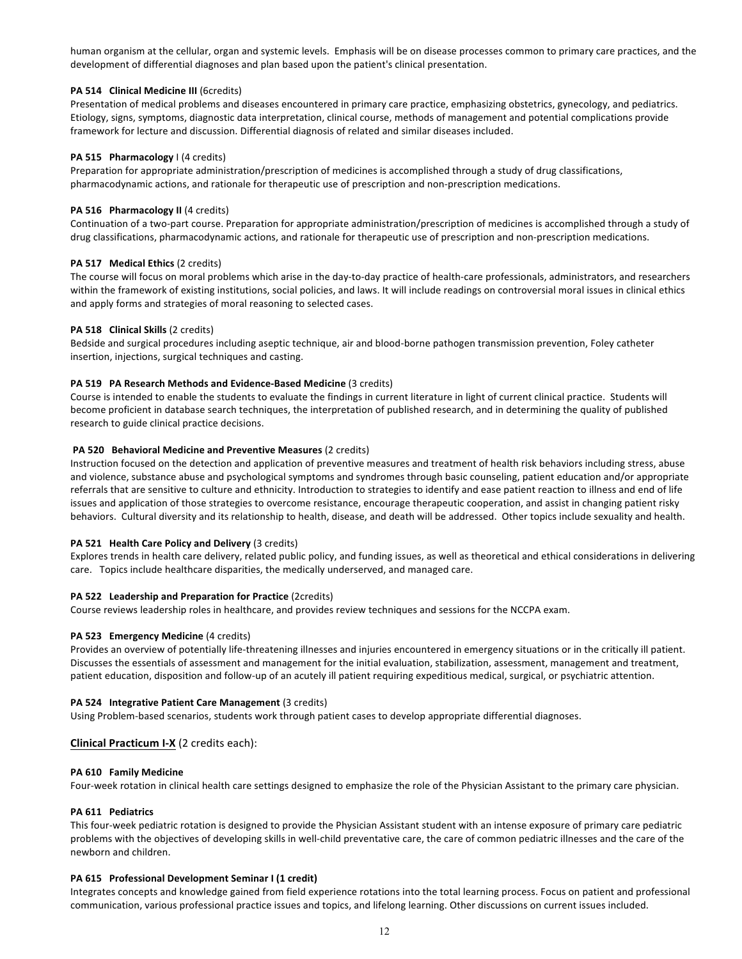human organism at the cellular, organ and systemic levels. Emphasis will be on disease processes common to primary care practices, and the development of differential diagnoses and plan based upon the patient's clinical presentation.

## **PA 514 Clinical Medicine III** (6credits)

Presentation of medical problems and diseases encountered in primary care practice, emphasizing obstetrics, gynecology, and pediatrics. Etiology, signs, symptoms, diagnostic data interpretation, clinical course, methods of management and potential complications provide framework for lecture and discussion. Differential diagnosis of related and similar diseases included.

## **PA 515 Pharmacology** I (4 credits)

Preparation for appropriate administration/prescription of medicines is accomplished through a study of drug classifications, pharmacodynamic actions, and rationale for therapeutic use of prescription and non-prescription medications.

## **PA 516 Pharmacology II** (4 credits)

Continuation of a two-part course. Preparation for appropriate administration/prescription of medicines is accomplished through a study of drug classifications, pharmacodynamic actions, and rationale for therapeutic use of prescription and non-prescription medications.

## **PA 517 Medical Ethics** (2 credits)

The course will focus on moral problems which arise in the day-to-day practice of health-care professionals, administrators, and researchers within the framework of existing institutions, social policies, and laws. It will include readings on controversial moral issues in clinical ethics and apply forms and strategies of moral reasoning to selected cases.

## **PA 518 Clinical Skills** (2 credits)

Bedside and surgical procedures including aseptic technique, air and blood-borne pathogen transmission prevention, Foley catheter insertion, injections, surgical techniques and casting.

## **PA 519 PA Research Methods and Evidence-Based Medicine (3 credits)**

Course is intended to enable the students to evaluate the findings in current literature in light of current clinical practice. Students will become proficient in database search techniques, the interpretation of published research, and in determining the quality of published research to guide clinical practice decisions.

## **PA 520 Behavioral Medicine and Preventive Measures (2 credits)**

Instruction focused on the detection and application of preventive measures and treatment of health risk behaviors including stress, abuse and violence, substance abuse and psychological symptoms and syndromes through basic counseling, patient education and/or appropriate referrals that are sensitive to culture and ethnicity. Introduction to strategies to identify and ease patient reaction to illness and end of life issues and application of those strategies to overcome resistance, encourage therapeutic cooperation, and assist in changing patient risky behaviors. Cultural diversity and its relationship to health, disease, and death will be addressed. Other topics include sexuality and health.

### **PA 521 Health Care Policy and Delivery** (3 credits)

Explores trends in health care delivery, related public policy, and funding issues, as well as theoretical and ethical considerations in delivering care. Topics include healthcare disparities, the medically underserved, and managed care.

### **PA 522 Leadership and Preparation for Practice** (2credits)

Course reviews leadership roles in healthcare, and provides review techniques and sessions for the NCCPA exam.

# **PA 523 Emergency Medicine** (4 credits)

Provides an overview of potentially life-threatening illnesses and injuries encountered in emergency situations or in the critically ill patient. Discusses the essentials of assessment and management for the initial evaluation, stabilization, assessment, management and treatment, patient education, disposition and follow-up of an acutely ill patient requiring expeditious medical, surgical, or psychiatric attention.

### **PA 524 Integrative Patient Care Management** (3 credits)

Using Problem-based scenarios, students work through patient cases to develop appropriate differential diagnoses.

# **Clinical Practicum I-X** (2 credits each):

### **PA 610 Family Medicine**

Four-week rotation in clinical health care settings designed to emphasize the role of the Physician Assistant to the primary care physician.

### **PA 611 Pediatrics**

This four-week pediatric rotation is designed to provide the Physician Assistant student with an intense exposure of primary care pediatric problems with the objectives of developing skills in well-child preventative care, the care of common pediatric illnesses and the care of the newborn and children.

### **PA 615 Professional Development Seminar I (1 credit)**

Integrates concepts and knowledge gained from field experience rotations into the total learning process. Focus on patient and professional communication, various professional practice issues and topics, and lifelong learning. Other discussions on current issues included.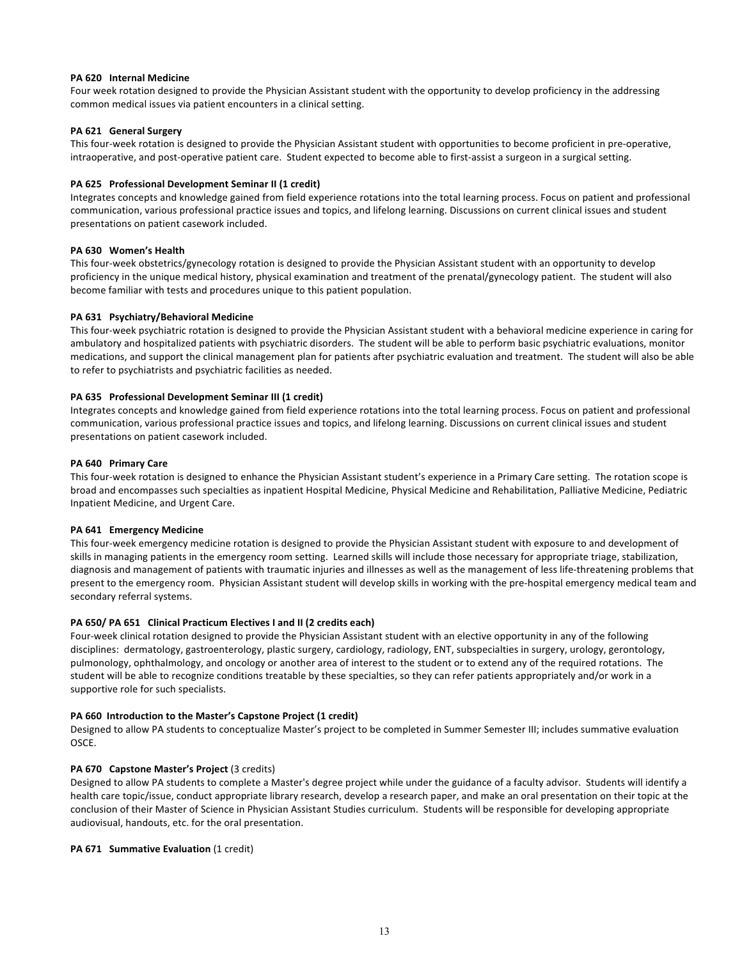## **PA 620 Internal Medicine**

Four week rotation designed to provide the Physician Assistant student with the opportunity to develop proficiency in the addressing common medical issues via patient encounters in a clinical setting.

## **PA 621 General Surgery**

This four-week rotation is designed to provide the Physician Assistant student with opportunities to become proficient in pre-operative, intraoperative, and post-operative patient care. Student expected to become able to first-assist a surgeon in a surgical setting.

## **PA 625 Professional Development Seminar II (1 credit)**

Integrates concepts and knowledge gained from field experience rotations into the total learning process. Focus on patient and professional communication, various professional practice issues and topics, and lifelong learning. Discussions on current clinical issues and student presentations on patient casework included.

## **PA 630 Women's Health**

This four-week obstetrics/gynecology rotation is designed to provide the Physician Assistant student with an opportunity to develop proficiency in the unique medical history, physical examination and treatment of the prenatal/gynecology patient. The student will also become familiar with tests and procedures unique to this patient population.

## **PA 631 Psychiatry/Behavioral Medicine**

This four-week psychiatric rotation is designed to provide the Physician Assistant student with a behavioral medicine experience in caring for ambulatory and hospitalized patients with psychiatric disorders. The student will be able to perform basic psychiatric evaluations, monitor medications, and support the clinical management plan for patients after psychiatric evaluation and treatment. The student will also be able to refer to psychiatrists and psychiatric facilities as needed.

## **PA 635 Professional Development Seminar III (1 credit)**

Integrates concepts and knowledge gained from field experience rotations into the total learning process. Focus on patient and professional communication, various professional practice issues and topics, and lifelong learning. Discussions on current clinical issues and student presentations on patient casework included.

### **PA 640 Primary Care**

This four-week rotation is designed to enhance the Physician Assistant student's experience in a Primary Care setting. The rotation scope is broad and encompasses such specialties as inpatient Hospital Medicine, Physical Medicine and Rehabilitation, Palliative Medicine, Pediatric Inpatient Medicine, and Urgent Care.

### **PA 641 Emergency Medicine**

This four-week emergency medicine rotation is designed to provide the Physician Assistant student with exposure to and development of skills in managing patients in the emergency room setting. Learned skills will include those necessary for appropriate triage, stabilization, diagnosis and management of patients with traumatic injuries and illnesses as well as the management of less life-threatening problems that present to the emergency room. Physician Assistant student will develop skills in working with the pre-hospital emergency medical team and secondary referral systems.

### **PA 650/ PA 651 Clinical Practicum Electives I and II (2 credits each)**

Four-week clinical rotation designed to provide the Physician Assistant student with an elective opportunity in any of the following disciplines: dermatology, gastroenterology, plastic surgery, cardiology, radiology, ENT, subspecialties in surgery, urology, gerontology, pulmonology, ophthalmology, and oncology or another area of interest to the student or to extend any of the required rotations. The student will be able to recognize conditions treatable by these specialties, so they can refer patients appropriately and/or work in a supportive role for such specialists.

### **PA 660 Introduction to the Master's Capstone Project (1 credit)**

Designed to allow PA students to conceptualize Master's project to be completed in Summer Semester III; includes summative evaluation OSCE.

### **PA 670 Capstone Master's Project** (3 credits)

Designed to allow PA students to complete a Master's degree project while under the guidance of a faculty advisor. Students will identify a health care topic/issue, conduct appropriate library research, develop a research paper, and make an oral presentation on their topic at the conclusion of their Master of Science in Physician Assistant Studies curriculum. Students will be responsible for developing appropriate audiovisual, handouts, etc. for the oral presentation.

# **PA 671 Summative Evaluation** (1 credit)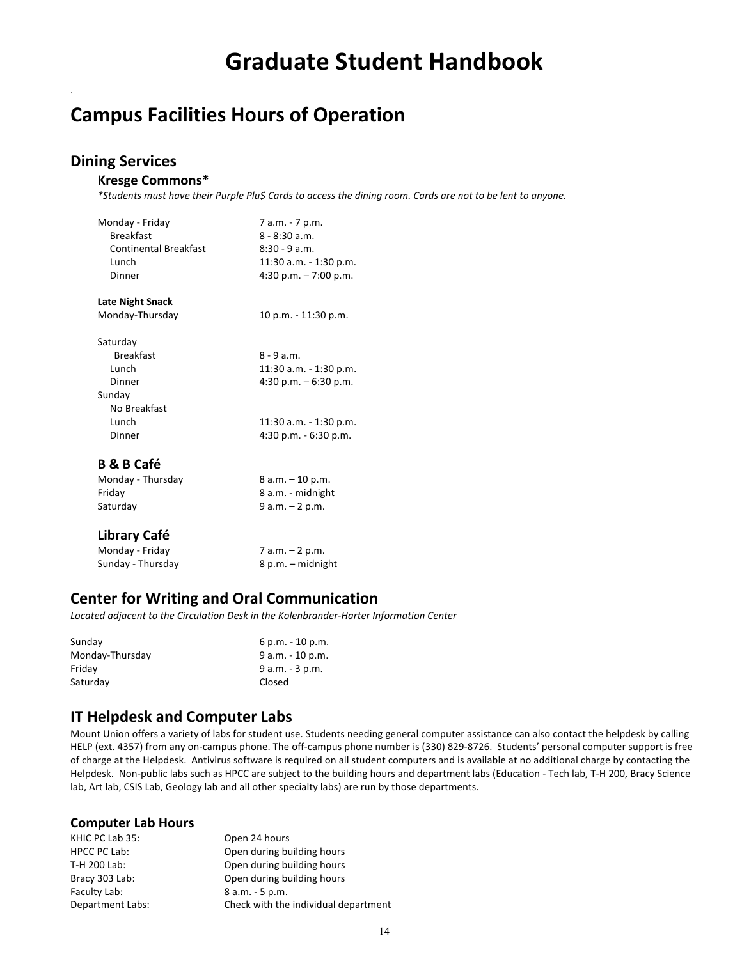# **Graduate Student Handbook**

# **Campus Facilities Hours of Operation**

# **Dining Services**

.

# **Kresge Commons\***

*\*Students must have their Purple Plu\$ Cards to access the dining room. Cards are not to be lent to anyone.*

| Monday - Friday<br><b>Breakfast</b><br><b>Continental Breakfast</b><br>Lunch<br>Dinner | 7 a.m. - 7 p.m.<br>$8 - 8:30$ a.m.<br>$8:30 - 9$ a.m.<br>11:30 a.m. - 1:30 p.m.<br>$4:30$ p.m. $-7:00$ p.m. |
|----------------------------------------------------------------------------------------|-------------------------------------------------------------------------------------------------------------|
| Late Night Snack                                                                       |                                                                                                             |
| Monday-Thursday                                                                        | 10 p.m. - 11:30 p.m.                                                                                        |
| Saturday<br><b>Breakfast</b><br>Lunch                                                  | $8 - 9$ a.m.<br>11:30 a.m. - 1:30 p.m.                                                                      |
| Dinner                                                                                 | $4:30$ p.m. $-6:30$ p.m.                                                                                    |
| Sunday                                                                                 |                                                                                                             |
| No Breakfast                                                                           |                                                                                                             |
| Lunch                                                                                  | 11:30 a.m. - 1:30 p.m.                                                                                      |
| Dinner                                                                                 | $4:30$ p.m. $-6:30$ p.m.                                                                                    |
| <b>B &amp; B Café</b>                                                                  |                                                                                                             |
| . The                                                                                  | 0 - -- 10 --                                                                                                |

| Monday - Thursday | $8 a.m. - 10 p.m.$ |
|-------------------|--------------------|
| Friday            | 8 a.m. - midnight  |
| Saturday          | $9 a.m. - 2 p.m.$  |
|                   |                    |
|                   |                    |

# **Library Café**

| Monday - Friday   | 7 a.m. – 2 p.m.   |
|-------------------|-------------------|
| Sunday - Thursday | 8 p.m. – midnight |

# **Center for Writing and Oral Communication**

Located adjacent to the Circulation Desk in the Kolenbrander-Harter Information Center

| Sunday          | $6$ p.m. $-10$ p.m. |
|-----------------|---------------------|
| Monday-Thursday | $9 a.m. - 10 p.m.$  |
| Fridav          | $9 a.m. - 3 p.m.$   |
| Saturday        | Closed              |

# **IT Helpdesk and Computer Labs**

Mount Union offers a variety of labs for student use. Students needing general computer assistance can also contact the helpdesk by calling HELP (ext. 4357) from any on-campus phone. The off-campus phone number is (330) 829-8726. Students' personal computer support is free of charge at the Helpdesk. Antivirus software is required on all student computers and is available at no additional charge by contacting the Helpdesk. Non-public labs such as HPCC are subject to the building hours and department labs (Education - Tech lab, T-H 200, Bracy Science lab, Art lab, CSIS Lab, Geology lab and all other specialty labs) are run by those departments.

# **Computer Lab Hours**

| KHIC PC Lab 35:         | Open 24 hours                        |
|-------------------------|--------------------------------------|
| <b>HPCC PC Lab:</b>     | Open during building hours           |
| T-H 200 Lab:            | Open during building hours           |
| Bracy 303 Lab:          | Open during building hours           |
| Faculty Lab:            | $8 a.m. - 5 p.m.$                    |
| <b>Department Labs:</b> | Check with the individual department |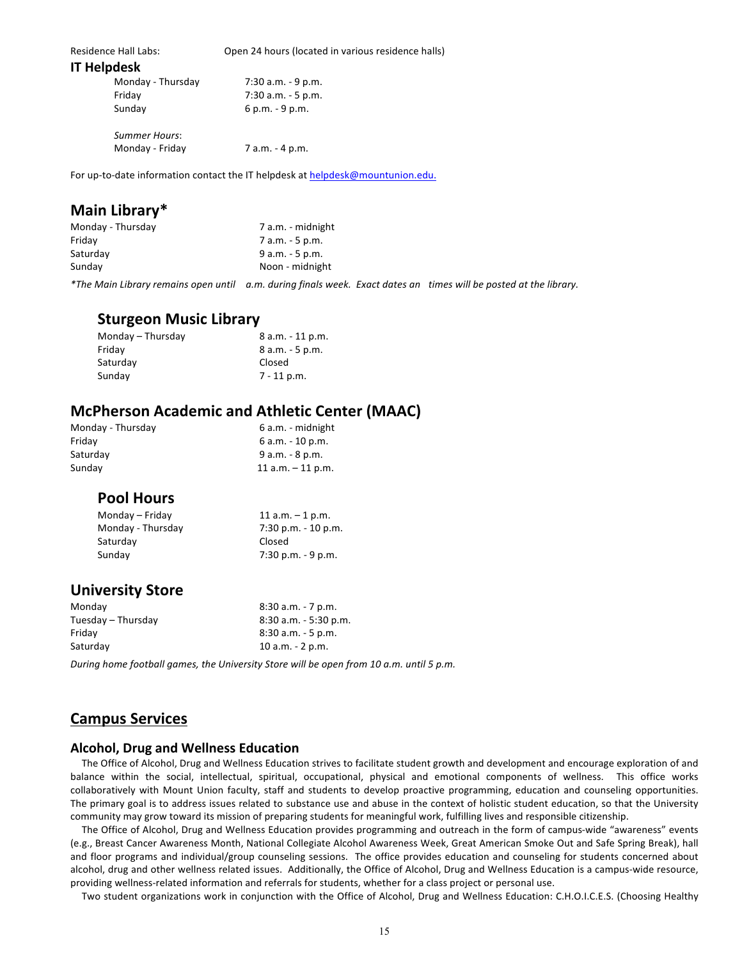| <b>Residence Hall Labs:</b> | Open 24 hours (located in various residence halls) |  |
|-----------------------------|----------------------------------------------------|--|
| <b>IT Helpdesk</b>          |                                                    |  |
| Monday - Thursday           | 7:30 a.m. - 9 p.m.                                 |  |
| Friday                      | $7:30$ a.m. $-5$ p.m.                              |  |
| Sunday                      | $6 p.m. - 9 p.m.$                                  |  |
| <b>Summer Hours:</b>        |                                                    |  |
| Monday - Friday             | 7 a.m. - 4 p.m.                                    |  |

For up-to-date information contact the IT helpdesk at helpdesk@mountunion.edu.

# **Main Library\***

| Monday - Thursday                              | 7 a.m. - midnight  |
|------------------------------------------------|--------------------|
| Fridav                                         | 7 a.m. - 5 p.m.    |
| Saturdav                                       | $9$ a.m. $-5$ p.m. |
| Sunday                                         | Noon - midnight    |
| $\alpha$ , and $\alpha$ is a state of $\alpha$ | .                  |

*\*The Main Library remains open until a.m. during finals week. Exact dates an times will be posted at the library.*

# **Sturgeon Music Library**

| Monday - Thursday | $8$ a.m. $-11$ p.m. |
|-------------------|---------------------|
| Friday            | $8$ a.m. $-5$ p.m.  |
| Saturday          | Closed              |
| Sunday            | $7 - 11$ p.m.       |

# **McPherson Academic and Athletic Center (MAAC)**

| Monday - Thursday | 6 a.m. - midnight    |
|-------------------|----------------------|
| Fridav            | $6 a.m. - 10 p.m.$   |
| Saturdav          | $9 a.m. - 8 p.m.$    |
| Sundav            | $11$ a.m. $-11$ p.m. |
|                   |                      |

# **Pool Hours**

| Monday - Friday   | 11 $a.m. - 1 p.m.$     |
|-------------------|------------------------|
| Monday - Thursday | $7:30$ p.m. $-10$ p.m. |
| Saturday          | Closed                 |
| Sunday            | $7:30$ p.m. $-9$ p.m.  |
|                   |                        |

# **University Store**

| Monday             | $8:30$ a.m. $-7$ p.m.    |
|--------------------|--------------------------|
| Tuesday – Thursday | $8:30$ a.m. $-5:30$ p.m. |
| Fridav             | $8:30$ a.m. $-5$ p.m.    |
| Saturdav           | $10 a.m. - 2 p.m.$       |
|                    |                          |

*During home football games, the University Store will be open from 10 a.m. until 5 p.m.*

# **Campus Services**

# **Alcohol, Drug and Wellness Education**

The Office of Alcohol, Drug and Wellness Education strives to facilitate student growth and development and encourage exploration of and balance within the social, intellectual, spiritual, occupational, physical and emotional components of wellness. This office works collaboratively with Mount Union faculty, staff and students to develop proactive programming, education and counseling opportunities. The primary goal is to address issues related to substance use and abuse in the context of holistic student education, so that the University community may grow toward its mission of preparing students for meaningful work, fulfilling lives and responsible citizenship.

The Office of Alcohol, Drug and Wellness Education provides programming and outreach in the form of campus-wide "awareness" events (e.g., Breast Cancer Awareness Month, National Collegiate Alcohol Awareness Week, Great American Smoke Out and Safe Spring Break), hall and floor programs and individual/group counseling sessions. The office provides education and counseling for students concerned about alcohol, drug and other wellness related issues. Additionally, the Office of Alcohol, Drug and Wellness Education is a campus-wide resource, providing wellness-related information and referrals for students, whether for a class project or personal use.

Two student organizations work in conjunction with the Office of Alcohol, Drug and Wellness Education: C.H.O.I.C.E.S. (Choosing Healthy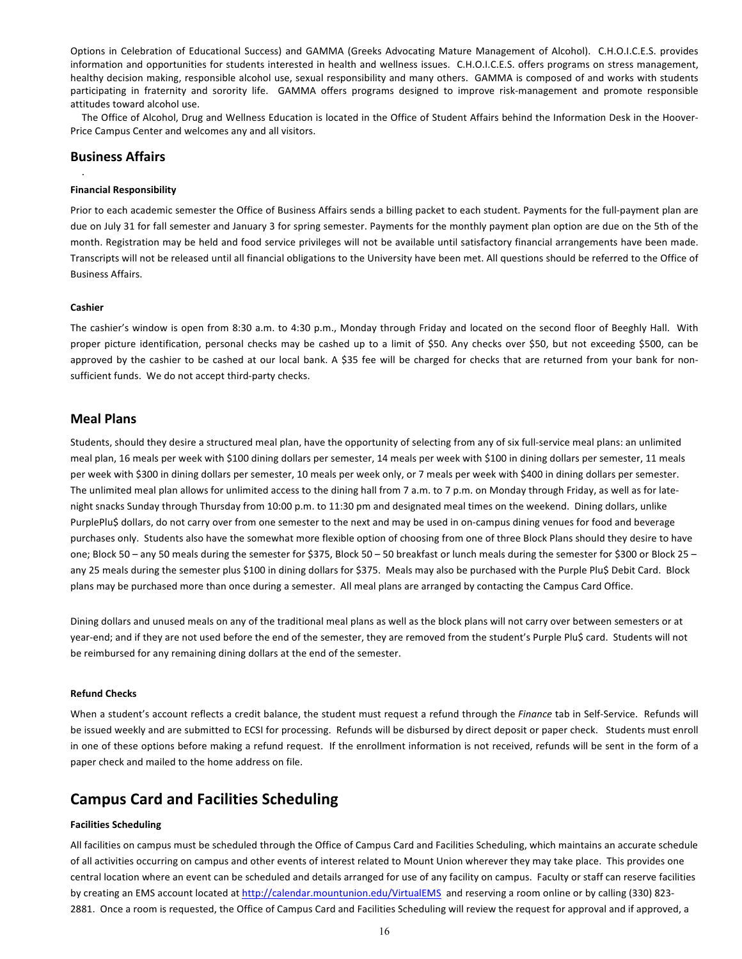Options in Celebration of Educational Success) and GAMMA (Greeks Advocating Mature Management of Alcohol). C.H.O.I.C.E.S. provides information and opportunities for students interested in health and wellness issues. C.H.O.I.C.E.S. offers programs on stress management, healthy decision making, responsible alcohol use, sexual responsibility and many others. GAMMA is composed of and works with students participating in fraternity and sorority life. GAMMA offers programs designed to improve risk-management and promote responsible attitudes toward alcohol use.

The Office of Alcohol, Drug and Wellness Education is located in the Office of Student Affairs behind the Information Desk in the Hoover-Price Campus Center and welcomes any and all visitors.

## **Business Affairs**

#### **Financial Responsibility**

Prior to each academic semester the Office of Business Affairs sends a billing packet to each student. Payments for the full-payment plan are due on July 31 for fall semester and January 3 for spring semester. Payments for the monthly payment plan option are due on the 5th of the month. Registration may be held and food service privileges will not be available until satisfactory financial arrangements have been made. Transcripts will not be released until all financial obligations to the University have been met. All questions should be referred to the Office of Business Affairs.

## **Cashier**

.

The cashier's window is open from 8:30 a.m. to 4:30 p.m., Monday through Friday and located on the second floor of Beeghly Hall. With proper picture identification, personal checks may be cashed up to a limit of \$50. Any checks over \$50, but not exceeding \$500, can be approved by the cashier to be cashed at our local bank. A \$35 fee will be charged for checks that are returned from your bank for nonsufficient funds. We do not accept third-party checks.

# **Meal Plans**

Students, should they desire a structured meal plan, have the opportunity of selecting from any of six full-service meal plans: an unlimited meal plan, 16 meals per week with \$100 dining dollars per semester, 14 meals per week with \$100 in dining dollars per semester, 11 meals per week with \$300 in dining dollars per semester, 10 meals per week only, or 7 meals per week with \$400 in dining dollars per semester. The unlimited meal plan allows for unlimited access to the dining hall from 7 a.m. to 7 p.m. on Monday through Friday, as well as for latenight snacks Sunday through Thursday from 10:00 p.m. to 11:30 pm and designated meal times on the weekend. Dining dollars, unlike PurplePlu\$ dollars, do not carry over from one semester to the next and may be used in on-campus dining venues for food and beverage purchases only. Students also have the somewhat more flexible option of choosing from one of three Block Plans should they desire to have one; Block 50 – any 50 meals during the semester for \$375, Block 50 – 50 breakfast or lunch meals during the semester for \$300 or Block 25 – any 25 meals during the semester plus \$100 in dining dollars for \$375. Meals may also be purchased with the Purple Plu\$ Debit Card. Block plans may be purchased more than once during a semester. All meal plans are arranged by contacting the Campus Card Office.

Dining dollars and unused meals on any of the traditional meal plans as well as the block plans will not carry over between semesters or at year-end; and if they are not used before the end of the semester, they are removed from the student's Purple Plu\$ card. Students will not be reimbursed for any remaining dining dollars at the end of the semester.

## **Refund Checks**

When a student's account reflects a credit balance, the student must request a refund through the *Finance* tab in Self-Service. Refunds will be issued weekly and are submitted to ECSI for processing. Refunds will be disbursed by direct deposit or paper check. Students must enroll in one of these options before making a refund request. If the enrollment information is not received, refunds will be sent in the form of a paper check and mailed to the home address on file.

# **Campus Card and Facilities Scheduling**

# **Facilities Scheduling**

All facilities on campus must be scheduled through the Office of Campus Card and Facilities Scheduling, which maintains an accurate schedule of all activities occurring on campus and other events of interest related to Mount Union wherever they may take place. This provides one central location where an event can be scheduled and details arranged for use of any facility on campus. Faculty or staff can reserve facilities by creating an EMS account located at http://calendar.mountunion.edu/VirtualEMS and reserving a room online or by calling (330) 823-2881. Once a room is requested, the Office of Campus Card and Facilities Scheduling will review the request for approval and if approved, a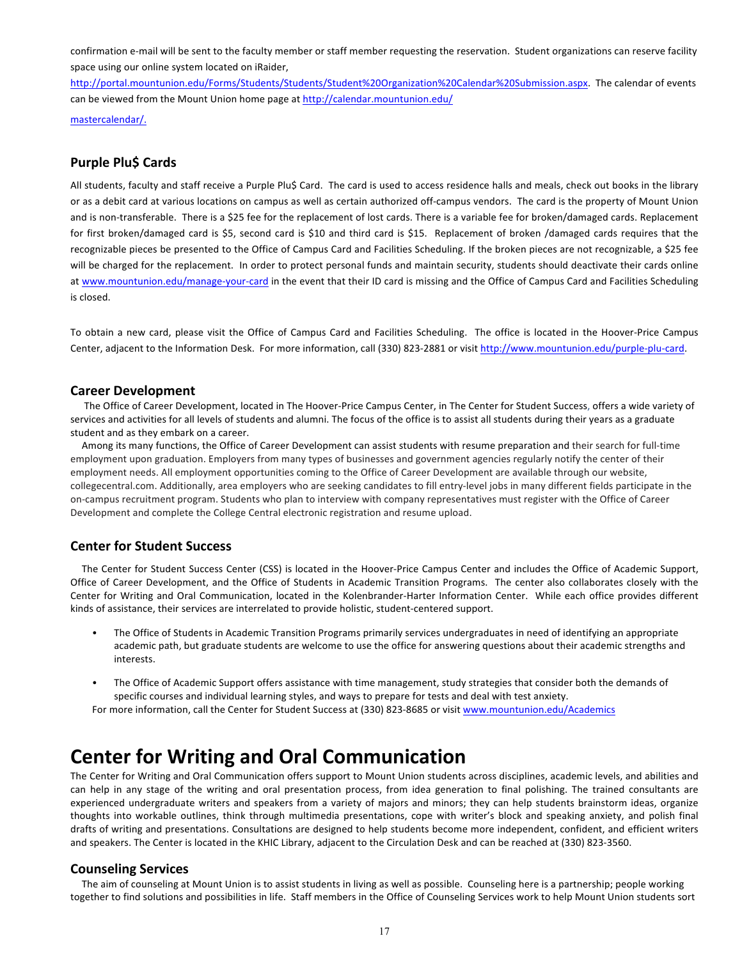confirmation e-mail will be sent to the faculty member or staff member requesting the reservation. Student organizations can reserve facility space using our online system located on iRaider,

http://portal.mountunion.edu/Forms/Students/Students/Student%20Organization%20Calendar%20Submission.aspx. The calendar of events can be viewed from the Mount Union home page at http://calendar.mountunion.edu/

mastercalendar/.

# **Purple Plu\$ Cards**

All students, faculty and staff receive a Purple Plu\$ Card. The card is used to access residence halls and meals, check out books in the library or as a debit card at various locations on campus as well as certain authorized off-campus vendors. The card is the property of Mount Union and is non-transferable. There is a \$25 fee for the replacement of lost cards. There is a variable fee for broken/damaged cards. Replacement for first broken/damaged card is \$5, second card is \$10 and third card is \$15. Replacement of broken /damaged cards requires that the recognizable pieces be presented to the Office of Campus Card and Facilities Scheduling. If the broken pieces are not recognizable, a \$25 fee will be charged for the replacement. In order to protect personal funds and maintain security, students should deactivate their cards online at www.mountunion.edu/manage-your-card in the event that their ID card is missing and the Office of Campus Card and Facilities Scheduling is closed.

To obtain a new card, please visit the Office of Campus Card and Facilities Scheduling. The office is located in the Hoover-Price Campus Center, adjacent to the Information Desk. For more information, call (330) 823-2881 or visit http://www.mountunion.edu/purple-plu-card.

## **Career Development**

The Office of Career Development, located in The Hoover-Price Campus Center, in The Center for Student Success, offers a wide variety of services and activities for all levels of students and alumni. The focus of the office is to assist all students during their years as a graduate student and as they embark on a career.

Among its many functions, the Office of Career Development can assist students with resume preparation and their search for full-time employment upon graduation. Employers from many types of businesses and government agencies regularly notify the center of their employment needs. All employment opportunities coming to the Office of Career Development are available through our website, collegecentral.com. Additionally, area employers who are seeking candidates to fill entry-level jobs in many different fields participate in the on-campus recruitment program. Students who plan to interview with company representatives must register with the Office of Career Development and complete the College Central electronic registration and resume upload.

# **Center for Student Success**

The Center for Student Success Center (CSS) is located in the Hoover-Price Campus Center and includes the Office of Academic Support, Office of Career Development, and the Office of Students in Academic Transition Programs. The center also collaborates closely with the Center for Writing and Oral Communication, located in the Kolenbrander-Harter Information Center. While each office provides different kinds of assistance, their services are interrelated to provide holistic, student-centered support.

- The Office of Students in Academic Transition Programs primarily services undergraduates in need of identifying an appropriate academic path, but graduate students are welcome to use the office for answering questions about their academic strengths and interests.
- The Office of Academic Support offers assistance with time management, study strategies that consider both the demands of specific courses and individual learning styles, and ways to prepare for tests and deal with test anxiety.

For more information, call the Center for Student Success at (330) 823-8685 or visit www.mountunion.edu/Academics

# **Center for Writing and Oral Communication**

The Center for Writing and Oral Communication offers support to Mount Union students across disciplines, academic levels, and abilities and can help in any stage of the writing and oral presentation process, from idea generation to final polishing. The trained consultants are experienced undergraduate writers and speakers from a variety of majors and minors; they can help students brainstorm ideas, organize thoughts into workable outlines, think through multimedia presentations, cope with writer's block and speaking anxiety, and polish final drafts of writing and presentations. Consultations are designed to help students become more independent, confident, and efficient writers and speakers. The Center is located in the KHIC Library, adjacent to the Circulation Desk and can be reached at (330) 823-3560.

# **Counseling Services**

The aim of counseling at Mount Union is to assist students in living as well as possible. Counseling here is a partnership; people working together to find solutions and possibilities in life. Staff members in the Office of Counseling Services work to help Mount Union students sort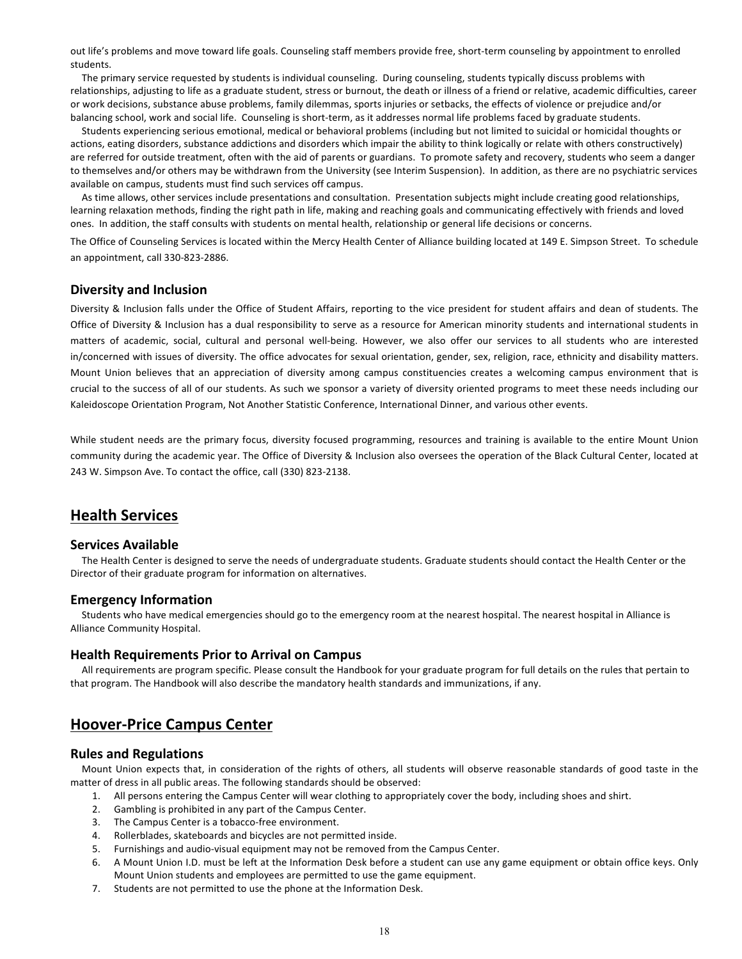out life's problems and move toward life goals. Counseling staff members provide free, short-term counseling by appointment to enrolled students.

The primary service requested by students is individual counseling. During counseling, students typically discuss problems with relationships, adjusting to life as a graduate student, stress or burnout, the death or illness of a friend or relative, academic difficulties, career or work decisions, substance abuse problems, family dilemmas, sports injuries or setbacks, the effects of violence or prejudice and/or balancing school, work and social life. Counseling is short-term, as it addresses normal life problems faced by graduate students.

Students experiencing serious emotional, medical or behavioral problems (including but not limited to suicidal or homicidal thoughts or actions, eating disorders, substance addictions and disorders which impair the ability to think logically or relate with others constructively) are referred for outside treatment, often with the aid of parents or guardians. To promote safety and recovery, students who seem a danger to themselves and/or others may be withdrawn from the University (see Interim Suspension). In addition, as there are no psychiatric services available on campus, students must find such services off campus.

As time allows, other services include presentations and consultation. Presentation subjects might include creating good relationships, learning relaxation methods, finding the right path in life, making and reaching goals and communicating effectively with friends and loved ones. In addition, the staff consults with students on mental health, relationship or general life decisions or concerns.

The Office of Counseling Services is located within the Mercy Health Center of Alliance building located at 149 E. Simpson Street. To schedule an appointment, call 330-823-2886.

# **Diversity and Inclusion**

Diversity & Inclusion falls under the Office of Student Affairs, reporting to the vice president for student affairs and dean of students. The Office of Diversity & Inclusion has a dual responsibility to serve as a resource for American minority students and international students in matters of academic, social, cultural and personal well-being. However, we also offer our services to all students who are interested in/concerned with issues of diversity. The office advocates for sexual orientation, gender, sex, religion, race, ethnicity and disability matters. Mount Union believes that an appreciation of diversity among campus constituencies creates a welcoming campus environment that is crucial to the success of all of our students. As such we sponsor a variety of diversity oriented programs to meet these needs including our Kaleidoscope Orientation Program, Not Another Statistic Conference, International Dinner, and various other events.

While student needs are the primary focus, diversity focused programming, resources and training is available to the entire Mount Union community during the academic year. The Office of Diversity & Inclusion also oversees the operation of the Black Cultural Center, located at 243 W. Simpson Ave. To contact the office, call (330) 823-2138.

# **Health Services**

# **Services Available**

The Health Center is designed to serve the needs of undergraduate students. Graduate students should contact the Health Center or the Director of their graduate program for information on alternatives.

### **Emergency Information**

Students who have medical emergencies should go to the emergency room at the nearest hospital. The nearest hospital in Alliance is Alliance Community Hospital.

# **Health Requirements Prior to Arrival on Campus**

All requirements are program specific. Please consult the Handbook for your graduate program for full details on the rules that pertain to that program. The Handbook will also describe the mandatory health standards and immunizations, if any.

# **Hoover-Price Campus Center**

# **Rules and Regulations**

Mount Union expects that, in consideration of the rights of others, all students will observe reasonable standards of good taste in the matter of dress in all public areas. The following standards should be observed:

- 1. All persons entering the Campus Center will wear clothing to appropriately cover the body, including shoes and shirt.
	- 2. Gambling is prohibited in any part of the Campus Center.
	- 3. The Campus Center is a tobacco-free environment.
	- 4. Rollerblades, skateboards and bicycles are not permitted inside.
	- 5. Furnishings and audio-visual equipment may not be removed from the Campus Center.
	- 6. A Mount Union I.D. must be left at the Information Desk before a student can use any game equipment or obtain office keys. Only Mount Union students and employees are permitted to use the game equipment.
	- 7. Students are not permitted to use the phone at the Information Desk.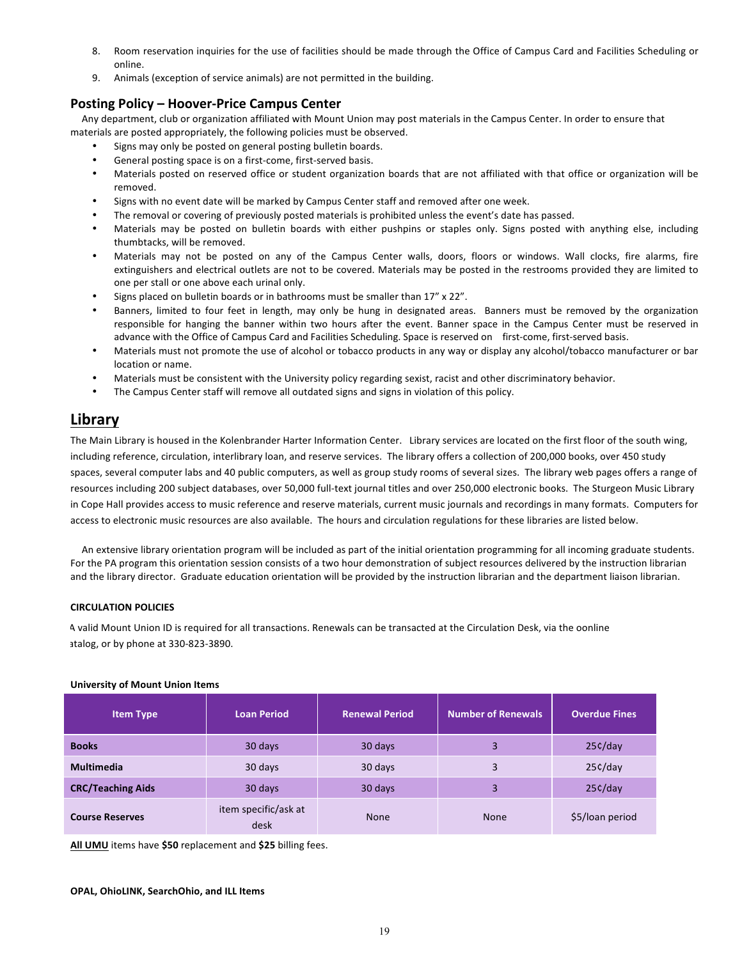- 8. Room reservation inquiries for the use of facilities should be made through the Office of Campus Card and Facilities Scheduling or online.
- 9. Animals (exception of service animals) are not permitted in the building.

# **Posting Policy – Hoover-Price Campus Center**

Any department, club or organization affiliated with Mount Union may post materials in the Campus Center. In order to ensure that materials are posted appropriately, the following policies must be observed.

- Signs may only be posted on general posting bulletin boards.
- General posting space is on a first-come, first-served basis.
- Materials posted on reserved office or student organization boards that are not affiliated with that office or organization will be removed.
- Signs with no event date will be marked by Campus Center staff and removed after one week.
- The removal or covering of previously posted materials is prohibited unless the event's date has passed.
- Materials may be posted on bulletin boards with either pushpins or staples only. Signs posted with anything else, including thumbtacks, will be removed.
- Materials may not be posted on any of the Campus Center walls, doors, floors or windows. Wall clocks, fire alarms, fire extinguishers and electrical outlets are not to be covered. Materials may be posted in the restrooms provided they are limited to one per stall or one above each urinal only.
- Signs placed on bulletin boards or in bathrooms must be smaller than  $17''$  x  $22''$ .
- Banners, limited to four feet in length, may only be hung in designated areas. Banners must be removed by the organization responsible for hanging the banner within two hours after the event. Banner space in the Campus Center must be reserved in advance with the Office of Campus Card and Facilities Scheduling. Space is reserved on first-come, first-served basis.
- Materials must not promote the use of alcohol or tobacco products in any way or display any alcohol/tobacco manufacturer or bar location or name.
- Materials must be consistent with the University policy regarding sexist, racist and other discriminatory behavior.
- The Campus Center staff will remove all outdated signs and signs in violation of this policy.

# **Library**

The Main Library is housed in the Kolenbrander Harter Information Center. Library services are located on the first floor of the south wing, including reference, circulation, interlibrary loan, and reserve services. The library offers a collection of 200,000 books, over 450 study spaces, several computer labs and 40 public computers, as well as group study rooms of several sizes. The library web pages offers a range of resources including 200 subject databases, over 50,000 full-text journal titles and over 250,000 electronic books. The Sturgeon Music Library in Cope Hall provides access to music reference and reserve materials, current music journals and recordings in many formats. Computers for access to electronic music resources are also available. The hours and circulation regulations for these libraries are listed below.

An extensive library orientation program will be included as part of the initial orientation programming for all incoming graduate students. For the PA program this orientation session consists of a two hour demonstration of subject resources delivered by the instruction librarian and the library director. Graduate education orientation will be provided by the instruction librarian and the department liaison librarian.

# **CIRCULATION POLICIES**

A valid Mount Union ID is required for all transactions. Renewals can be transacted at the Circulation Desk, via the oonline atalog, or by phone at 330-823-3890.

| <b>Item Type</b>         | <b>Loan Period</b>           | <b>Renewal Period</b> | <b>Number of Renewals</b> | <b>Overdue Fines</b> |
|--------------------------|------------------------------|-----------------------|---------------------------|----------------------|
| <b>Books</b>             | 30 days                      | 30 days               | 3                         | 25c/day              |
| <b>Multimedia</b>        | 30 days                      | 30 days               | 3                         | 25c/day              |
| <b>CRC/Teaching Aids</b> | 30 days                      | 30 days               | 3                         | 25c/day              |
| <b>Course Reserves</b>   | item specific/ask at<br>desk | <b>None</b>           | <b>None</b>               | \$5/loan period      |

### **University of Mount Union Items**

**All UMU** items have **\$50** replacement and **\$25** billing fees.

#### **OPAL, OhioLINK, SearchOhio, and ILL Items**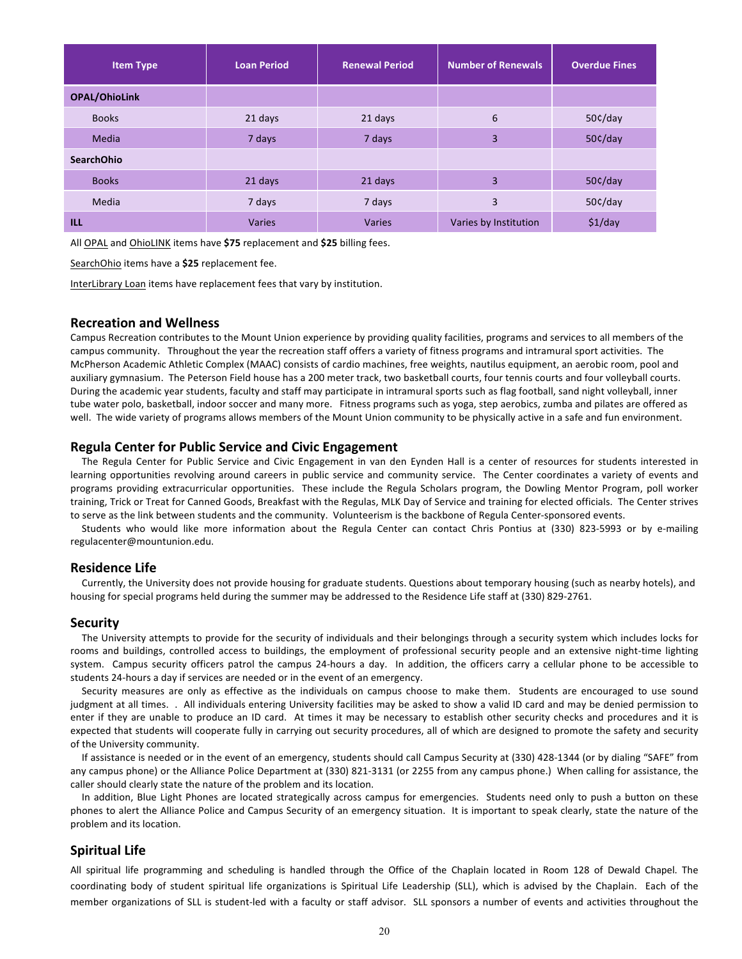| <b>Item Type</b>     | <b>Loan Period</b> | <b>Renewal Period</b> | <b>Number of Renewals</b> | <b>Overdue Fines</b> |
|----------------------|--------------------|-----------------------|---------------------------|----------------------|
| <b>OPAL/OhioLink</b> |                    |                       |                           |                      |
| <b>Books</b>         | 21 days            | 21 days               | 6                         | 50c/day              |
| Media                | 7 days             | 7 days                | 3                         | 50¢/day              |
| <b>SearchOhio</b>    |                    |                       |                           |                      |
| <b>Books</b>         | 21 days            | 21 days               | 3                         | 50c/day              |
| Media                | 7 days             | 7 days                | 3                         | 50¢/day              |
| <b>ILL</b>           | Varies             | <b>Varies</b>         | Varies by Institution     | \$1/day              |

All OPAL and OhioLINK items have \$75 replacement and \$25 billing fees.

SearchOhio items have a \$25 replacement fee.

InterLibrary Loan items have replacement fees that vary by institution.

## **Recreation and Wellness**

Campus Recreation contributes to the Mount Union experience by providing quality facilities, programs and services to all members of the campus community. Throughout the year the recreation staff offers a variety of fitness programs and intramural sport activities. The McPherson Academic Athletic Complex (MAAC) consists of cardio machines, free weights, nautilus equipment, an aerobic room, pool and auxiliary gymnasium. The Peterson Field house has a 200 meter track, two basketball courts, four tennis courts and four volleyball courts. During the academic year students, faculty and staff may participate in intramural sports such as flag football, sand night volleyball, inner tube water polo, basketball, indoor soccer and many more. Fitness programs such as yoga, step aerobics, zumba and pilates are offered as well. The wide variety of programs allows members of the Mount Union community to be physically active in a safe and fun environment.

## **Regula Center for Public Service and Civic Engagement**

The Regula Center for Public Service and Civic Engagement in van den Eynden Hall is a center of resources for students interested in learning opportunities revolving around careers in public service and community service. The Center coordinates a variety of events and programs providing extracurricular opportunities. These include the Regula Scholars program, the Dowling Mentor Program, poll worker training, Trick or Treat for Canned Goods, Breakfast with the Regulas, MLK Day of Service and training for elected officials. The Center strives to serve as the link between students and the community. Volunteerism is the backbone of Regula Center-sponsored events.

Students who would like more information about the Regula Center can contact Chris Pontius at (330) 823-5993 or by e-mailing regulacenter@mountunion.edu.

# **Residence Life**

Currently, the University does not provide housing for graduate students. Questions about temporary housing (such as nearby hotels), and housing for special programs held during the summer may be addressed to the Residence Life staff at (330) 829-2761.

## **Security**

The University attempts to provide for the security of individuals and their belongings through a security system which includes locks for rooms and buildings, controlled access to buildings, the employment of professional security people and an extensive night-time lighting system. Campus security officers patrol the campus 24-hours a day. In addition, the officers carry a cellular phone to be accessible to students 24-hours a day if services are needed or in the event of an emergency.

Security measures are only as effective as the individuals on campus choose to make them. Students are encouraged to use sound judgment at all times. . All individuals entering University facilities may be asked to show a valid ID card and may be denied permission to enter if they are unable to produce an ID card. At times it may be necessary to establish other security checks and procedures and it is expected that students will cooperate fully in carrying out security procedures, all of which are designed to promote the safety and security of the University community.

If assistance is needed or in the event of an emergency, students should call Campus Security at (330) 428-1344 (or by dialing "SAFE" from any campus phone) or the Alliance Police Department at (330) 821-3131 (or 2255 from any campus phone.) When calling for assistance, the caller should clearly state the nature of the problem and its location.

In addition, Blue Light Phones are located strategically across campus for emergencies. Students need only to push a button on these phones to alert the Alliance Police and Campus Security of an emergency situation. It is important to speak clearly, state the nature of the problem and its location.

# **Spiritual Life**

All spiritual life programming and scheduling is handled through the Office of the Chaplain located in Room 128 of Dewald Chapel. The coordinating body of student spiritual life organizations is Spiritual Life Leadership (SLL), which is advised by the Chaplain. Each of the member organizations of SLL is student-led with a faculty or staff advisor. SLL sponsors a number of events and activities throughout the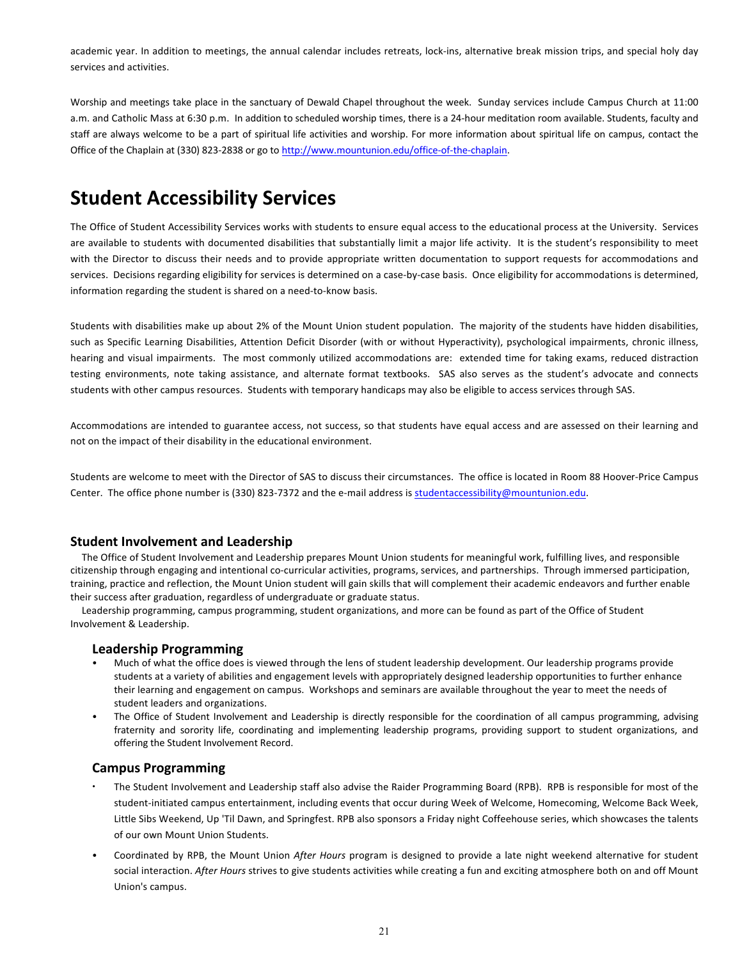academic year. In addition to meetings, the annual calendar includes retreats, lock-ins, alternative break mission trips, and special holy day services and activities.

Worship and meetings take place in the sanctuary of Dewald Chapel throughout the week. Sunday services include Campus Church at 11:00 a.m. and Catholic Mass at 6:30 p.m. In addition to scheduled worship times, there is a 24-hour meditation room available. Students, faculty and staff are always welcome to be a part of spiritual life activities and worship. For more information about spiritual life on campus, contact the Office of the Chaplain at (330) 823-2838 or go to http://www.mountunion.edu/office-of-the-chaplain.

# **Student Accessibility Services**

The Office of Student Accessibility Services works with students to ensure equal access to the educational process at the University. Services are available to students with documented disabilities that substantially limit a major life activity. It is the student's responsibility to meet with the Director to discuss their needs and to provide appropriate written documentation to support requests for accommodations and services. Decisions regarding eligibility for services is determined on a case-by-case basis. Once eligibility for accommodations is determined, information regarding the student is shared on a need-to-know basis.

Students with disabilities make up about 2% of the Mount Union student population. The majority of the students have hidden disabilities, such as Specific Learning Disabilities, Attention Deficit Disorder (with or without Hyperactivity), psychological impairments, chronic illness, hearing and visual impairments. The most commonly utilized accommodations are: extended time for taking exams, reduced distraction testing environments, note taking assistance, and alternate format textbooks. SAS also serves as the student's advocate and connects students with other campus resources. Students with temporary handicaps may also be eligible to access services through SAS.

Accommodations are intended to guarantee access, not success, so that students have equal access and are assessed on their learning and not on the impact of their disability in the educational environment.

Students are welcome to meet with the Director of SAS to discuss their circumstances. The office is located in Room 88 Hoover-Price Campus Center. The office phone number is (330) 823-7372 and the e-mail address is studentaccessibility@mountunion.edu.

# **Student Involvement and Leadership**

The Office of Student Involvement and Leadership prepares Mount Union students for meaningful work, fulfilling lives, and responsible citizenship through engaging and intentional co-curricular activities, programs, services, and partnerships. Through immersed participation, training, practice and reflection, the Mount Union student will gain skills that will complement their academic endeavors and further enable their success after graduation, regardless of undergraduate or graduate status.

Leadership programming, campus programming, student organizations, and more can be found as part of the Office of Student Involvement & Leadership.

# **Leadership Programming**

- Much of what the office does is viewed through the lens of student leadership development. Our leadership programs provide students at a variety of abilities and engagement levels with appropriately designed leadership opportunities to further enhance their learning and engagement on campus. Workshops and seminars are available throughout the year to meet the needs of student leaders and organizations.
- The Office of Student Involvement and Leadership is directly responsible for the coordination of all campus programming, advising fraternity and sorority life, coordinating and implementing leadership programs, providing support to student organizations, and offering the Student Involvement Record.

# **Campus Programming**

- The Student Involvement and Leadership staff also advise the Raider Programming Board (RPB). RPB is responsible for most of the student-initiated campus entertainment, including events that occur during Week of Welcome, Homecoming, Welcome Back Week, Little Sibs Weekend, Up 'Til Dawn, and Springfest. RPB also sponsors a Friday night Coffeehouse series, which showcases the talents of our own Mount Union Students.
- Coordinated by RPB, the Mount Union *After Hours* program is designed to provide a late night weekend alternative for student social interaction. After Hours strives to give students activities while creating a fun and exciting atmosphere both on and off Mount Union's campus.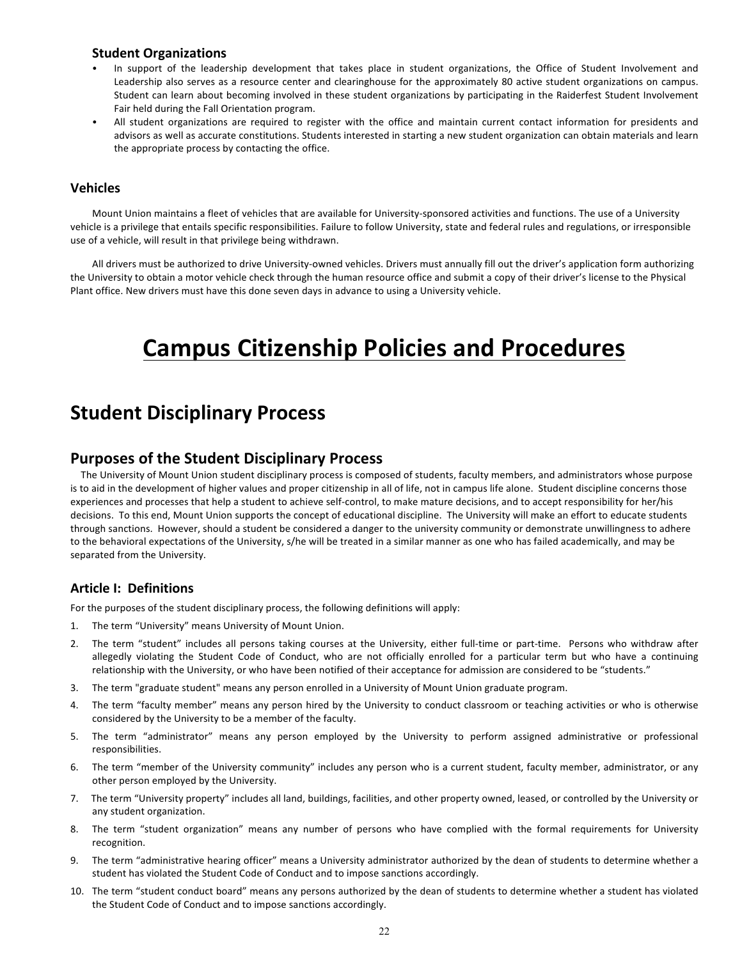# **Student Organizations**

- In support of the leadership development that takes place in student organizations, the Office of Student Involvement and Leadership also serves as a resource center and clearinghouse for the approximately 80 active student organizations on campus. Student can learn about becoming involved in these student organizations by participating in the Raiderfest Student Involvement Fair held during the Fall Orientation program.
- All student organizations are required to register with the office and maintain current contact information for presidents and advisors as well as accurate constitutions. Students interested in starting a new student organization can obtain materials and learn the appropriate process by contacting the office.

# **Vehicles**

Mount Union maintains a fleet of vehicles that are available for University-sponsored activities and functions. The use of a University vehicle is a privilege that entails specific responsibilities. Failure to follow University, state and federal rules and regulations, or irresponsible use of a vehicle, will result in that privilege being withdrawn.

All drivers must be authorized to drive University-owned vehicles. Drivers must annually fill out the driver's application form authorizing the University to obtain a motor vehicle check through the human resource office and submit a copy of their driver's license to the Physical Plant office. New drivers must have this done seven days in advance to using a University vehicle.

# **Campus Citizenship Policies and Procedures**

# **Student Disciplinary Process**

# **Purposes of the Student Disciplinary Process**

The University of Mount Union student disciplinary process is composed of students, faculty members, and administrators whose purpose is to aid in the development of higher values and proper citizenship in all of life, not in campus life alone. Student discipline concerns those experiences and processes that help a student to achieve self-control, to make mature decisions, and to accept responsibility for her/his decisions. To this end, Mount Union supports the concept of educational discipline. The University will make an effort to educate students through sanctions. However, should a student be considered a danger to the university community or demonstrate unwillingness to adhere to the behavioral expectations of the University, s/he will be treated in a similar manner as one who has failed academically, and may be separated from the University.

# **Article I: Definitions**

For the purposes of the student disciplinary process, the following definitions will apply:

- 1. The term "University" means University of Mount Union.
- 2. The term "student" includes all persons taking courses at the University, either full-time or part-time. Persons who withdraw after allegedly violating the Student Code of Conduct, who are not officially enrolled for a particular term but who have a continuing relationship with the University, or who have been notified of their acceptance for admission are considered to be "students."
- 3. The term "graduate student" means any person enrolled in a University of Mount Union graduate program.
- 4. The term "faculty member" means any person hired by the University to conduct classroom or teaching activities or who is otherwise considered by the University to be a member of the faculty.
- 5. The term "administrator" means any person employed by the University to perform assigned administrative or professional responsibilities.
- 6. The term "member of the University community" includes any person who is a current student, faculty member, administrator, or any other person employed by the University.
- 7. The term "University property" includes all land, buildings, facilities, and other property owned, leased, or controlled by the University or any student organization.
- 8. The term "student organization" means any number of persons who have complied with the formal requirements for University recognition.
- 9. The term "administrative hearing officer" means a University administrator authorized by the dean of students to determine whether a student has violated the Student Code of Conduct and to impose sanctions accordingly.
- 10. The term "student conduct board" means any persons authorized by the dean of students to determine whether a student has violated the Student Code of Conduct and to impose sanctions accordingly.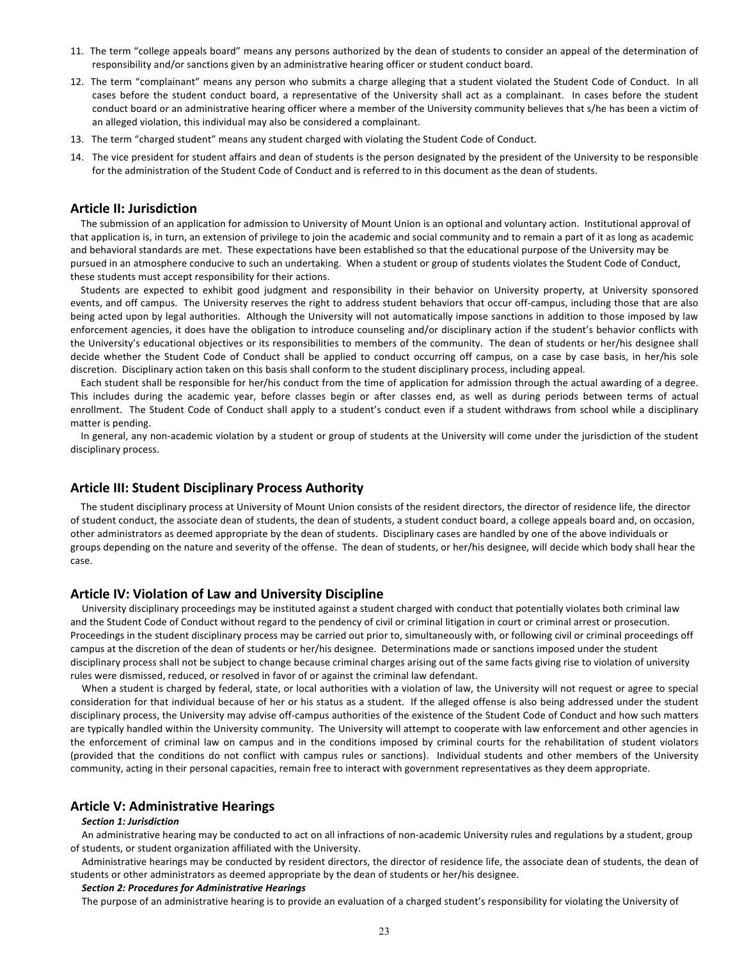- 11. The term "college appeals board" means any persons authorized by the dean of students to consider an appeal of the determination of responsibility and/or sanctions given by an administrative hearing officer or student conduct board.
- 12. The term "complainant" means any person who submits a charge alleging that a student violated the Student Code of Conduct. In all cases before the student conduct board, a representative of the University shall act as a complainant. In cases before the student conduct board or an administrative hearing officer where a member of the University community believes that s/he has been a victim of an alleged violation, this individual may also be considered a complainant.
- 13. The term "charged student" means any student charged with violating the Student Code of Conduct.
- 14. The vice president for student affairs and dean of students is the person designated by the president of the University to be responsible for the administration of the Student Code of Conduct and is referred to in this document as the dean of students.

## **Article II: Jurisdiction**

The submission of an application for admission to University of Mount Union is an optional and voluntary action. Institutional approval of that application is, in turn, an extension of privilege to join the academic and social community and to remain a part of it as long as academic and behavioral standards are met. These expectations have been established so that the educational purpose of the University may be pursued in an atmosphere conducive to such an undertaking. When a student or group of students violates the Student Code of Conduct, these students must accept responsibility for their actions.

Students are expected to exhibit good judgment and responsibility in their behavior on University property, at University sponsored events, and off campus. The University reserves the right to address student behaviors that occur off-campus, including those that are also being acted upon by legal authorities. Although the University will not automatically impose sanctions in addition to those imposed by law enforcement agencies, it does have the obligation to introduce counseling and/or disciplinary action if the student's behavior conflicts with the University's educational objectives or its responsibilities to members of the community. The dean of students or her/his designee shall decide whether the Student Code of Conduct shall be applied to conduct occurring off campus, on a case by case basis, in her/his sole discretion. Disciplinary action taken on this basis shall conform to the student disciplinary process, including appeal.

Each student shall be responsible for her/his conduct from the time of application for admission through the actual awarding of a degree. This includes during the academic year, before classes begin or after classes end, as well as during periods between terms of actual enrollment. The Student Code of Conduct shall apply to a student's conduct even if a student withdraws from school while a disciplinary matter is pending.

In general, any non-academic violation by a student or group of students at the University will come under the jurisdiction of the student disciplinary process.

# **Article III: Student Disciplinary Process Authority**

The student disciplinary process at University of Mount Union consists of the resident directors, the director of residence life, the director of student conduct, the associate dean of students, the dean of students, a student conduct board, a college appeals board and, on occasion, other administrators as deemed appropriate by the dean of students. Disciplinary cases are handled by one of the above individuals or groups depending on the nature and severity of the offense. The dean of students, or her/his designee, will decide which body shall hear the case.

## **Article IV: Violation of Law and University Discipline**

University disciplinary proceedings may be instituted against a student charged with conduct that potentially violates both criminal law and the Student Code of Conduct without regard to the pendency of civil or criminal litigation in court or criminal arrest or prosecution. Proceedings in the student disciplinary process may be carried out prior to, simultaneously with, or following civil or criminal proceedings off campus at the discretion of the dean of students or her/his designee. Determinations made or sanctions imposed under the student disciplinary process shall not be subject to change because criminal charges arising out of the same facts giving rise to violation of university rules were dismissed, reduced, or resolved in favor of or against the criminal law defendant.

When a student is charged by federal, state, or local authorities with a violation of law, the University will not request or agree to special consideration for that individual because of her or his status as a student. If the alleged offense is also being addressed under the student disciplinary process, the University may advise off-campus authorities of the existence of the Student Code of Conduct and how such matters are typically handled within the University community. The University will attempt to cooperate with law enforcement and other agencies in the enforcement of criminal law on campus and in the conditions imposed by criminal courts for the rehabilitation of student violators (provided that the conditions do not conflict with campus rules or sanctions). Individual students and other members of the University community, acting in their personal capacities, remain free to interact with government representatives as they deem appropriate.

# **Article V: Administrative Hearings**

#### *Section 1: Jurisdiction*

An administrative hearing may be conducted to act on all infractions of non-academic University rules and regulations by a student, group of students, or student organization affiliated with the University.

Administrative hearings may be conducted by resident directors, the director of residence life, the associate dean of students, the dean of students or other administrators as deemed appropriate by the dean of students or her/his designee.

#### *Section 2: Procedures for Administrative Hearings*

The purpose of an administrative hearing is to provide an evaluation of a charged student's responsibility for violating the University of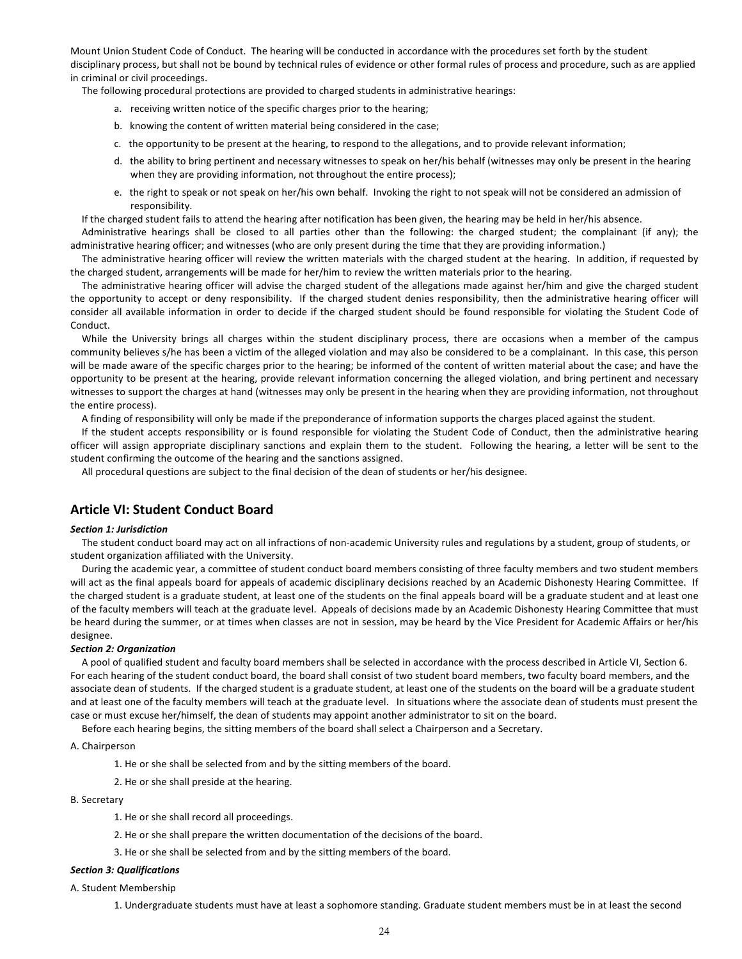Mount Union Student Code of Conduct. The hearing will be conducted in accordance with the procedures set forth by the student disciplinary process, but shall not be bound by technical rules of evidence or other formal rules of process and procedure, such as are applied in criminal or civil proceedings.

The following procedural protections are provided to charged students in administrative hearings:

- a. receiving written notice of the specific charges prior to the hearing;
- b. knowing the content of written material being considered in the case;
- c. the opportunity to be present at the hearing, to respond to the allegations, and to provide relevant information;
- d. the ability to bring pertinent and necessary witnesses to speak on her/his behalf (witnesses may only be present in the hearing when they are providing information, not throughout the entire process);
- e. the right to speak or not speak on her/his own behalf. Invoking the right to not speak will not be considered an admission of responsibility.

If the charged student fails to attend the hearing after notification has been given, the hearing may be held in her/his absence.

Administrative hearings shall be closed to all parties other than the following: the charged student; the complainant (if any); the administrative hearing officer; and witnesses (who are only present during the time that they are providing information.)

The administrative hearing officer will review the written materials with the charged student at the hearing. In addition, if requested by the charged student, arrangements will be made for her/him to review the written materials prior to the hearing.

The administrative hearing officer will advise the charged student of the allegations made against her/him and give the charged student the opportunity to accept or deny responsibility. If the charged student denies responsibility, then the administrative hearing officer will consider all available information in order to decide if the charged student should be found responsible for violating the Student Code of Conduct.

While the University brings all charges within the student disciplinary process, there are occasions when a member of the campus community believes s/he has been a victim of the alleged violation and may also be considered to be a complainant. In this case, this person will be made aware of the specific charges prior to the hearing; be informed of the content of written material about the case; and have the opportunity to be present at the hearing, provide relevant information concerning the alleged violation, and bring pertinent and necessary witnesses to support the charges at hand (witnesses may only be present in the hearing when they are providing information, not throughout the entire process).

A finding of responsibility will only be made if the preponderance of information supports the charges placed against the student.

If the student accepts responsibility or is found responsible for violating the Student Code of Conduct, then the administrative hearing officer will assign appropriate disciplinary sanctions and explain them to the student. Following the hearing, a letter will be sent to the student confirming the outcome of the hearing and the sanctions assigned.

All procedural questions are subject to the final decision of the dean of students or her/his designee.

# **Article VI: Student Conduct Board**

#### *Section 1: Jurisdiction*

The student conduct board may act on all infractions of non-academic University rules and regulations by a student, group of students, or student organization affiliated with the University.

During the academic year, a committee of student conduct board members consisting of three faculty members and two student members will act as the final appeals board for appeals of academic disciplinary decisions reached by an Academic Dishonesty Hearing Committee. If the charged student is a graduate student, at least one of the students on the final appeals board will be a graduate student and at least one of the faculty members will teach at the graduate level. Appeals of decisions made by an Academic Dishonesty Hearing Committee that must be heard during the summer, or at times when classes are not in session, may be heard by the Vice President for Academic Affairs or her/his designee.

## *Section 2: Organization*

A pool of qualified student and faculty board members shall be selected in accordance with the process described in Article VI, Section 6. For each hearing of the student conduct board, the board shall consist of two student board members, two faculty board members, and the associate dean of students. If the charged student is a graduate student, at least one of the students on the board will be a graduate student and at least one of the faculty members will teach at the graduate level. In situations where the associate dean of students must present the case or must excuse her/himself, the dean of students may appoint another administrator to sit on the board.

Before each hearing begins, the sitting members of the board shall select a Chairperson and a Secretary.

#### A. Chairperson

1. He or she shall be selected from and by the sitting members of the board.

2. He or she shall preside at the hearing.

## B. Secretary

- 1. He or she shall record all proceedings.
- 2. He or she shall prepare the written documentation of the decisions of the board.
- 3. He or she shall be selected from and by the sitting members of the board.

#### *Section 3: Qualifications*

A. Student Membership

1. Undergraduate students must have at least a sophomore standing. Graduate student members must be in at least the second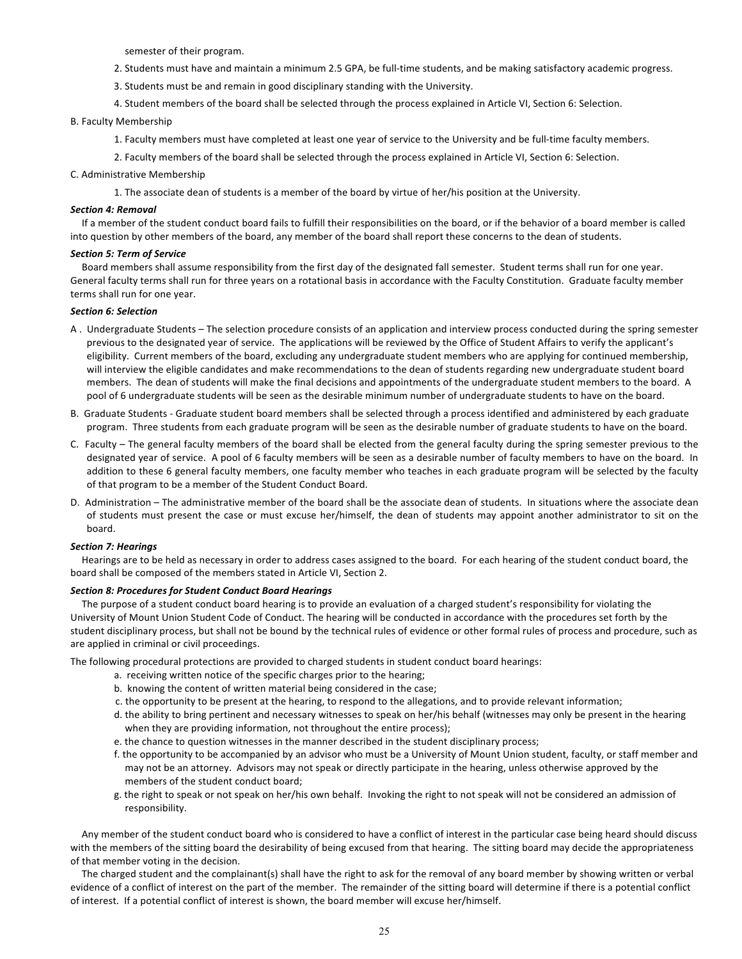semester of their program.

- 2. Students must have and maintain a minimum 2.5 GPA, be full-time students, and be making satisfactory academic progress.
- 3. Students must be and remain in good disciplinary standing with the University.
- 4. Student members of the board shall be selected through the process explained in Article VI, Section 6: Selection.

## B. Faculty Membership

- 1. Faculty members must have completed at least one year of service to the University and be full-time faculty members.
- 2. Faculty members of the board shall be selected through the process explained in Article VI, Section 6: Selection.

## C. Administrative Membership

1. The associate dean of students is a member of the board by virtue of her/his position at the University.

## *Section 4: Removal*

If a member of the student conduct board fails to fulfill their responsibilities on the board, or if the behavior of a board member is called into question by other members of the board, any member of the board shall report these concerns to the dean of students.

## *Section 5: Term of Service*

Board members shall assume responsibility from the first day of the designated fall semester. Student terms shall run for one year. General faculty terms shall run for three years on a rotational basis in accordance with the Faculty Constitution. Graduate faculty member terms shall run for one year.

## *Section 6: Selection*

- A . Undergraduate Students The selection procedure consists of an application and interview process conducted during the spring semester previous to the designated year of service. The applications will be reviewed by the Office of Student Affairs to verify the applicant's eligibility. Current members of the board, excluding any undergraduate student members who are applying for continued membership, will interview the eligible candidates and make recommendations to the dean of students regarding new undergraduate student board members. The dean of students will make the final decisions and appointments of the undergraduate student members to the board. A pool of 6 undergraduate students will be seen as the desirable minimum number of undergraduate students to have on the board.
- B. Graduate Students Graduate student board members shall be selected through a process identified and administered by each graduate program. Three students from each graduate program will be seen as the desirable number of graduate students to have on the board.
- C. Faculty The general faculty members of the board shall be elected from the general faculty during the spring semester previous to the designated year of service. A pool of 6 faculty members will be seen as a desirable number of faculty members to have on the board. In addition to these 6 general faculty members, one faculty member who teaches in each graduate program will be selected by the faculty of that program to be a member of the Student Conduct Board.
- D. Administration The administrative member of the board shall be the associate dean of students. In situations where the associate dean of students must present the case or must excuse her/himself, the dean of students may appoint another administrator to sit on the board.

## *Section 7: Hearings*

Hearings are to be held as necessary in order to address cases assigned to the board. For each hearing of the student conduct board, the board shall be composed of the members stated in Article VI, Section 2.

### *Section 8: Procedures for Student Conduct Board Hearings*

The purpose of a student conduct board hearing is to provide an evaluation of a charged student's responsibility for violating the University of Mount Union Student Code of Conduct. The hearing will be conducted in accordance with the procedures set forth by the student disciplinary process, but shall not be bound by the technical rules of evidence or other formal rules of process and procedure, such as are applied in criminal or civil proceedings.

The following procedural protections are provided to charged students in student conduct board hearings:

- a. receiving written notice of the specific charges prior to the hearing;
- b. knowing the content of written material being considered in the case;
- c. the opportunity to be present at the hearing, to respond to the allegations, and to provide relevant information;
- d. the ability to bring pertinent and necessary witnesses to speak on her/his behalf (witnesses may only be present in the hearing when they are providing information, not throughout the entire process);
- e. the chance to question witnesses in the manner described in the student disciplinary process;
- f. the opportunity to be accompanied by an advisor who must be a University of Mount Union student, faculty, or staff member and may not be an attorney. Advisors may not speak or directly participate in the hearing, unless otherwise approved by the members of the student conduct board;
- g. the right to speak or not speak on her/his own behalf. Invoking the right to not speak will not be considered an admission of responsibility.

Any member of the student conduct board who is considered to have a conflict of interest in the particular case being heard should discuss with the members of the sitting board the desirability of being excused from that hearing. The sitting board may decide the appropriateness of that member voting in the decision.

The charged student and the complainant(s) shall have the right to ask for the removal of any board member by showing written or verbal evidence of a conflict of interest on the part of the member. The remainder of the sitting board will determine if there is a potential conflict of interest. If a potential conflict of interest is shown, the board member will excuse her/himself.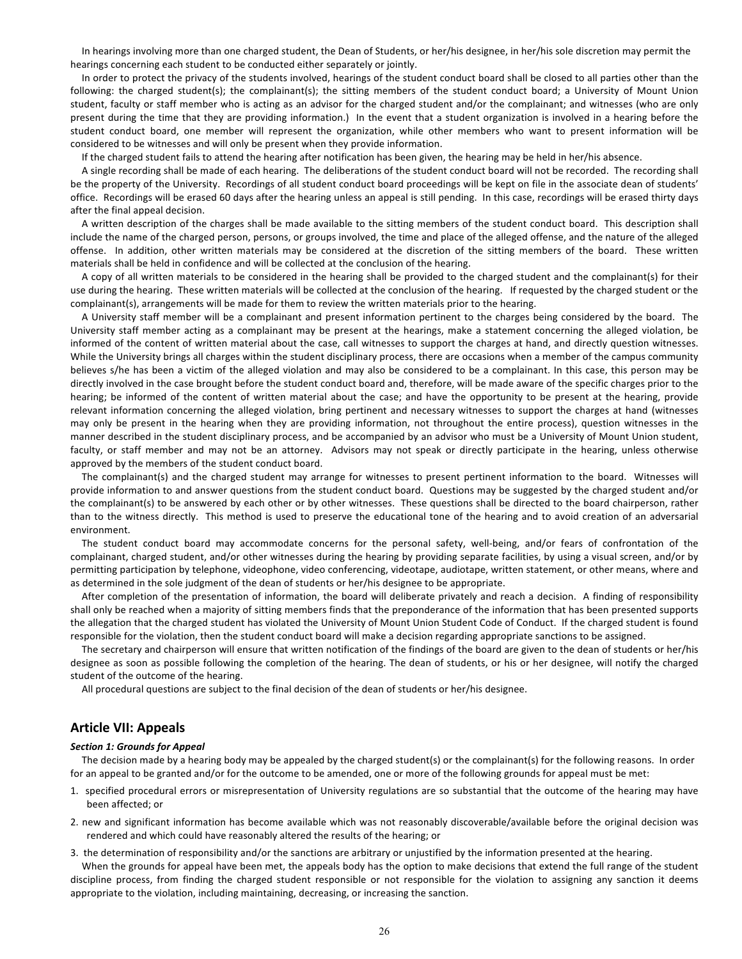In hearings involving more than one charged student, the Dean of Students, or her/his designee, in her/his sole discretion may permit the hearings concerning each student to be conducted either separately or jointly.

In order to protect the privacy of the students involved, hearings of the student conduct board shall be closed to all parties other than the following: the charged student(s); the complainant(s); the sitting members of the student conduct board; a University of Mount Union student, faculty or staff member who is acting as an advisor for the charged student and/or the complainant; and witnesses (who are only present during the time that they are providing information.) In the event that a student organization is involved in a hearing before the student conduct board, one member will represent the organization, while other members who want to present information will be considered to be witnesses and will only be present when they provide information.

If the charged student fails to attend the hearing after notification has been given, the hearing may be held in her/his absence.

A single recording shall be made of each hearing. The deliberations of the student conduct board will not be recorded. The recording shall be the property of the University. Recordings of all student conduct board proceedings will be kept on file in the associate dean of students' office. Recordings will be erased 60 days after the hearing unless an appeal is still pending. In this case, recordings will be erased thirty days after the final appeal decision.

A written description of the charges shall be made available to the sitting members of the student conduct board. This description shall include the name of the charged person, persons, or groups involved, the time and place of the alleged offense, and the nature of the alleged offense. In addition, other written materials may be considered at the discretion of the sitting members of the board. These written materials shall be held in confidence and will be collected at the conclusion of the hearing.

A copy of all written materials to be considered in the hearing shall be provided to the charged student and the complainant(s) for their use during the hearing. These written materials will be collected at the conclusion of the hearing. If requested by the charged student or the complainant(s), arrangements will be made for them to review the written materials prior to the hearing.

A University staff member will be a complainant and present information pertinent to the charges being considered by the board. The University staff member acting as a complainant may be present at the hearings, make a statement concerning the alleged violation, be informed of the content of written material about the case, call witnesses to support the charges at hand, and directly question witnesses. While the University brings all charges within the student disciplinary process, there are occasions when a member of the campus community believes s/he has been a victim of the alleged violation and may also be considered to be a complainant. In this case, this person may be directly involved in the case brought before the student conduct board and, therefore, will be made aware of the specific charges prior to the hearing; be informed of the content of written material about the case; and have the opportunity to be present at the hearing, provide relevant information concerning the alleged violation, bring pertinent and necessary witnesses to support the charges at hand (witnesses may only be present in the hearing when they are providing information, not throughout the entire process), question witnesses in the manner described in the student disciplinary process, and be accompanied by an advisor who must be a University of Mount Union student, faculty, or staff member and may not be an attorney. Advisors may not speak or directly participate in the hearing, unless otherwise approved by the members of the student conduct board.

The complainant(s) and the charged student may arrange for witnesses to present pertinent information to the board. Witnesses will provide information to and answer questions from the student conduct board. Questions may be suggested by the charged student and/or the complainant(s) to be answered by each other or by other witnesses. These questions shall be directed to the board chairperson, rather than to the witness directly. This method is used to preserve the educational tone of the hearing and to avoid creation of an adversarial environment.

The student conduct board may accommodate concerns for the personal safety, well-being, and/or fears of confrontation of the complainant, charged student, and/or other witnesses during the hearing by providing separate facilities, by using a visual screen, and/or by permitting participation by telephone, videophone, video conferencing, videotape, audiotape, written statement, or other means, where and as determined in the sole judgment of the dean of students or her/his designee to be appropriate.

After completion of the presentation of information, the board will deliberate privately and reach a decision. A finding of responsibility shall only be reached when a majority of sitting members finds that the preponderance of the information that has been presented supports the allegation that the charged student has violated the University of Mount Union Student Code of Conduct. If the charged student is found responsible for the violation, then the student conduct board will make a decision regarding appropriate sanctions to be assigned.

The secretary and chairperson will ensure that written notification of the findings of the board are given to the dean of students or her/his designee as soon as possible following the completion of the hearing. The dean of students, or his or her designee, will notify the charged student of the outcome of the hearing.

All procedural questions are subject to the final decision of the dean of students or her/his designee.

# **Article VII: Appeals**

#### *Section 1: Grounds for Appeal*

The decision made by a hearing body may be appealed by the charged student(s) or the complainant(s) for the following reasons. In order for an appeal to be granted and/or for the outcome to be amended, one or more of the following grounds for appeal must be met:

- 1. specified procedural errors or misrepresentation of University regulations are so substantial that the outcome of the hearing may have been affected; or
- 2. new and significant information has become available which was not reasonably discoverable/available before the original decision was rendered and which could have reasonably altered the results of the hearing; or
- 3. the determination of responsibility and/or the sanctions are arbitrary or unjustified by the information presented at the hearing.

When the grounds for appeal have been met, the appeals body has the option to make decisions that extend the full range of the student discipline process, from finding the charged student responsible or not responsible for the violation to assigning any sanction it deems appropriate to the violation, including maintaining, decreasing, or increasing the sanction.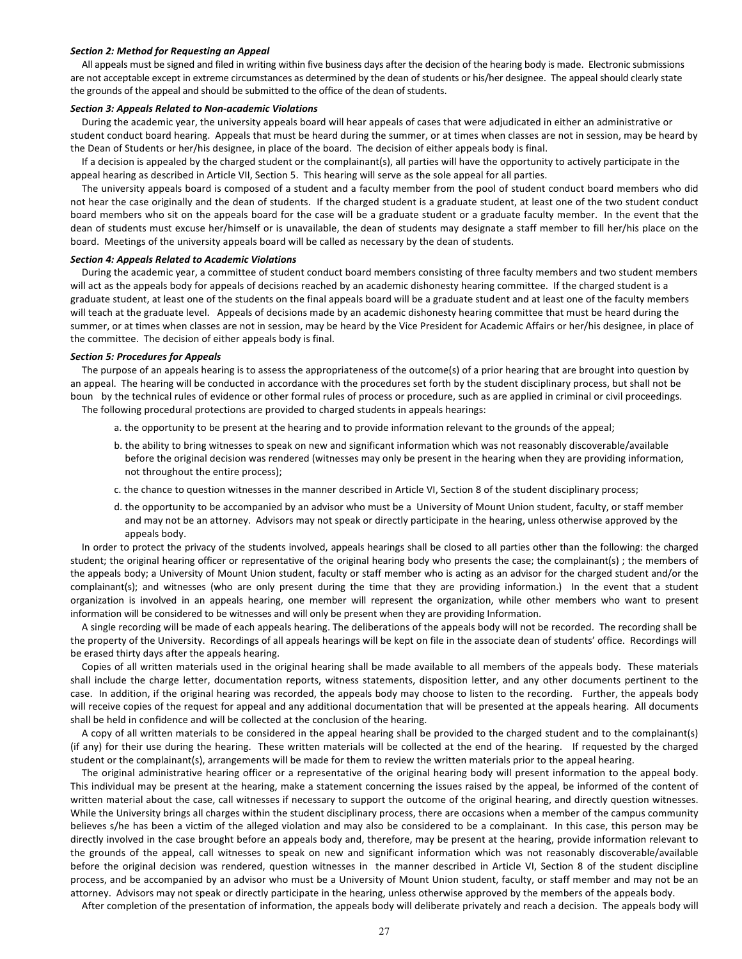#### **Section 2: Method for Requesting an Appeal**

All appeals must be signed and filed in writing within five business days after the decision of the hearing body is made. Electronic submissions are not acceptable except in extreme circumstances as determined by the dean of students or his/her designee. The appeal should clearly state the grounds of the appeal and should be submitted to the office of the dean of students.

#### *Section 3: Appeals Related to Non-academic Violations*

During the academic year, the university appeals board will hear appeals of cases that were adjudicated in either an administrative or student conduct board hearing. Appeals that must be heard during the summer, or at times when classes are not in session, may be heard by the Dean of Students or her/his designee, in place of the board. The decision of either appeals body is final.

If a decision is appealed by the charged student or the complainant(s), all parties will have the opportunity to actively participate in the appeal hearing as described in Article VII, Section 5. This hearing will serve as the sole appeal for all parties.

The university appeals board is composed of a student and a faculty member from the pool of student conduct board members who did not hear the case originally and the dean of students. If the charged student is a graduate student, at least one of the two student conduct board members who sit on the appeals board for the case will be a graduate student or a graduate faculty member. In the event that the dean of students must excuse her/himself or is unavailable, the dean of students may designate a staff member to fill her/his place on the board. Meetings of the university appeals board will be called as necessary by the dean of students.

#### *Section 4: Appeals Related to Academic Violations*

During the academic year, a committee of student conduct board members consisting of three faculty members and two student members will act as the appeals body for appeals of decisions reached by an academic dishonesty hearing committee. If the charged student is a graduate student, at least one of the students on the final appeals board will be a graduate student and at least one of the faculty members will teach at the graduate level. Appeals of decisions made by an academic dishonesty hearing committee that must be heard during the summer, or at times when classes are not in session, may be heard by the Vice President for Academic Affairs or her/his designee, in place of the committee. The decision of either appeals body is final.

#### *Section 5: Procedures for Appeals*

The purpose of an appeals hearing is to assess the appropriateness of the outcome(s) of a prior hearing that are brought into question by an appeal. The hearing will be conducted in accordance with the procedures set forth by the student disciplinary process, but shall not be boun by the technical rules of evidence or other formal rules of process or procedure, such as are applied in criminal or civil proceedings. The following procedural protections are provided to charged students in appeals hearings:

- a. the opportunity to be present at the hearing and to provide information relevant to the grounds of the appeal;
- b. the ability to bring witnesses to speak on new and significant information which was not reasonably discoverable/available before the original decision was rendered (witnesses may only be present in the hearing when they are providing information, not throughout the entire process);
- c. the chance to question witnesses in the manner described in Article VI, Section 8 of the student disciplinary process;
- d. the opportunity to be accompanied by an advisor who must be a University of Mount Union student, faculty, or staff member and may not be an attorney. Advisors may not speak or directly participate in the hearing, unless otherwise approved by the appeals body.

In order to protect the privacy of the students involved, appeals hearings shall be closed to all parties other than the following: the charged student; the original hearing officer or representative of the original hearing body who presents the case; the complainant(s) ; the members of the appeals body; a University of Mount Union student, faculty or staff member who is acting as an advisor for the charged student and/or the complainant(s); and witnesses (who are only present during the time that they are providing information.) In the event that a student organization is involved in an appeals hearing, one member will represent the organization, while other members who want to present information will be considered to be witnesses and will only be present when they are providing Information.

A single recording will be made of each appeals hearing. The deliberations of the appeals body will not be recorded. The recording shall be the property of the University. Recordings of all appeals hearings will be kept on file in the associate dean of students' office. Recordings will be erased thirty days after the appeals hearing.

Copies of all written materials used in the original hearing shall be made available to all members of the appeals body. These materials shall include the charge letter, documentation reports, witness statements, disposition letter, and any other documents pertinent to the case. In addition, if the original hearing was recorded, the appeals body may choose to listen to the recording. Further, the appeals body will receive copies of the request for appeal and any additional documentation that will be presented at the appeals hearing. All documents shall be held in confidence and will be collected at the conclusion of the hearing.

A copy of all written materials to be considered in the appeal hearing shall be provided to the charged student and to the complainant(s) (if any) for their use during the hearing. These written materials will be collected at the end of the hearing. If requested by the charged student or the complainant(s), arrangements will be made for them to review the written materials prior to the appeal hearing.

The original administrative hearing officer or a representative of the original hearing body will present information to the appeal body. This individual may be present at the hearing, make a statement concerning the issues raised by the appeal, be informed of the content of written material about the case, call witnesses if necessary to support the outcome of the original hearing, and directly question witnesses. While the University brings all charges within the student disciplinary process, there are occasions when a member of the campus community believes s/he has been a victim of the alleged violation and may also be considered to be a complainant. In this case, this person may be directly involved in the case brought before an appeals body and, therefore, may be present at the hearing, provide information relevant to the grounds of the appeal, call witnesses to speak on new and significant information which was not reasonably discoverable/available before the original decision was rendered, question witnesses in the manner described in Article VI, Section 8 of the student discipline process, and be accompanied by an advisor who must be a University of Mount Union student, faculty, or staff member and may not be an attorney. Advisors may not speak or directly participate in the hearing, unless otherwise approved by the members of the appeals body.

After completion of the presentation of information, the appeals body will deliberate privately and reach a decision. The appeals body will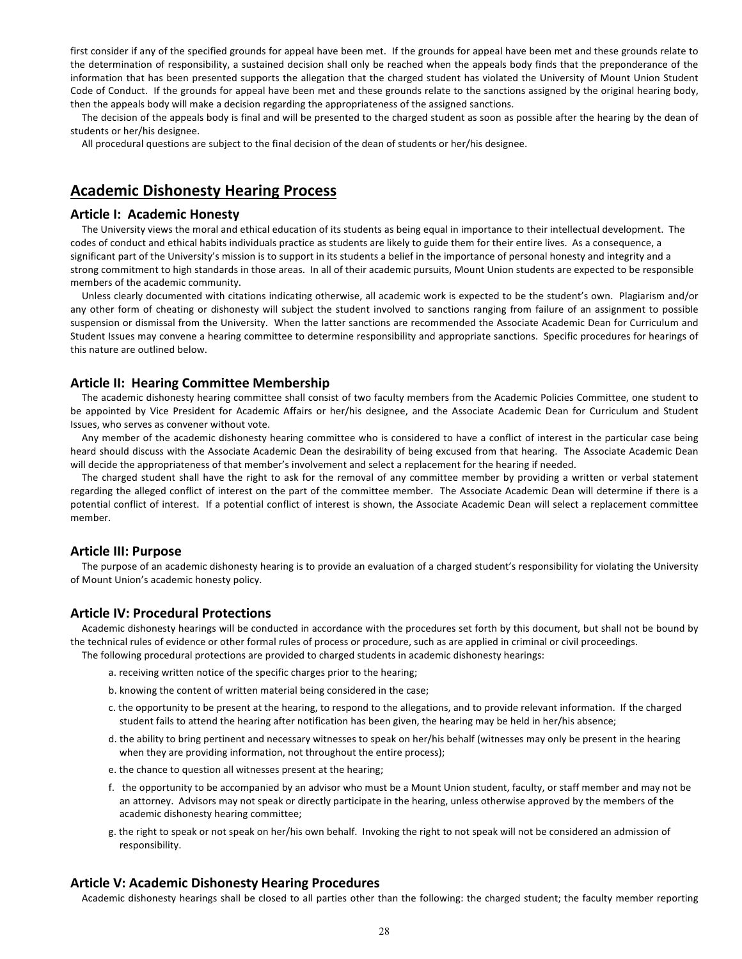first consider if any of the specified grounds for appeal have been met. If the grounds for appeal have been met and these grounds relate to the determination of responsibility, a sustained decision shall only be reached when the appeals body finds that the preponderance of the information that has been presented supports the allegation that the charged student has violated the University of Mount Union Student Code of Conduct. If the grounds for appeal have been met and these grounds relate to the sanctions assigned by the original hearing body, then the appeals body will make a decision regarding the appropriateness of the assigned sanctions.

The decision of the appeals body is final and will be presented to the charged student as soon as possible after the hearing by the dean of students or her/his designee.

All procedural questions are subject to the final decision of the dean of students or her/his designee.

# **Academic Dishonesty Hearing Process**

# **Article I: Academic Honesty**

The University views the moral and ethical education of its students as being equal in importance to their intellectual development. The codes of conduct and ethical habits individuals practice as students are likely to guide them for their entire lives. As a consequence, a significant part of the University's mission is to support in its students a belief in the importance of personal honesty and integrity and a strong commitment to high standards in those areas. In all of their academic pursuits, Mount Union students are expected to be responsible members of the academic community.

Unless clearly documented with citations indicating otherwise, all academic work is expected to be the student's own. Plagiarism and/or any other form of cheating or dishonesty will subject the student involved to sanctions ranging from failure of an assignment to possible suspension or dismissal from the University. When the latter sanctions are recommended the Associate Academic Dean for Curriculum and Student Issues may convene a hearing committee to determine responsibility and appropriate sanctions. Specific procedures for hearings of this nature are outlined below.

# **Article II: Hearing Committee Membership**

The academic dishonesty hearing committee shall consist of two faculty members from the Academic Policies Committee, one student to be appointed by Vice President for Academic Affairs or her/his designee, and the Associate Academic Dean for Curriculum and Student Issues, who serves as convener without vote.

Any member of the academic dishonesty hearing committee who is considered to have a conflict of interest in the particular case being heard should discuss with the Associate Academic Dean the desirability of being excused from that hearing. The Associate Academic Dean will decide the appropriateness of that member's involvement and select a replacement for the hearing if needed.

The charged student shall have the right to ask for the removal of any committee member by providing a written or verbal statement regarding the alleged conflict of interest on the part of the committee member. The Associate Academic Dean will determine if there is a potential conflict of interest. If a potential conflict of interest is shown, the Associate Academic Dean will select a replacement committee member.

# **Article III: Purpose**

The purpose of an academic dishonesty hearing is to provide an evaluation of a charged student's responsibility for violating the University of Mount Union's academic honesty policy.

# **Article IV: Procedural Protections**

Academic dishonesty hearings will be conducted in accordance with the procedures set forth by this document, but shall not be bound by the technical rules of evidence or other formal rules of process or procedure, such as are applied in criminal or civil proceedings. The following procedural protections are provided to charged students in academic dishonesty hearings:

- a. receiving written notice of the specific charges prior to the hearing;
- b. knowing the content of written material being considered in the case;
- c. the opportunity to be present at the hearing, to respond to the allegations, and to provide relevant information. If the charged student fails to attend the hearing after notification has been given, the hearing may be held in her/his absence;
- d. the ability to bring pertinent and necessary witnesses to speak on her/his behalf (witnesses may only be present in the hearing when they are providing information, not throughout the entire process);
- e. the chance to question all witnesses present at the hearing;
- f. the opportunity to be accompanied by an advisor who must be a Mount Union student, faculty, or staff member and may not be an attorney. Advisors may not speak or directly participate in the hearing, unless otherwise approved by the members of the academic dishonesty hearing committee;
- g. the right to speak or not speak on her/his own behalf. Invoking the right to not speak will not be considered an admission of responsibility.

### **Article V: Academic Dishonesty Hearing Procedures**

Academic dishonesty hearings shall be closed to all parties other than the following: the charged student; the faculty member reporting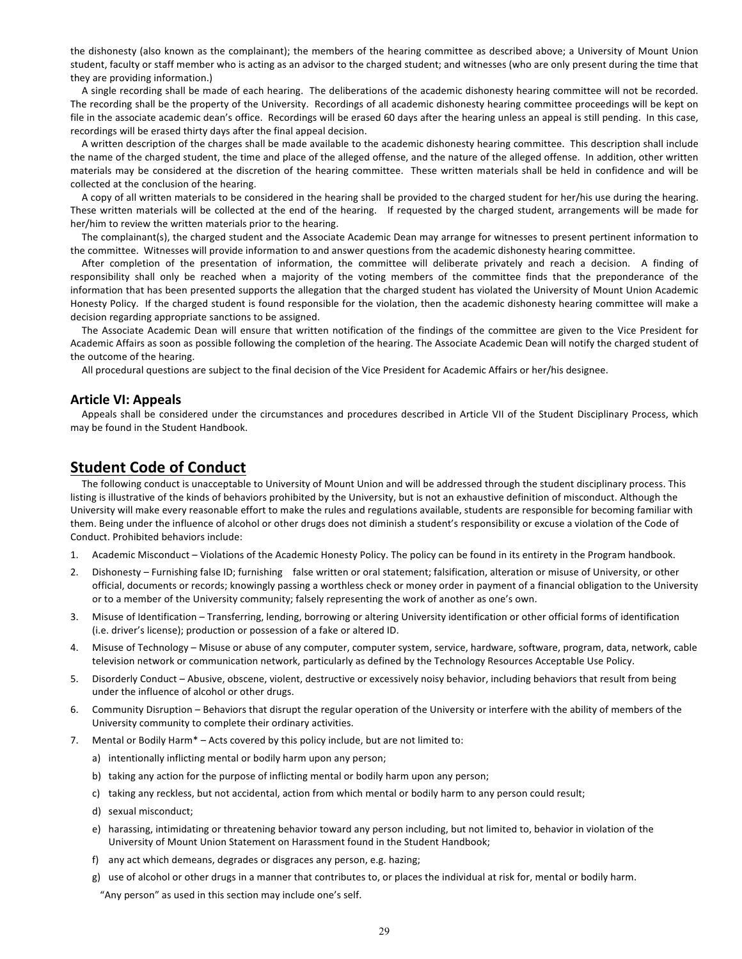the dishonesty (also known as the complainant); the members of the hearing committee as described above; a University of Mount Union student, faculty or staff member who is acting as an advisor to the charged student; and witnesses (who are only present during the time that they are providing information.) 

A single recording shall be made of each hearing. The deliberations of the academic dishonesty hearing committee will not be recorded. The recording shall be the property of the University. Recordings of all academic dishonesty hearing committee proceedings will be kept on file in the associate academic dean's office. Recordings will be erased 60 days after the hearing unless an appeal is still pending. In this case, recordings will be erased thirty days after the final appeal decision.

A written description of the charges shall be made available to the academic dishonesty hearing committee. This description shall include the name of the charged student, the time and place of the alleged offense, and the nature of the alleged offense. In addition, other written materials may be considered at the discretion of the hearing committee. These written materials shall be held in confidence and will be collected at the conclusion of the hearing.

A copy of all written materials to be considered in the hearing shall be provided to the charged student for her/his use during the hearing. These written materials will be collected at the end of the hearing. If requested by the charged student, arrangements will be made for her/him to review the written materials prior to the hearing.

The complainant(s), the charged student and the Associate Academic Dean may arrange for witnesses to present pertinent information to the committee. Witnesses will provide information to and answer questions from the academic dishonesty hearing committee.

After completion of the presentation of information, the committee will deliberate privately and reach a decision. A finding of responsibility shall only be reached when a majority of the voting members of the committee finds that the preponderance of the information that has been presented supports the allegation that the charged student has violated the University of Mount Union Academic Honesty Policy. If the charged student is found responsible for the violation, then the academic dishonesty hearing committee will make a decision regarding appropriate sanctions to be assigned.

The Associate Academic Dean will ensure that written notification of the findings of the committee are given to the Vice President for Academic Affairs as soon as possible following the completion of the hearing. The Associate Academic Dean will notify the charged student of the outcome of the hearing.

All procedural questions are subject to the final decision of the Vice President for Academic Affairs or her/his designee.

## **Article VI: Appeals**

Appeals shall be considered under the circumstances and procedures described in Article VII of the Student Disciplinary Process, which may be found in the Student Handbook.

# **Student Code of Conduct**

The following conduct is unacceptable to University of Mount Union and will be addressed through the student disciplinary process. This listing is illustrative of the kinds of behaviors prohibited by the University, but is not an exhaustive definition of misconduct. Although the University will make every reasonable effort to make the rules and regulations available, students are responsible for becoming familiar with them. Being under the influence of alcohol or other drugs does not diminish a student's responsibility or excuse a violation of the Code of Conduct. Prohibited behaviors include:

- 1. Academic Misconduct Violations of the Academic Honesty Policy. The policy can be found in its entirety in the Program handbook.
- 2. Dishonesty Furnishing false ID; furnishing false written or oral statement; falsification, alteration or misuse of University, or other official, documents or records; knowingly passing a worthless check or money order in payment of a financial obligation to the University or to a member of the University community; falsely representing the work of another as one's own.
- 3. Misuse of Identification Transferring, lending, borrowing or altering University identification or other official forms of identification (i.e. driver's license); production or possession of a fake or altered ID.
- 4. Misuse of Technology Misuse or abuse of any computer, computer system, service, hardware, software, program, data, network, cable television network or communication network, particularly as defined by the Technology Resources Acceptable Use Policy.
- 5. Disorderly Conduct Abusive, obscene, violent, destructive or excessively noisy behavior, including behaviors that result from being under the influence of alcohol or other drugs.
- 6. Community Disruption Behaviors that disrupt the regular operation of the University or interfere with the ability of members of the University community to complete their ordinary activities.
- 7. Mental or Bodily Harm $* -$  Acts covered by this policy include, but are not limited to:
	- a) intentionally inflicting mental or bodily harm upon any person;
	- b) taking any action for the purpose of inflicting mental or bodily harm upon any person;
	- c) taking any reckless, but not accidental, action from which mental or bodily harm to any person could result;
	- d) sexual misconduct;
	- e) harassing, intimidating or threatening behavior toward any person including, but not limited to, behavior in violation of the University of Mount Union Statement on Harassment found in the Student Handbook;
	- f) any act which demeans, degrades or disgraces any person, e.g. hazing;
	- g) use of alcohol or other drugs in a manner that contributes to, or places the individual at risk for, mental or bodily harm.

"Any person" as used in this section may include one's self.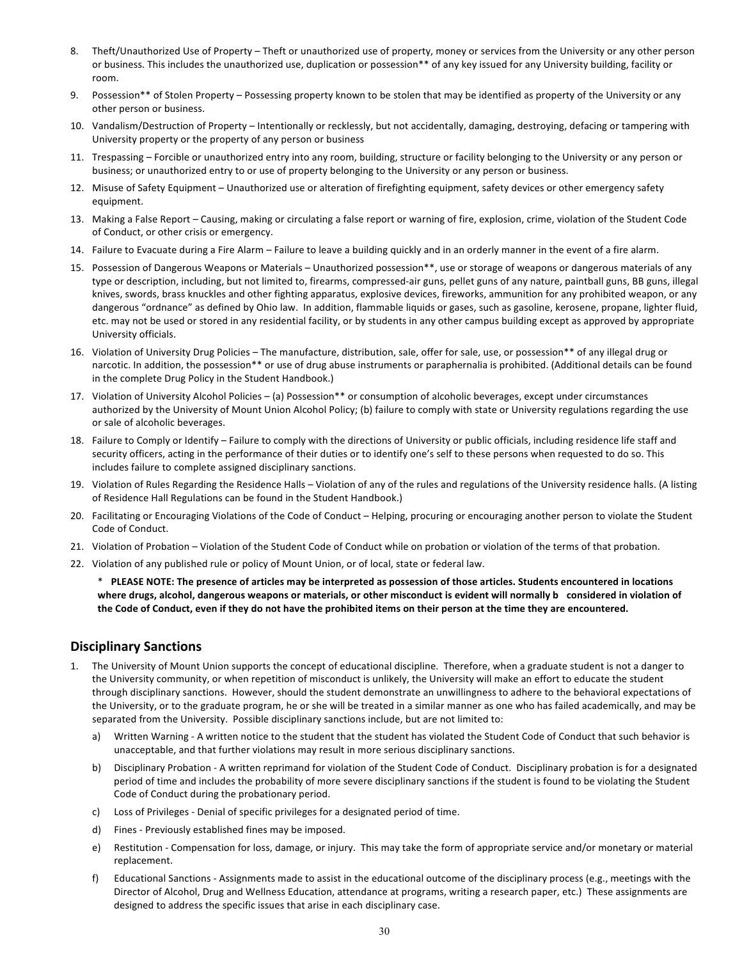- 8. Theft/Unauthorized Use of Property Theft or unauthorized use of property, money or services from the University or any other person or business. This includes the unauthorized use, duplication or possession\*\* of any key issued for any University building, facility or room.
- 9. Possession\*\* of Stolen Property Possessing property known to be stolen that may be identified as property of the University or any other person or business.
- 10. Vandalism/Destruction of Property Intentionally or recklessly, but not accidentally, damaging, destroying, defacing or tampering with University property or the property of any person or business
- 11. Trespassing Forcible or unauthorized entry into any room, building, structure or facility belonging to the University or any person or business; or unauthorized entry to or use of property belonging to the University or any person or business.
- 12. Misuse of Safety Equipment Unauthorized use or alteration of firefighting equipment, safety devices or other emergency safety equipment.
- 13. Making a False Report Causing, making or circulating a false report or warning of fire, explosion, crime, violation of the Student Code of Conduct, or other crisis or emergency.
- 14. Failure to Evacuate during a Fire Alarm Failure to leave a building quickly and in an orderly manner in the event of a fire alarm.
- 15. Possession of Dangerous Weapons or Materials Unauthorized possession\*\*, use or storage of weapons or dangerous materials of any type or description, including, but not limited to, firearms, compressed-air guns, pellet guns of any nature, paintball guns, BB guns, illegal knives, swords, brass knuckles and other fighting apparatus, explosive devices, fireworks, ammunition for any prohibited weapon, or any dangerous "ordnance" as defined by Ohio law. In addition, flammable liquids or gases, such as gasoline, kerosene, propane, lighter fluid, etc. may not be used or stored in any residential facility, or by students in any other campus building except as approved by appropriate University officials.
- 16. Violation of University Drug Policies The manufacture, distribution, sale, offer for sale, use, or possession\*\* of any illegal drug or narcotic. In addition, the possession\*\* or use of drug abuse instruments or paraphernalia is prohibited. (Additional details can be found in the complete Drug Policy in the Student Handbook.)
- 17. Violation of University Alcohol Policies (a) Possession\*\* or consumption of alcoholic beverages, except under circumstances authorized by the University of Mount Union Alcohol Policy; (b) failure to comply with state or University regulations regarding the use or sale of alcoholic beverages.
- 18. Failure to Comply or Identify Failure to comply with the directions of University or public officials, including residence life staff and security officers, acting in the performance of their duties or to identify one's self to these persons when requested to do so. This includes failure to complete assigned disciplinary sanctions.
- 19. Violation of Rules Regarding the Residence Halls Violation of any of the rules and regulations of the University residence halls. (A listing of Residence Hall Regulations can be found in the Student Handbook.)
- 20. Facilitating or Encouraging Violations of the Code of Conduct Helping, procuring or encouraging another person to violate the Student Code of Conduct.
- 21. Violation of Probation Violation of the Student Code of Conduct while on probation or violation of the terms of that probation.
- 22. Violation of any published rule or policy of Mount Union, or of local, state or federal law.

\* **PLEASE NOTE: The presence of articles may be interpreted as possession of those articles. Students encountered in locations** where drugs, alcohol, dangerous weapons or materials, or other misconduct is evident will normally b considered in violation of the Code of Conduct, even if they do not have the prohibited items on their person at the time they are encountered.

# **Disciplinary Sanctions**

- 1. The University of Mount Union supports the concept of educational discipline. Therefore, when a graduate student is not a danger to the University community, or when repetition of misconduct is unlikely, the University will make an effort to educate the student through disciplinary sanctions. However, should the student demonstrate an unwillingness to adhere to the behavioral expectations of the University, or to the graduate program, he or she will be treated in a similar manner as one who has failed academically, and may be separated from the University. Possible disciplinary sanctions include, but are not limited to:
	- a) Written Warning A written notice to the student that the student has violated the Student Code of Conduct that such behavior is unacceptable, and that further violations may result in more serious disciplinary sanctions.
	- b) Disciplinary Probation A written reprimand for violation of the Student Code of Conduct. Disciplinary probation is for a designated period of time and includes the probability of more severe disciplinary sanctions if the student is found to be violating the Student Code of Conduct during the probationary period.
	- c) Loss of Privileges Denial of specific privileges for a designated period of time.
	- d) Fines Previously established fines may be imposed.
	- e) Restitution Compensation for loss, damage, or injury. This may take the form of appropriate service and/or monetary or material replacement.
	- f) Educational Sanctions Assignments made to assist in the educational outcome of the disciplinary process (e.g., meetings with the Director of Alcohol, Drug and Wellness Education, attendance at programs, writing a research paper, etc.) These assignments are designed to address the specific issues that arise in each disciplinary case.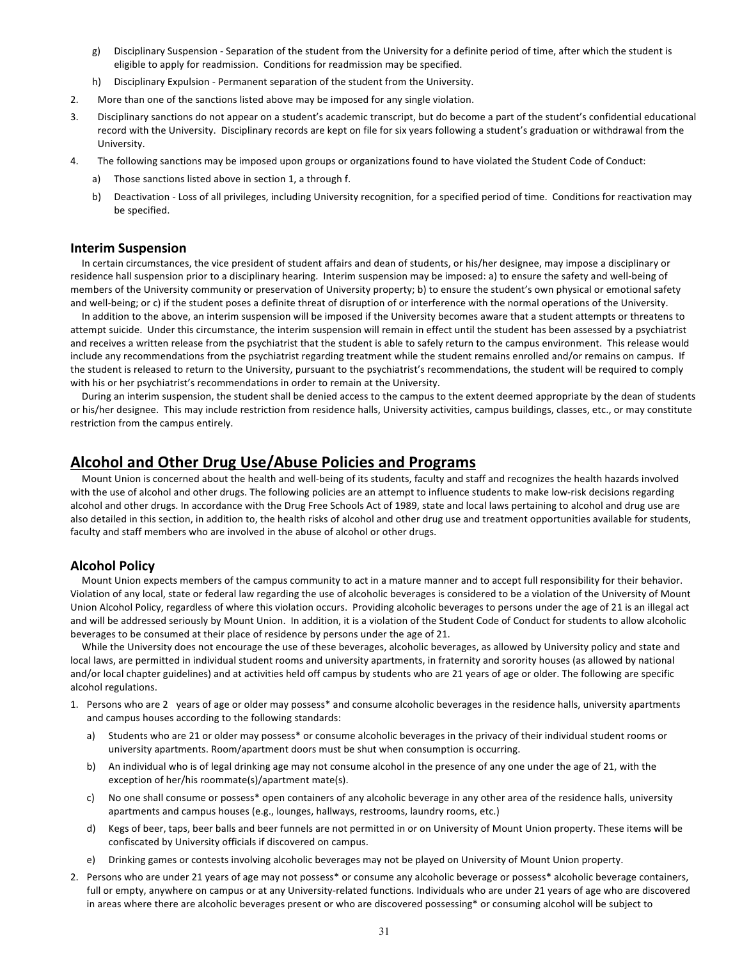- g) Disciplinary Suspension Separation of the student from the University for a definite period of time, after which the student is eligible to apply for readmission. Conditions for readmission may be specified.
- h) Disciplinary Expulsion Permanent separation of the student from the University.
- 2. More than one of the sanctions listed above may be imposed for any single violation.
- 3. Disciplinary sanctions do not appear on a student's academic transcript, but do become a part of the student's confidential educational record with the University. Disciplinary records are kept on file for six years following a student's graduation or withdrawal from the University.
- 4. The following sanctions may be imposed upon groups or organizations found to have violated the Student Code of Conduct:
	- a) Those sanctions listed above in section 1, a through f.
	- b) Deactivation Loss of all privileges, including University recognition, for a specified period of time. Conditions for reactivation may be specified.

## **Interim Suspension**

In certain circumstances, the vice president of student affairs and dean of students, or his/her designee, may impose a disciplinary or residence hall suspension prior to a disciplinary hearing. Interim suspension may be imposed: a) to ensure the safety and well-being of members of the University community or preservation of University property; b) to ensure the student's own physical or emotional safety and well-being; or c) if the student poses a definite threat of disruption of or interference with the normal operations of the University.

In addition to the above, an interim suspension will be imposed if the University becomes aware that a student attempts or threatens to attempt suicide. Under this circumstance, the interim suspension will remain in effect until the student has been assessed by a psychiatrist and receives a written release from the psychiatrist that the student is able to safely return to the campus environment. This release would include any recommendations from the psychiatrist regarding treatment while the student remains enrolled and/or remains on campus. If the student is released to return to the University, pursuant to the psychiatrist's recommendations, the student will be required to comply with his or her psychiatrist's recommendations in order to remain at the University.

During an interim suspension, the student shall be denied access to the campus to the extent deemed appropriate by the dean of students or his/her designee. This may include restriction from residence halls, University activities, campus buildings, classes, etc., or may constitute restriction from the campus entirely.

# **Alcohol and Other Drug Use/Abuse Policies and Programs**

Mount Union is concerned about the health and well-being of its students, faculty and staff and recognizes the health hazards involved with the use of alcohol and other drugs. The following policies are an attempt to influence students to make low-risk decisions regarding alcohol and other drugs. In accordance with the Drug Free Schools Act of 1989, state and local laws pertaining to alcohol and drug use are also detailed in this section, in addition to, the health risks of alcohol and other drug use and treatment opportunities available for students, faculty and staff members who are involved in the abuse of alcohol or other drugs.

# **Alcohol Policy**

Mount Union expects members of the campus community to act in a mature manner and to accept full responsibility for their behavior. Violation of any local, state or federal law regarding the use of alcoholic beverages is considered to be a violation of the University of Mount Union Alcohol Policy, regardless of where this violation occurs. Providing alcoholic beverages to persons under the age of 21 is an illegal act and will be addressed seriously by Mount Union. In addition, it is a violation of the Student Code of Conduct for students to allow alcoholic beverages to be consumed at their place of residence by persons under the age of 21.

While the University does not encourage the use of these beverages, alcoholic beverages, as allowed by University policy and state and local laws, are permitted in individual student rooms and university apartments, in fraternity and sorority houses (as allowed by national and/or local chapter guidelines) and at activities held off campus by students who are 21 years of age or older. The following are specific alcohol regulations.

- 1. Persons who are 2 years of age or older may possess\* and consume alcoholic beverages in the residence halls, university apartments and campus houses according to the following standards:
	- a) Students who are 21 or older may possess\* or consume alcoholic beverages in the privacy of their individual student rooms or university apartments. Room/apartment doors must be shut when consumption is occurring.
	- b) An individual who is of legal drinking age may not consume alcohol in the presence of any one under the age of 21, with the exception of her/his roommate(s)/apartment mate(s).
	- c) No one shall consume or possess\* open containers of any alcoholic beverage in any other area of the residence halls, university apartments and campus houses (e.g., lounges, hallways, restrooms, laundry rooms, etc.)
	- d) Kegs of beer, taps, beer balls and beer funnels are not permitted in or on University of Mount Union property. These items will be confiscated by University officials if discovered on campus.
	- e) Drinking games or contests involving alcoholic beverages may not be played on University of Mount Union property.
- 2. Persons who are under 21 years of age may not possess\* or consume any alcoholic beverage or possess\* alcoholic beverage containers, full or empty, anywhere on campus or at any University-related functions. Individuals who are under 21 years of age who are discovered in areas where there are alcoholic beverages present or who are discovered possessing\* or consuming alcohol will be subject to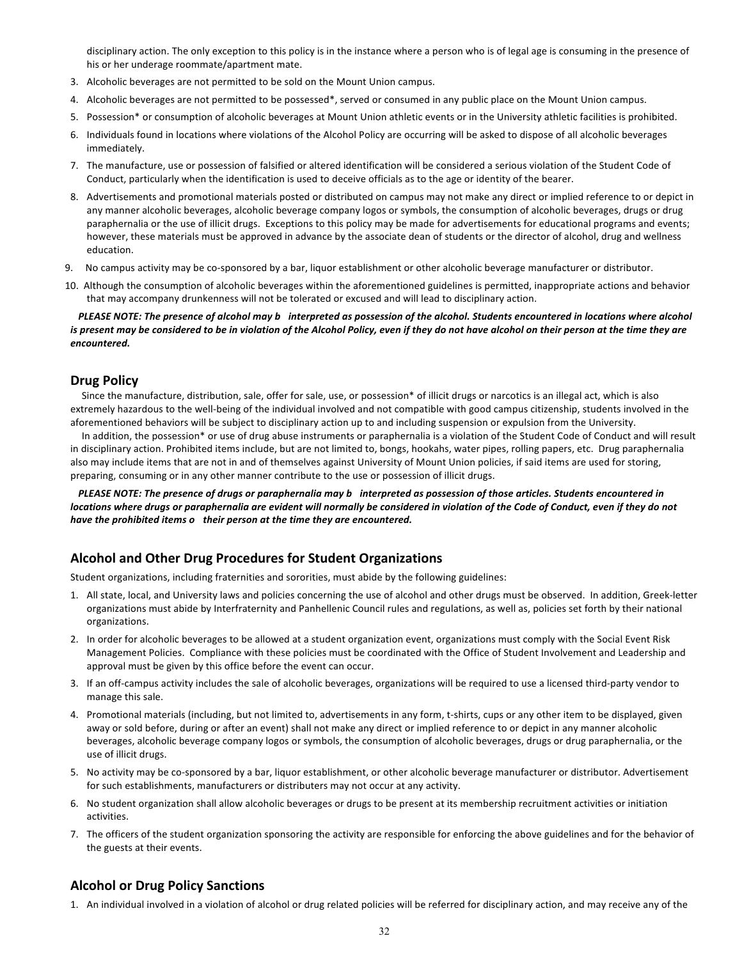disciplinary action. The only exception to this policy is in the instance where a person who is of legal age is consuming in the presence of his or her underage roommate/apartment mate.

- 3. Alcoholic beverages are not permitted to be sold on the Mount Union campus.
- 4. Alcoholic beverages are not permitted to be possessed\*, served or consumed in any public place on the Mount Union campus.
- 5. Possession\* or consumption of alcoholic beverages at Mount Union athletic events or in the University athletic facilities is prohibited.
- 6. Individuals found in locations where violations of the Alcohol Policy are occurring will be asked to dispose of all alcoholic beverages immediately.
- 7. The manufacture, use or possession of falsified or altered identification will be considered a serious violation of the Student Code of Conduct, particularly when the identification is used to deceive officials as to the age or identity of the bearer.
- 8. Advertisements and promotional materials posted or distributed on campus may not make any direct or implied reference to or depict in any manner alcoholic beverages, alcoholic beverage company logos or symbols, the consumption of alcoholic beverages, drugs or drug paraphernalia or the use of illicit drugs. Exceptions to this policy may be made for advertisements for educational programs and events; however, these materials must be approved in advance by the associate dean of students or the director of alcohol, drug and wellness education.
- 9. No campus activity may be co-sponsored by a bar, liquor establishment or other alcoholic beverage manufacturer or distributor.
- 10. Although the consumption of alcoholic beverages within the aforementioned guidelines is permitted, inappropriate actions and behavior that may accompany drunkenness will not be tolerated or excused and will lead to disciplinary action.

*PLEASE NOTE: The presence of alcohol may b* interpreted as possession of the alcohol. Students encountered in locations where alcohol is present may be considered to be in violation of the Alcohol Policy, even if they do not have alcohol on their person at the time they are *encountered.*

# **Drug Policy**

Since the manufacture, distribution, sale, offer for sale, use, or possession\* of illicit drugs or narcotics is an illegal act, which is also extremely hazardous to the well-being of the individual involved and not compatible with good campus citizenship, students involved in the aforementioned behaviors will be subject to disciplinary action up to and including suspension or expulsion from the University.

In addition, the possession\* or use of drug abuse instruments or paraphernalia is a violation of the Student Code of Conduct and will result in disciplinary action. Prohibited items include, but are not limited to, bongs, hookahs, water pipes, rolling papers, etc. Drug paraphernalia also may include items that are not in and of themselves against University of Mount Union policies, if said items are used for storing, preparing, consuming or in any other manner contribute to the use or possession of illicit drugs.

PLEASE NOTE: The presence of drugs or paraphernalia may b interpreted as possession of those articles. Students encountered in *locations where drugs or paraphernalia are evident will normally be considered in violation of the Code of Conduct, even if they do not have the prohibited items o their person at the time they are encountered.*

# **Alcohol and Other Drug Procedures for Student Organizations**

Student organizations, including fraternities and sororities, must abide by the following guidelines:

- 1. All state, local, and University laws and policies concerning the use of alcohol and other drugs must be observed. In addition, Greek-letter organizations must abide by Interfraternity and Panhellenic Council rules and regulations, as well as, policies set forth by their national organizations.
- 2. In order for alcoholic beverages to be allowed at a student organization event, organizations must comply with the Social Event Risk Management Policies. Compliance with these policies must be coordinated with the Office of Student Involvement and Leadership and approval must be given by this office before the event can occur.
- 3. If an off-campus activity includes the sale of alcoholic beverages, organizations will be required to use a licensed third-party vendor to manage this sale.
- 4. Promotional materials (including, but not limited to, advertisements in any form, t-shirts, cups or any other item to be displayed, given away or sold before, during or after an event) shall not make any direct or implied reference to or depict in any manner alcoholic beverages, alcoholic beverage company logos or symbols, the consumption of alcoholic beverages, drugs or drug paraphernalia, or the use of illicit drugs.
- 5. No activity may be co-sponsored by a bar, liquor establishment, or other alcoholic beverage manufacturer or distributor. Advertisement for such establishments, manufacturers or distributers may not occur at any activity.
- 6. No student organization shall allow alcoholic beverages or drugs to be present at its membership recruitment activities or initiation activities.
- 7. The officers of the student organization sponsoring the activity are responsible for enforcing the above guidelines and for the behavior of the guests at their events.

# **Alcohol or Drug Policy Sanctions**

1. An individual involved in a violation of alcohol or drug related policies will be referred for disciplinary action, and may receive any of the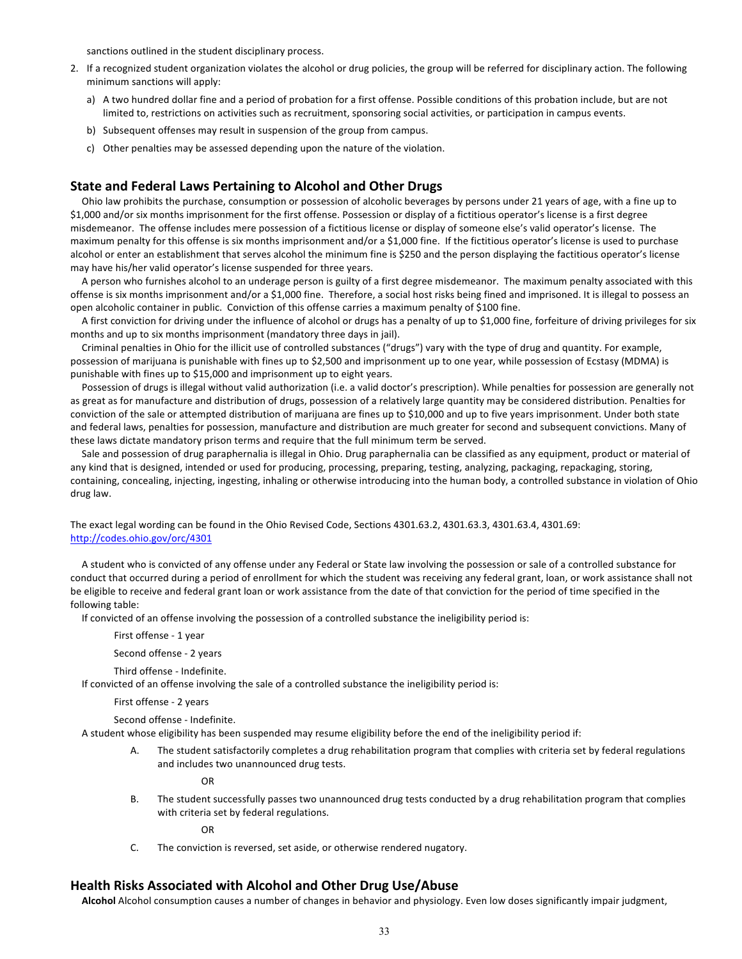sanctions outlined in the student disciplinary process.

- 2. If a recognized student organization violates the alcohol or drug policies, the group will be referred for disciplinary action. The following minimum sanctions will apply:
	- a) A two hundred dollar fine and a period of probation for a first offense. Possible conditions of this probation include, but are not limited to, restrictions on activities such as recruitment, sponsoring social activities, or participation in campus events.
	- b) Subsequent offenses may result in suspension of the group from campus.
	- c) Other penalties may be assessed depending upon the nature of the violation.

# **State and Federal Laws Pertaining to Alcohol and Other Drugs**

Ohio law prohibits the purchase, consumption or possession of alcoholic beverages by persons under 21 years of age, with a fine up to \$1,000 and/or six months imprisonment for the first offense. Possession or display of a fictitious operator's license is a first degree misdemeanor. The offense includes mere possession of a fictitious license or display of someone else's valid operator's license. The maximum penalty for this offense is six months imprisonment and/or a \$1,000 fine. If the fictitious operator's license is used to purchase alcohol or enter an establishment that serves alcohol the minimum fine is \$250 and the person displaying the factitious operator's license may have his/her valid operator's license suspended for three years.

A person who furnishes alcohol to an underage person is guilty of a first degree misdemeanor. The maximum penalty associated with this offense is six months imprisonment and/or a \$1,000 fine. Therefore, a social host risks being fined and imprisoned. It is illegal to possess an open alcoholic container in public. Conviction of this offense carries a maximum penalty of \$100 fine.

A first conviction for driving under the influence of alcohol or drugs has a penalty of up to \$1,000 fine, forfeiture of driving privileges for six months and up to six months imprisonment (mandatory three days in jail).

Criminal penalties in Ohio for the illicit use of controlled substances ("drugs") vary with the type of drug and quantity. For example, possession of marijuana is punishable with fines up to \$2,500 and imprisonment up to one year, while possession of Ecstasy (MDMA) is punishable with fines up to \$15,000 and imprisonment up to eight years.

Possession of drugs is illegal without valid authorization (i.e. a valid doctor's prescription). While penalties for possession are generally not as great as for manufacture and distribution of drugs, possession of a relatively large quantity may be considered distribution. Penalties for conviction of the sale or attempted distribution of marijuana are fines up to \$10,000 and up to five years imprisonment. Under both state and federal laws, penalties for possession, manufacture and distribution are much greater for second and subsequent convictions. Many of these laws dictate mandatory prison terms and require that the full minimum term be served.

Sale and possession of drug paraphernalia is illegal in Ohio. Drug paraphernalia can be classified as any equipment, product or material of any kind that is designed, intended or used for producing, processing, preparing, testing, analyzing, packaging, repackaging, storing, containing, concealing, injecting, ingesting, inhaling or otherwise introducing into the human body, a controlled substance in violation of Ohio drug law.

The exact legal wording can be found in the Ohio Revised Code, Sections 4301.63.2, 4301.63.3, 4301.63.4, 4301.69: http://codes.ohio.gov/orc/4301

A student who is convicted of any offense under any Federal or State law involving the possession or sale of a controlled substance for conduct that occurred during a period of enrollment for which the student was receiving any federal grant, loan, or work assistance shall not be eligible to receive and federal grant loan or work assistance from the date of that conviction for the period of time specified in the following table:

If convicted of an offense involving the possession of a controlled substance the ineligibility period is:

First offense - 1 year

Second offense - 2 years

Third offense - Indefinite.

If convicted of an offense involving the sale of a controlled substance the ineligibility period is:

#### First offense - 2 years

Second offense - Indefinite.

A student whose eligibility has been suspended may resume eligibility before the end of the ineligibility period if:

A. The student satisfactorily completes a drug rehabilitation program that complies with criteria set by federal regulations and includes two unannounced drug tests.

OR

B. The student successfully passes two unannounced drug tests conducted by a drug rehabilitation program that complies with criteria set by federal regulations.

OR

C. The conviction is reversed, set aside, or otherwise rendered nugatory.

# **Health Risks Associated with Alcohol and Other Drug Use/Abuse**

**Alcohol** Alcohol consumption causes a number of changes in behavior and physiology. Even low doses significantly impair judgment,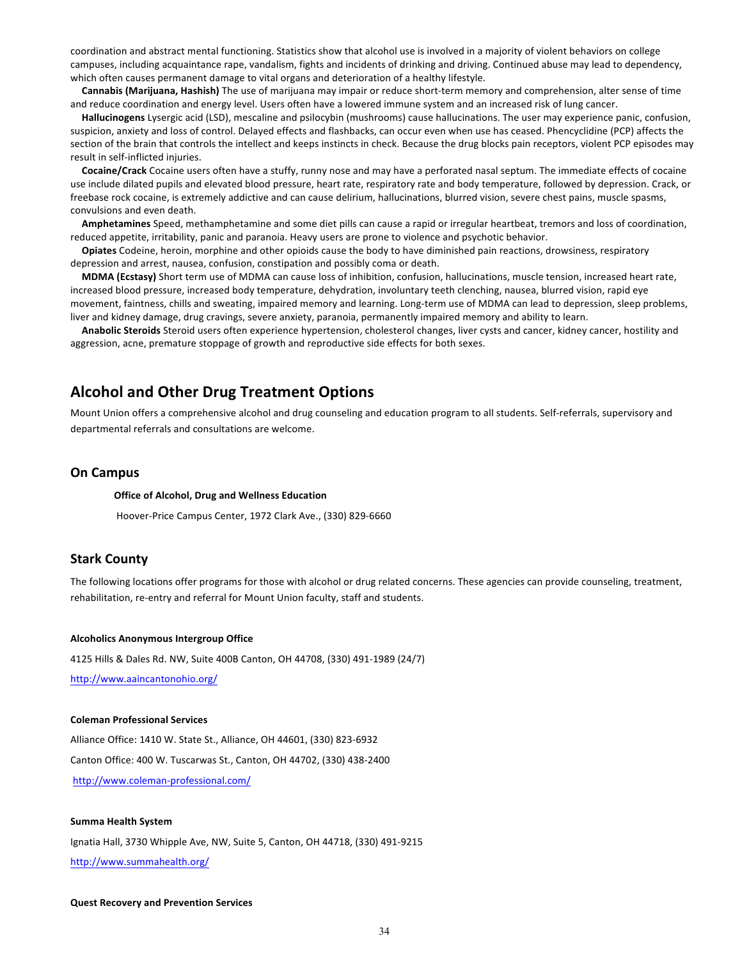coordination and abstract mental functioning. Statistics show that alcohol use is involved in a majority of violent behaviors on college campuses, including acquaintance rape, vandalism, fights and incidents of drinking and driving. Continued abuse may lead to dependency, which often causes permanent damage to vital organs and deterioration of a healthy lifestyle.

Cannabis (Marijuana, Hashish) The use of marijuana may impair or reduce short-term memory and comprehension, alter sense of time and reduce coordination and energy level. Users often have a lowered immune system and an increased risk of lung cancer.

Hallucinogens Lysergic acid (LSD), mescaline and psilocybin (mushrooms) cause hallucinations. The user may experience panic, confusion, suspicion, anxiety and loss of control. Delayed effects and flashbacks, can occur even when use has ceased. Phencyclidine (PCP) affects the section of the brain that controls the intellect and keeps instincts in check. Because the drug blocks pain receptors, violent PCP episodes may result in self-inflicted injuries.

Cocaine/Crack Cocaine users often have a stuffy, runny nose and may have a perforated nasal septum. The immediate effects of cocaine use include dilated pupils and elevated blood pressure, heart rate, respiratory rate and body temperature, followed by depression. Crack, or freebase rock cocaine, is extremely addictive and can cause delirium, hallucinations, blurred vision, severe chest pains, muscle spasms, convulsions and even death.

Amphetamines Speed, methamphetamine and some diet pills can cause a rapid or irregular heartbeat, tremors and loss of coordination, reduced appetite, irritability, panic and paranoia. Heavy users are prone to violence and psychotic behavior.

**Opiates** Codeine, heroin, morphine and other opioids cause the body to have diminished pain reactions, drowsiness, respiratory depression and arrest, nausea, confusion, constipation and possibly coma or death.

**MDMA (Ecstasy)** Short term use of MDMA can cause loss of inhibition, confusion, hallucinations, muscle tension, increased heart rate, increased blood pressure, increased body temperature, dehydration, involuntary teeth clenching, nausea, blurred vision, rapid eye movement, faintness, chills and sweating, impaired memory and learning. Long-term use of MDMA can lead to depression, sleep problems, liver and kidney damage, drug cravings, severe anxiety, paranoia, permanently impaired memory and ability to learn.

Anabolic Steroids Steroid users often experience hypertension, cholesterol changes, liver cysts and cancer, kidney cancer, hostility and aggression, acne, premature stoppage of growth and reproductive side effects for both sexes.

# **Alcohol and Other Drug Treatment Options**

Mount Union offers a comprehensive alcohol and drug counseling and education program to all students. Self-referrals, supervisory and departmental referrals and consultations are welcome.

# **On Campus**

#### **Office of Alcohol, Drug and Wellness Education**

Hoover-Price Campus Center, 1972 Clark Ave., (330) 829-6660

# **Stark County**

The following locations offer programs for those with alcohol or drug related concerns. These agencies can provide counseling, treatment, rehabilitation, re-entry and referral for Mount Union faculty, staff and students.

#### **Alcoholics Anonymous Intergroup Office**

4125 Hills & Dales Rd. NW, Suite 400B Canton, OH 44708, (330) 491-1989 (24/7)

http://www.aaincantonohio.org/

#### **Coleman Professional Services**

Alliance Office: 1410 W. State St., Alliance, OH 44601, (330) 823-6932 Canton Office: 400 W. Tuscarwas St., Canton, OH 44702, (330) 438-2400 http://www.coleman-professional.com/

#### **Summa Health System**

Ignatia Hall, 3730 Whipple Ave, NW, Suite 5, Canton, OH 44718, (330) 491-9215 http://www.summahealth.org/

#### **Quest Recovery and Prevention Services**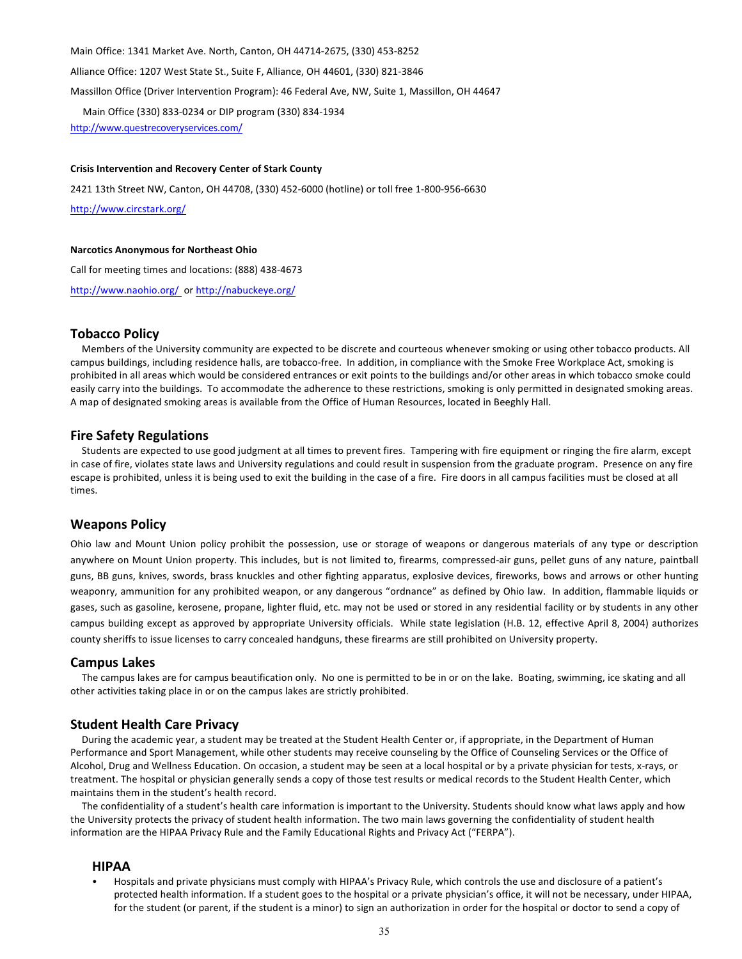Main Office: 1341 Market Ave. North, Canton, OH 44714-2675, (330) 453-8252

Alliance Office: 1207 West State St., Suite F, Alliance, OH 44601, (330) 821-3846

Massillon Office (Driver Intervention Program): 46 Federal Ave, NW, Suite 1, Massillon, OH 44647

Main Office (330) 833-0234 or DIP program (330) 834-1934

http://www.questrecoveryservices.com/

#### **Crisis Intervention and Recovery Center of Stark County**

2421 13th Street NW, Canton, OH 44708, (330) 452-6000 (hotline) or toll free 1-800-956-6630

http://www.circstark.org/

#### **Narcotics Anonymous for Northeast Ohio**

Call for meeting times and locations: (888) 438-4673

http://www.naohio.org/ or http://nabuckeye.org/

## **Tobacco Policy**

Members of the University community are expected to be discrete and courteous whenever smoking or using other tobacco products. All campus buildings, including residence halls, are tobacco-free. In addition, in compliance with the Smoke Free Workplace Act, smoking is prohibited in all areas which would be considered entrances or exit points to the buildings and/or other areas in which tobacco smoke could easily carry into the buildings. To accommodate the adherence to these restrictions, smoking is only permitted in designated smoking areas. A map of designated smoking areas is available from the Office of Human Resources, located in Beeghly Hall.

## **Fire Safety Regulations**

Students are expected to use good judgment at all times to prevent fires. Tampering with fire equipment or ringing the fire alarm, except in case of fire, violates state laws and University regulations and could result in suspension from the graduate program. Presence on any fire escape is prohibited, unless it is being used to exit the building in the case of a fire. Fire doors in all campus facilities must be closed at all times.

# **Weapons Policy**

Ohio law and Mount Union policy prohibit the possession, use or storage of weapons or dangerous materials of any type or description anywhere on Mount Union property. This includes, but is not limited to, firearms, compressed-air guns, pellet guns of any nature, paintball guns, BB guns, knives, swords, brass knuckles and other fighting apparatus, explosive devices, fireworks, bows and arrows or other hunting weaponry, ammunition for any prohibited weapon, or any dangerous "ordnance" as defined by Ohio law. In addition, flammable liquids or gases, such as gasoline, kerosene, propane, lighter fluid, etc. may not be used or stored in any residential facility or by students in any other campus building except as approved by appropriate University officials. While state legislation (H.B. 12, effective April 8, 2004) authorizes county sheriffs to issue licenses to carry concealed handguns, these firearms are still prohibited on University property.

### **Campus Lakes**

The campus lakes are for campus beautification only. No one is permitted to be in or on the lake. Boating, swimming, ice skating and all other activities taking place in or on the campus lakes are strictly prohibited.

### **Student Health Care Privacy**

During the academic year, a student may be treated at the Student Health Center or, if appropriate, in the Department of Human Performance and Sport Management, while other students may receive counseling by the Office of Counseling Services or the Office of Alcohol, Drug and Wellness Education. On occasion, a student may be seen at a local hospital or by a private physician for tests, x-rays, or treatment. The hospital or physician generally sends a copy of those test results or medical records to the Student Health Center, which maintains them in the student's health record.

The confidentiality of a student's health care information is important to the University. Students should know what laws apply and how the University protects the privacy of student health information. The two main laws governing the confidentiality of student health information are the HIPAA Privacy Rule and the Family Educational Rights and Privacy Act ("FERPA").

# **HIPAA**

Hospitals and private physicians must comply with HIPAA's Privacy Rule, which controls the use and disclosure of a patient's protected health information. If a student goes to the hospital or a private physician's office, it will not be necessary, under HIPAA, for the student (or parent, if the student is a minor) to sign an authorization in order for the hospital or doctor to send a copy of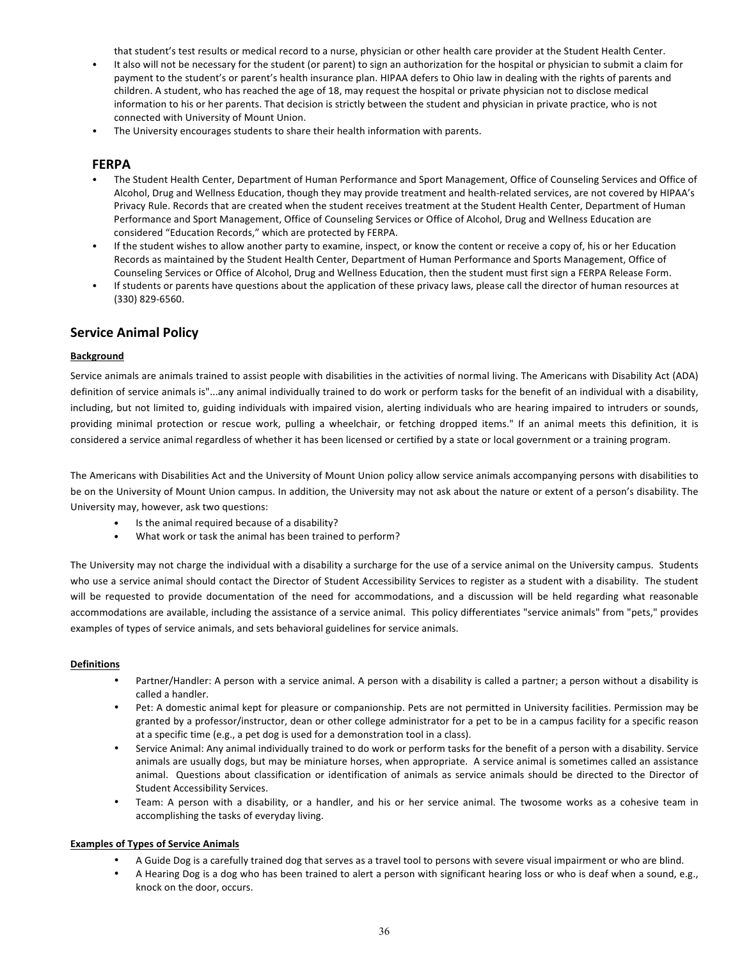that student's test results or medical record to a nurse, physician or other health care provider at the Student Health Center.

- It also will not be necessary for the student (or parent) to sign an authorization for the hospital or physician to submit a claim for payment to the student's or parent's health insurance plan. HIPAA defers to Ohio law in dealing with the rights of parents and children. A student, who has reached the age of 18, may request the hospital or private physician not to disclose medical information to his or her parents. That decision is strictly between the student and physician in private practice, who is not connected with University of Mount Union.
- The University encourages students to share their health information with parents.

# **FERPA**

- The Student Health Center, Department of Human Performance and Sport Management, Office of Counseling Services and Office of Alcohol, Drug and Wellness Education, though they may provide treatment and health-related services, are not covered by HIPAA's Privacy Rule. Records that are created when the student receives treatment at the Student Health Center, Department of Human Performance and Sport Management, Office of Counseling Services or Office of Alcohol, Drug and Wellness Education are considered "Education Records," which are protected by FERPA.
- If the student wishes to allow another party to examine, inspect, or know the content or receive a copy of, his or her Education Records as maintained by the Student Health Center, Department of Human Performance and Sports Management, Office of Counseling Services or Office of Alcohol, Drug and Wellness Education, then the student must first sign a FERPA Release Form.
- If students or parents have questions about the application of these privacy laws, please call the director of human resources at (330) 829-6560.

# **Service Animal Policy**

# **Background**

Service animals are animals trained to assist people with disabilities in the activities of normal living. The Americans with Disability Act (ADA) definition of service animals is"...any animal individually trained to do work or perform tasks for the benefit of an individual with a disability, including, but not limited to, guiding individuals with impaired vision, alerting individuals who are hearing impaired to intruders or sounds, providing minimal protection or rescue work, pulling a wheelchair, or fetching dropped items." If an animal meets this definition, it is considered a service animal regardless of whether it has been licensed or certified by a state or local government or a training program.

The Americans with Disabilities Act and the University of Mount Union policy allow service animals accompanying persons with disabilities to be on the University of Mount Union campus. In addition, the University may not ask about the nature or extent of a person's disability. The University may, however, ask two questions:

- Is the animal required because of a disability?
- What work or task the animal has been trained to perform?

The University may not charge the individual with a disability a surcharge for the use of a service animal on the University campus. Students who use a service animal should contact the Director of Student Accessibility Services to register as a student with a disability. The student will be requested to provide documentation of the need for accommodations, and a discussion will be held regarding what reasonable accommodations are available, including the assistance of a service animal. This policy differentiates "service animals" from "pets," provides examples of types of service animals, and sets behavioral guidelines for service animals.

### **Definitions**

- Partner/Handler: A person with a service animal. A person with a disability is called a partner; a person without a disability is called a handler.
- Pet: A domestic animal kept for pleasure or companionship. Pets are not permitted in University facilities. Permission may be granted by a professor/instructor, dean or other college administrator for a pet to be in a campus facility for a specific reason at a specific time (e.g., a pet dog is used for a demonstration tool in a class).
- Service Animal: Any animal individually trained to do work or perform tasks for the benefit of a person with a disability. Service animals are usually dogs, but may be miniature horses, when appropriate. A service animal is sometimes called an assistance animal. Questions about classification or identification of animals as service animals should be directed to the Director of Student Accessibility Services.
- Team: A person with a disability, or a handler, and his or her service animal. The twosome works as a cohesive team in accomplishing the tasks of everyday living.

# **Examples of Types of Service Animals**

- A Guide Dog is a carefully trained dog that serves as a travel tool to persons with severe visual impairment or who are blind.
- A Hearing Dog is a dog who has been trained to alert a person with significant hearing loss or who is deaf when a sound, e.g., knock on the door, occurs.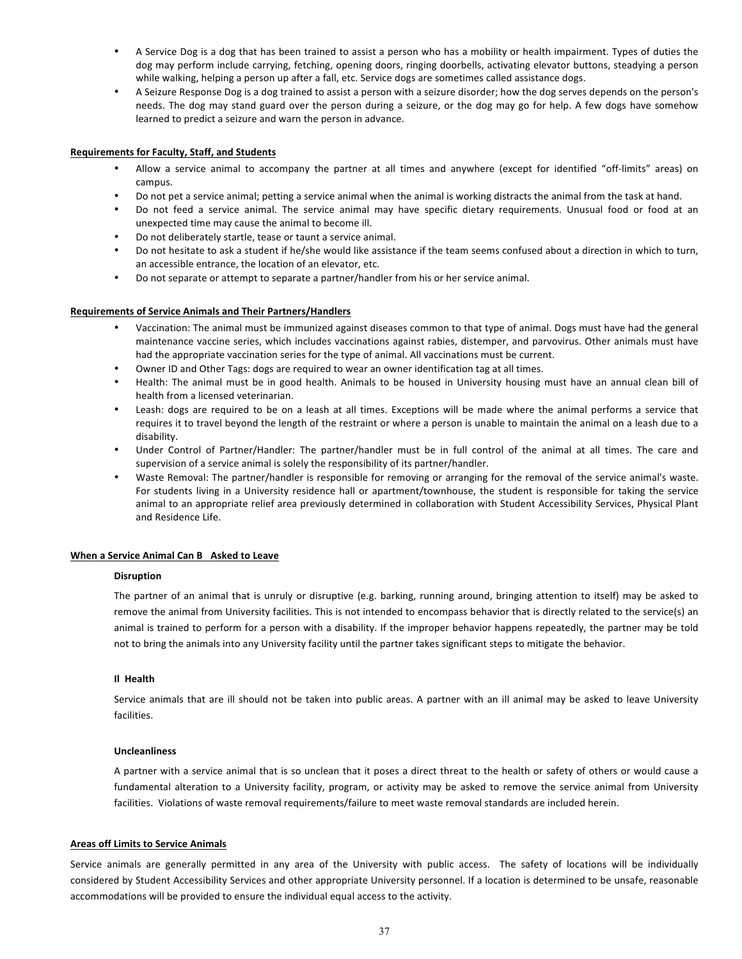- A Service Dog is a dog that has been trained to assist a person who has a mobility or health impairment. Types of duties the dog may perform include carrying, fetching, opening doors, ringing doorbells, activating elevator buttons, steadying a person while walking, helping a person up after a fall, etc. Service dogs are sometimes called assistance dogs.
- A Seizure Response Dog is a dog trained to assist a person with a seizure disorder; how the dog serves depends on the person's needs. The dog may stand guard over the person during a seizure, or the dog may go for help. A few dogs have somehow learned to predict a seizure and warn the person in advance.

## **Requirements for Faculty, Staff, and Students**

- Allow a service animal to accompany the partner at all times and anywhere (except for identified "off-limits" areas) on campus.
- Do not pet a service animal; petting a service animal when the animal is working distracts the animal from the task at hand.
- Do not feed a service animal. The service animal may have specific dietary requirements. Unusual food or food at an unexpected time may cause the animal to become ill.
- Do not deliberately startle, tease or taunt a service animal.
- Do not hesitate to ask a student if he/she would like assistance if the team seems confused about a direction in which to turn, an accessible entrance, the location of an elevator, etc.
- Do not separate or attempt to separate a partner/handler from his or her service animal.

### **Requirements of Service Animals and Their Partners/Handlers**

- • Vaccination: The animal must be immunized against diseases common to that type of animal. Dogs must have had the general maintenance vaccine series, which includes vaccinations against rabies, distemper, and parvovirus. Other animals must have had the appropriate vaccination series for the type of animal. All vaccinations must be current.
- Owner ID and Other Tags: dogs are required to wear an owner identification tag at all times.
- Health: The animal must be in good health. Animals to be housed in University housing must have an annual clean bill of health from a licensed veterinarian.
- Leash: dogs are required to be on a leash at all times. Exceptions will be made where the animal performs a service that requires it to travel beyond the length of the restraint or where a person is unable to maintain the animal on a leash due to a disability.
- Under Control of Partner/Handler: The partner/handler must be in full control of the animal at all times. The care and supervision of a service animal is solely the responsibility of its partner/handler.
- Waste Removal: The partner/handler is responsible for removing or arranging for the removal of the service animal's waste. For students living in a University residence hall or apartment/townhouse, the student is responsible for taking the service animal to an appropriate relief area previously determined in collaboration with Student Accessibility Services, Physical Plant and Residence Life.

### **When a Service Animal Can B Asked to Leave**

### **Disruption**

The partner of an animal that is unruly or disruptive (e.g. barking, running around, bringing attention to itself) may be asked to remove the animal from University facilities. This is not intended to encompass behavior that is directly related to the service(s) an animal is trained to perform for a person with a disability. If the improper behavior happens repeatedly, the partner may be told not to bring the animals into any University facility until the partner takes significant steps to mitigate the behavior.

## **Il Health**

Service animals that are ill should not be taken into public areas. A partner with an ill animal may be asked to leave University facilities. 

## **Uncleanliness**

A partner with a service animal that is so unclean that it poses a direct threat to the health or safety of others or would cause a fundamental alteration to a University facility, program, or activity may be asked to remove the service animal from University facilities. Violations of waste removal requirements/failure to meet waste removal standards are included herein.

### **Areas off Limits to Service Animals**

Service animals are generally permitted in any area of the University with public access. The safety of locations will be individually considered by Student Accessibility Services and other appropriate University personnel. If a location is determined to be unsafe, reasonable accommodations will be provided to ensure the individual equal access to the activity.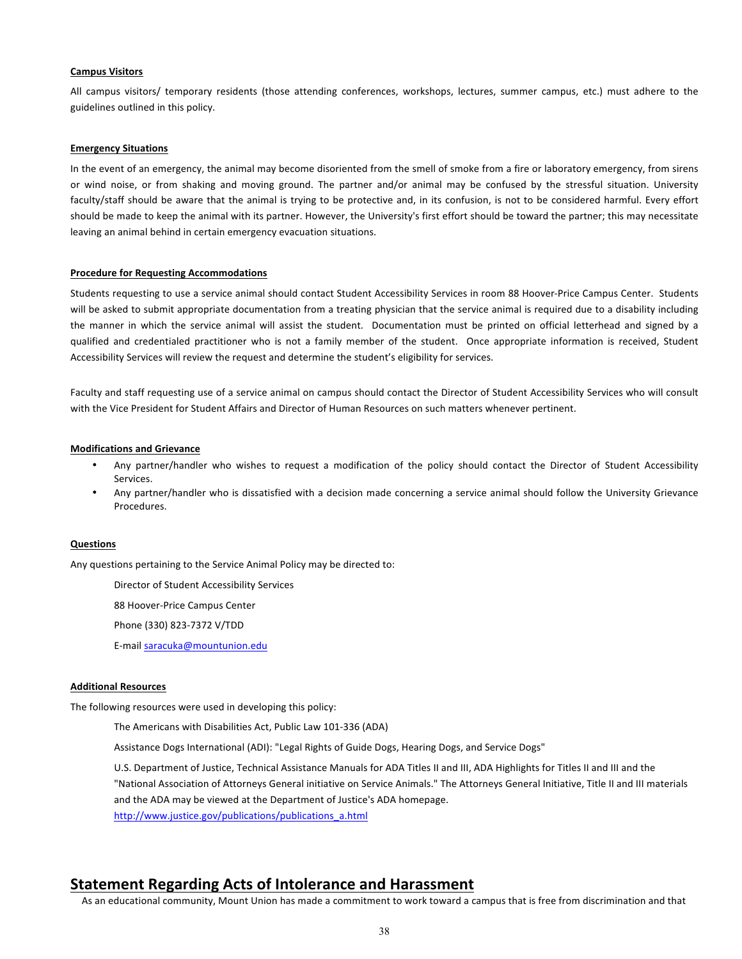### **Campus Visitors**

All campus visitors/ temporary residents (those attending conferences, workshops, lectures, summer campus, etc.) must adhere to the guidelines outlined in this policy.

## **Emergency Situations**

In the event of an emergency, the animal may become disoriented from the smell of smoke from a fire or laboratory emergency, from sirens or wind noise, or from shaking and moving ground. The partner and/or animal may be confused by the stressful situation. University faculty/staff should be aware that the animal is trying to be protective and, in its confusion, is not to be considered harmful. Every effort should be made to keep the animal with its partner. However, the University's first effort should be toward the partner; this may necessitate leaving an animal behind in certain emergency evacuation situations.

# **Procedure for Requesting Accommodations**

Students requesting to use a service animal should contact Student Accessibility Services in room 88 Hoover-Price Campus Center. Students will be asked to submit appropriate documentation from a treating physician that the service animal is required due to a disability including the manner in which the service animal will assist the student. Documentation must be printed on official letterhead and signed by a qualified and credentialed practitioner who is not a family member of the student. Once appropriate information is received, Student Accessibility Services will review the request and determine the student's eligibility for services.

Faculty and staff requesting use of a service animal on campus should contact the Director of Student Accessibility Services who will consult with the Vice President for Student Affairs and Director of Human Resources on such matters whenever pertinent.

### **Modifications and Grievance**

- Any partner/handler who wishes to request a modification of the policy should contact the Director of Student Accessibility Services.
- Any partner/handler who is dissatisfied with a decision made concerning a service animal should follow the University Grievance Procedures.

### **Questions**

Any questions pertaining to the Service Animal Policy may be directed to:

Director of Student Accessibility Services

88 Hoover-Price Campus Center

Phone (330) 823-7372 V/TDD

E-mail saracuka@mountunion.edu

### **Additional Resources**

The following resources were used in developing this policy:

The Americans with Disabilities Act, Public Law 101-336 (ADA)

Assistance Dogs International (ADI): "Legal Rights of Guide Dogs, Hearing Dogs, and Service Dogs"

U.S. Department of Justice, Technical Assistance Manuals for ADA Titles II and III, ADA Highlights for Titles II and III and the "National Association of Attorneys General initiative on Service Animals." The Attorneys General Initiative, Title II and III materials and the ADA may be viewed at the Department of Justice's ADA homepage. http://www.justice.gov/publications/publications\_a.html

# **Statement Regarding Acts of Intolerance and Harassment**

As an educational community, Mount Union has made a commitment to work toward a campus that is free from discrimination and that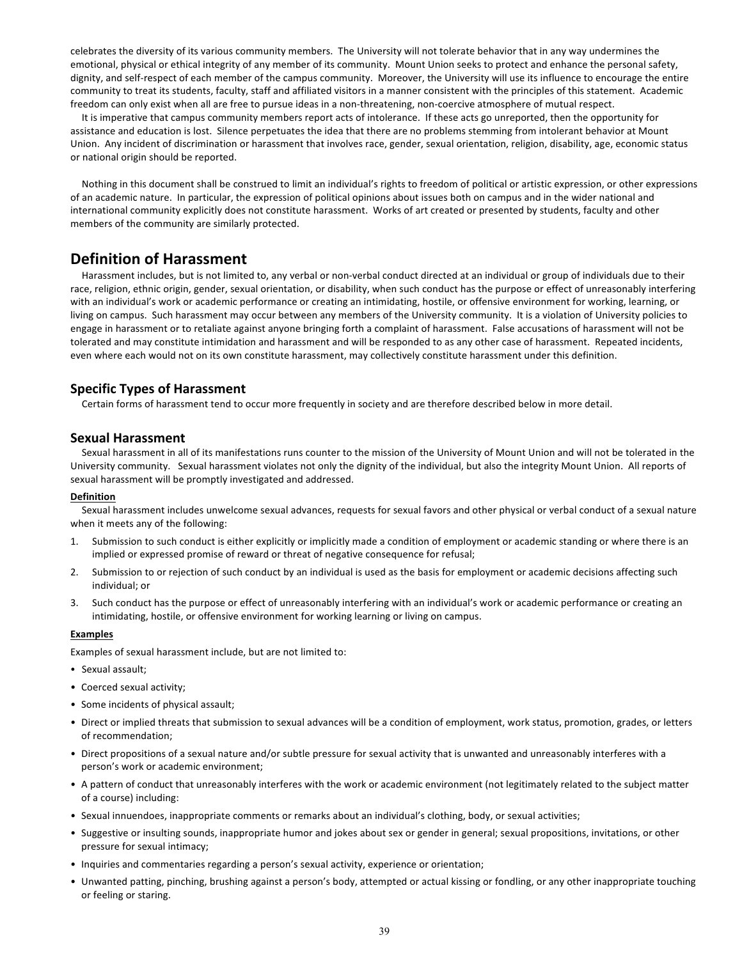celebrates the diversity of its various community members. The University will not tolerate behavior that in any way undermines the emotional, physical or ethical integrity of any member of its community. Mount Union seeks to protect and enhance the personal safety, dignity, and self-respect of each member of the campus community. Moreover, the University will use its influence to encourage the entire community to treat its students, faculty, staff and affiliated visitors in a manner consistent with the principles of this statement. Academic freedom can only exist when all are free to pursue ideas in a non-threatening, non-coercive atmosphere of mutual respect.

It is imperative that campus community members report acts of intolerance. If these acts go unreported, then the opportunity for assistance and education is lost. Silence perpetuates the idea that there are no problems stemming from intolerant behavior at Mount Union. Any incident of discrimination or harassment that involves race, gender, sexual orientation, religion, disability, age, economic status or national origin should be reported.

Nothing in this document shall be construed to limit an individual's rights to freedom of political or artistic expression, or other expressions of an academic nature. In particular, the expression of political opinions about issues both on campus and in the wider national and international community explicitly does not constitute harassment. Works of art created or presented by students, faculty and other members of the community are similarly protected.

# **Definition of Harassment**

Harassment includes, but is not limited to, any verbal or non-verbal conduct directed at an individual or group of individuals due to their race, religion, ethnic origin, gender, sexual orientation, or disability, when such conduct has the purpose or effect of unreasonably interfering with an individual's work or academic performance or creating an intimidating, hostile, or offensive environment for working, learning, or living on campus. Such harassment may occur between any members of the University community. It is a violation of University policies to engage in harassment or to retaliate against anyone bringing forth a complaint of harassment. False accusations of harassment will not be tolerated and may constitute intimidation and harassment and will be responded to as any other case of harassment. Repeated incidents, even where each would not on its own constitute harassment, may collectively constitute harassment under this definition.

# **Specific Types of Harassment**

Certain forms of harassment tend to occur more frequently in society and are therefore described below in more detail.

# **Sexual Harassment**

Sexual harassment in all of its manifestations runs counter to the mission of the University of Mount Union and will not be tolerated in the University community. Sexual harassment violates not only the dignity of the individual, but also the integrity Mount Union. All reports of sexual harassment will be promptly investigated and addressed.

### **Definition**

Sexual harassment includes unwelcome sexual advances, requests for sexual favors and other physical or verbal conduct of a sexual nature when it meets any of the following:

- 1. Submission to such conduct is either explicitly or implicitly made a condition of employment or academic standing or where there is an implied or expressed promise of reward or threat of negative consequence for refusal;
- 2. Submission to or rejection of such conduct by an individual is used as the basis for employment or academic decisions affecting such individual; or
- 3. Such conduct has the purpose or effect of unreasonably interfering with an individual's work or academic performance or creating an intimidating, hostile, or offensive environment for working learning or living on campus.

### **Examples**

Examples of sexual harassment include, but are not limited to:

- Sexual assault;
- Coerced sexual activity;
- Some incidents of physical assault;
- Direct or implied threats that submission to sexual advances will be a condition of employment, work status, promotion, grades, or letters of recommendation;
- Direct propositions of a sexual nature and/or subtle pressure for sexual activity that is unwanted and unreasonably interferes with a person's work or academic environment;
- A pattern of conduct that unreasonably interferes with the work or academic environment (not legitimately related to the subject matter of a course) including:
- Sexual innuendoes, inappropriate comments or remarks about an individual's clothing, body, or sexual activities;
- Suggestive or insulting sounds, inappropriate humor and jokes about sex or gender in general; sexual propositions, invitations, or other pressure for sexual intimacy;
- Inquiries and commentaries regarding a person's sexual activity, experience or orientation;
- Unwanted patting, pinching, brushing against a person's body, attempted or actual kissing or fondling, or any other inappropriate touching or feeling or staring.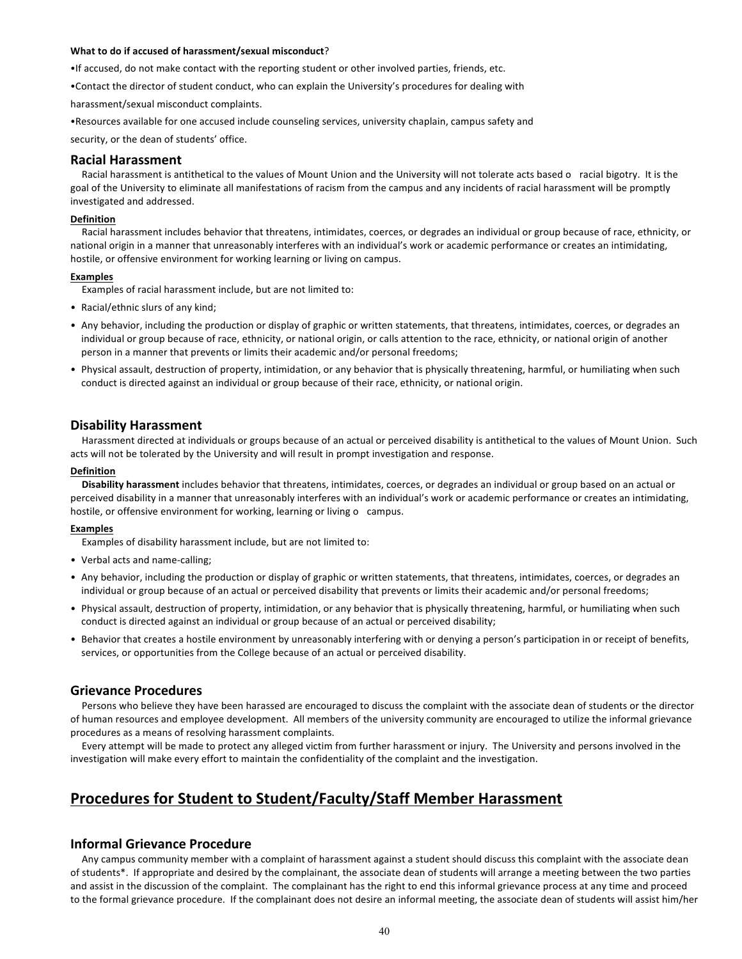#### **What to do if accused of harassment/sexual misconduct**?

•If accused, do not make contact with the reporting student or other involved parties, friends, etc.

•Contact the director of student conduct, who can explain the University's procedures for dealing with 

harassment/sexual misconduct complaints.

•Resources available for one accused include counseling services, university chaplain, campus safety and

security, or the dean of students' office.

## **Racial Harassment**

Racial harassment is antithetical to the values of Mount Union and the University will not tolerate acts based o racial bigotry. It is the goal of the University to eliminate all manifestations of racism from the campus and any incidents of racial harassment will be promptly investigated and addressed.

### **Definition**

Racial harassment includes behavior that threatens, intimidates, coerces, or degrades an individual or group because of race, ethnicity, or national origin in a manner that unreasonably interferes with an individual's work or academic performance or creates an intimidating, hostile, or offensive environment for working learning or living on campus.

### **Examples**

Examples of racial harassment include, but are not limited to:

- Racial/ethnic slurs of any kind;
- Any behavior, including the production or display of graphic or written statements, that threatens, intimidates, coerces, or degrades an individual or group because of race, ethnicity, or national origin, or calls attention to the race, ethnicity, or national origin of another person in a manner that prevents or limits their academic and/or personal freedoms;
- Physical assault, destruction of property, intimidation, or any behavior that is physically threatening, harmful, or humiliating when such conduct is directed against an individual or group because of their race, ethnicity, or national origin.

# **Disability Harassment**

Harassment directed at individuals or groups because of an actual or perceived disability is antithetical to the values of Mount Union. Such acts will not be tolerated by the University and will result in prompt investigation and response.

#### **Definition**

Disability harassment includes behavior that threatens, intimidates, coerces, or degrades an individual or group based on an actual or perceived disability in a manner that unreasonably interferes with an individual's work or academic performance or creates an intimidating, hostile, or offensive environment for working, learning or living o campus.

### **Examples**

Examples of disability harassment include, but are not limited to:

- Verbal acts and name-calling;
- Any behavior, including the production or display of graphic or written statements, that threatens, intimidates, coerces, or degrades an individual or group because of an actual or perceived disability that prevents or limits their academic and/or personal freedoms;
- Physical assault, destruction of property, intimidation, or any behavior that is physically threatening, harmful, or humiliating when such conduct is directed against an individual or group because of an actual or perceived disability;
- Behavior that creates a hostile environment by unreasonably interfering with or denying a person's participation in or receipt of benefits, services, or opportunities from the College because of an actual or perceived disability.

# **Grievance Procedures**

Persons who believe they have been harassed are encouraged to discuss the complaint with the associate dean of students or the director of human resources and employee development. All members of the university community are encouraged to utilize the informal grievance procedures as a means of resolving harassment complaints.

Every attempt will be made to protect any alleged victim from further harassment or injury. The University and persons involved in the investigation will make every effort to maintain the confidentiality of the complaint and the investigation.

# **Procedures for Student to Student/Faculty/Staff Member Harassment**

# **Informal Grievance Procedure**

Any campus community member with a complaint of harassment against a student should discuss this complaint with the associate dean of students\*. If appropriate and desired by the complainant, the associate dean of students will arrange a meeting between the two parties and assist in the discussion of the complaint. The complainant has the right to end this informal grievance process at any time and proceed to the formal grievance procedure. If the complainant does not desire an informal meeting, the associate dean of students will assist him/her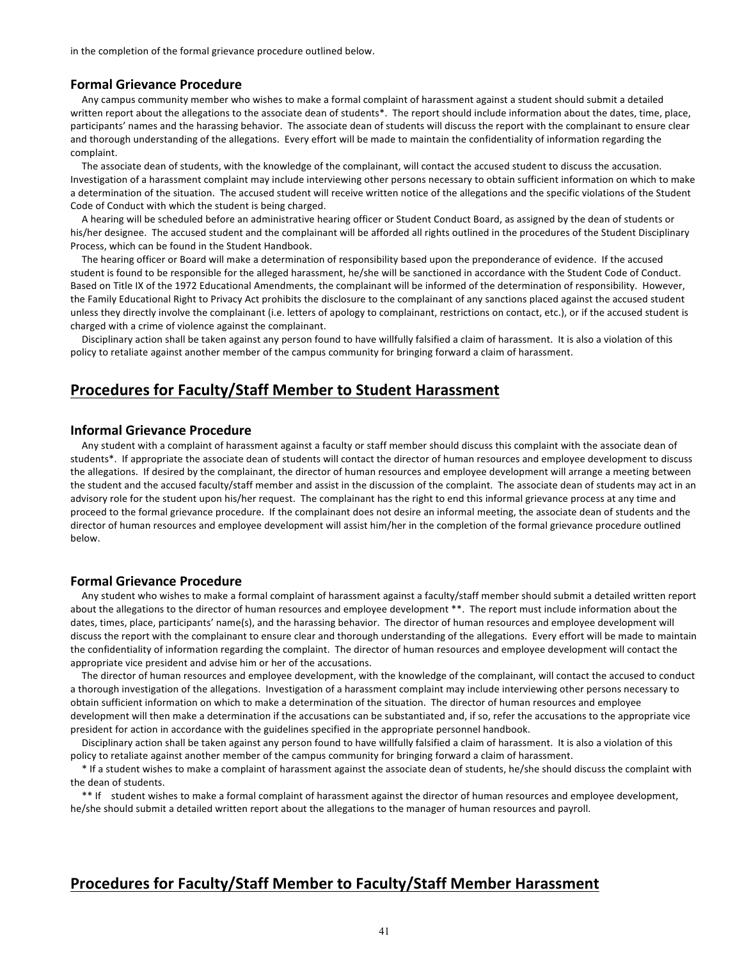in the completion of the formal grievance procedure outlined below.

### **Formal Grievance Procedure**

Any campus community member who wishes to make a formal complaint of harassment against a student should submit a detailed written report about the allegations to the associate dean of students\*. The report should include information about the dates, time, place, participants' names and the harassing behavior. The associate dean of students will discuss the report with the complainant to ensure clear and thorough understanding of the allegations. Every effort will be made to maintain the confidentiality of information regarding the complaint.

The associate dean of students, with the knowledge of the complainant, will contact the accused student to discuss the accusation. Investigation of a harassment complaint may include interviewing other persons necessary to obtain sufficient information on which to make a determination of the situation. The accused student will receive written notice of the allegations and the specific violations of the Student Code of Conduct with which the student is being charged.

A hearing will be scheduled before an administrative hearing officer or Student Conduct Board, as assigned by the dean of students or his/her designee. The accused student and the complainant will be afforded all rights outlined in the procedures of the Student Disciplinary Process, which can be found in the Student Handbook.

The hearing officer or Board will make a determination of responsibility based upon the preponderance of evidence. If the accused student is found to be responsible for the alleged harassment, he/she will be sanctioned in accordance with the Student Code of Conduct. Based on Title IX of the 1972 Educational Amendments, the complainant will be informed of the determination of responsibility. However, the Family Educational Right to Privacy Act prohibits the disclosure to the complainant of any sanctions placed against the accused student unless they directly involve the complainant (i.e. letters of apology to complainant, restrictions on contact, etc.), or if the accused student is charged with a crime of violence against the complainant.

Disciplinary action shall be taken against any person found to have willfully falsified a claim of harassment. It is also a violation of this policy to retaliate against another member of the campus community for bringing forward a claim of harassment.

# **Procedures for Faculty/Staff Member to Student Harassment**

## **Informal Grievance Procedure**

Any student with a complaint of harassment against a faculty or staff member should discuss this complaint with the associate dean of students\*. If appropriate the associate dean of students will contact the director of human resources and employee development to discuss the allegations. If desired by the complainant, the director of human resources and employee development will arrange a meeting between the student and the accused faculty/staff member and assist in the discussion of the complaint. The associate dean of students may act in an advisory role for the student upon his/her request. The complainant has the right to end this informal grievance process at any time and proceed to the formal grievance procedure. If the complainant does not desire an informal meeting, the associate dean of students and the director of human resources and employee development will assist him/her in the completion of the formal grievance procedure outlined below.

### **Formal Grievance Procedure**

Any student who wishes to make a formal complaint of harassment against a faculty/staff member should submit a detailed written report about the allegations to the director of human resources and employee development \*\*. The report must include information about the dates, times, place, participants' name(s), and the harassing behavior. The director of human resources and employee development will discuss the report with the complainant to ensure clear and thorough understanding of the allegations. Every effort will be made to maintain the confidentiality of information regarding the complaint. The director of human resources and employee development will contact the appropriate vice president and advise him or her of the accusations.

The director of human resources and employee development, with the knowledge of the complainant, will contact the accused to conduct a thorough investigation of the allegations. Investigation of a harassment complaint may include interviewing other persons necessary to obtain sufficient information on which to make a determination of the situation. The director of human resources and employee development will then make a determination if the accusations can be substantiated and, if so, refer the accusations to the appropriate vice president for action in accordance with the guidelines specified in the appropriate personnel handbook.

Disciplinary action shall be taken against any person found to have willfully falsified a claim of harassment. It is also a violation of this policy to retaliate against another member of the campus community for bringing forward a claim of harassment.

\* If a student wishes to make a complaint of harassment against the associate dean of students, he/she should discuss the complaint with the dean of students.

\*\* If student wishes to make a formal complaint of harassment against the director of human resources and employee development, he/she should submit a detailed written report about the allegations to the manager of human resources and payroll.

# **Procedures for Faculty/Staff Member to Faculty/Staff Member Harassment**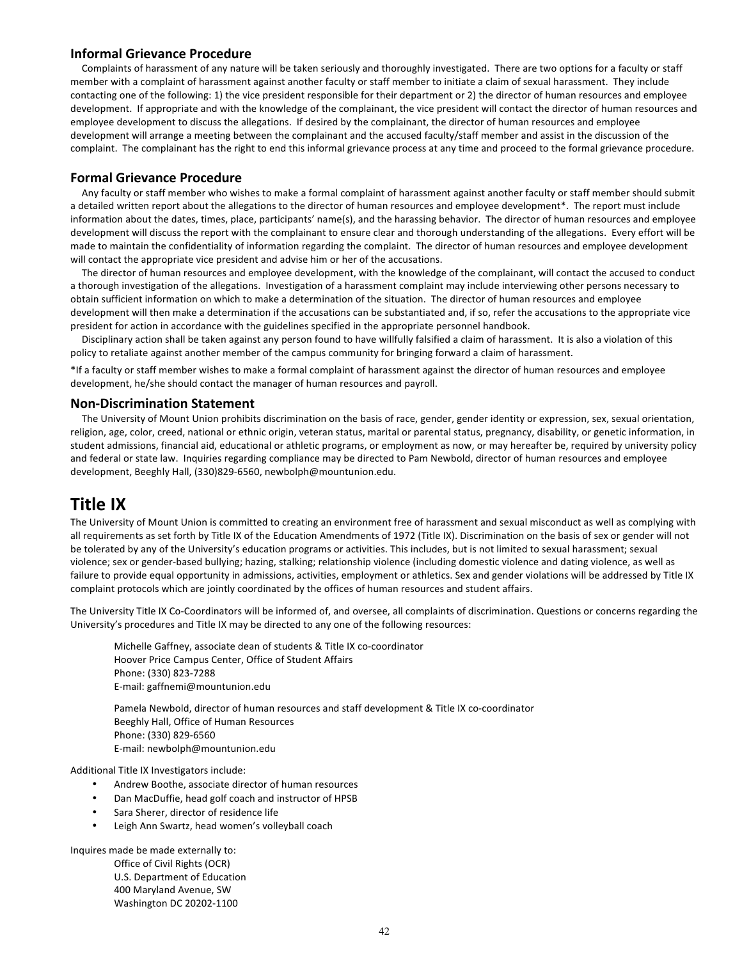# **Informal Grievance Procedure**

Complaints of harassment of any nature will be taken seriously and thoroughly investigated. There are two options for a faculty or staff member with a complaint of harassment against another faculty or staff member to initiate a claim of sexual harassment. They include contacting one of the following: 1) the vice president responsible for their department or 2) the director of human resources and employee development. If appropriate and with the knowledge of the complainant, the vice president will contact the director of human resources and employee development to discuss the allegations. If desired by the complainant, the director of human resources and employee development will arrange a meeting between the complainant and the accused faculty/staff member and assist in the discussion of the complaint. The complainant has the right to end this informal grievance process at any time and proceed to the formal grievance procedure.

# **Formal Grievance Procedure**

Any faculty or staff member who wishes to make a formal complaint of harassment against another faculty or staff member should submit a detailed written report about the allegations to the director of human resources and employee development\*. The report must include information about the dates, times, place, participants' name(s), and the harassing behavior. The director of human resources and employee development will discuss the report with the complainant to ensure clear and thorough understanding of the allegations. Every effort will be made to maintain the confidentiality of information regarding the complaint. The director of human resources and employee development will contact the appropriate vice president and advise him or her of the accusations.

The director of human resources and employee development, with the knowledge of the complainant, will contact the accused to conduct a thorough investigation of the allegations. Investigation of a harassment complaint may include interviewing other persons necessary to obtain sufficient information on which to make a determination of the situation. The director of human resources and employee development will then make a determination if the accusations can be substantiated and, if so, refer the accusations to the appropriate vice president for action in accordance with the guidelines specified in the appropriate personnel handbook.

Disciplinary action shall be taken against any person found to have willfully falsified a claim of harassment. It is also a violation of this policy to retaliate against another member of the campus community for bringing forward a claim of harassment.

\*If a faculty or staff member wishes to make a formal complaint of harassment against the director of human resources and employee development, he/she should contact the manager of human resources and payroll.

# **Non-Discrimination Statement**

The University of Mount Union prohibits discrimination on the basis of race, gender, gender identity or expression, sex, sexual orientation, religion, age, color, creed, national or ethnic origin, veteran status, marital or parental status, pregnancy, disability, or genetic information, in student admissions, financial aid, educational or athletic programs, or employment as now, or may hereafter be, required by university policy and federal or state law. Inquiries regarding compliance may be directed to Pam Newbold, director of human resources and employee development, Beeghly Hall, (330)829-6560, newbolph@mountunion.edu.

# **Title IX**

The University of Mount Union is committed to creating an environment free of harassment and sexual misconduct as well as complying with all requirements as set forth by Title IX of the Education Amendments of 1972 (Title IX). Discrimination on the basis of sex or gender will not be tolerated by any of the University's education programs or activities. This includes, but is not limited to sexual harassment; sexual violence; sex or gender-based bullying; hazing, stalking; relationship violence (including domestic violence and dating violence, as well as failure to provide equal opportunity in admissions, activities, employment or athletics. Sex and gender violations will be addressed by Title IX complaint protocols which are jointly coordinated by the offices of human resources and student affairs.

The University Title IX Co-Coordinators will be informed of, and oversee, all complaints of discrimination. Questions or concerns regarding the University's procedures and Title IX may be directed to any one of the following resources:

Michelle Gaffney, associate dean of students & Title IX co-coordinator Hoover Price Campus Center, Office of Student Affairs Phone: (330) 823-7288 E-mail: gaffnemi@mountunion.edu

Pamela Newbold, director of human resources and staff development & Title IX co-coordinator Beeghly Hall, Office of Human Resources Phone: (330) 829-6560 E-mail: newbolph@mountunion.edu

Additional Title IX Investigators include:

- Andrew Boothe, associate director of human resources
- Dan MacDuffie, head golf coach and instructor of HPSB
- Sara Sherer, director of residence life
- Leigh Ann Swartz, head women's volleyball coach

Inquires made be made externally to: Office of Civil Rights (OCR) U.S. Department of Education 400 Maryland Avenue, SW Washington DC 20202-1100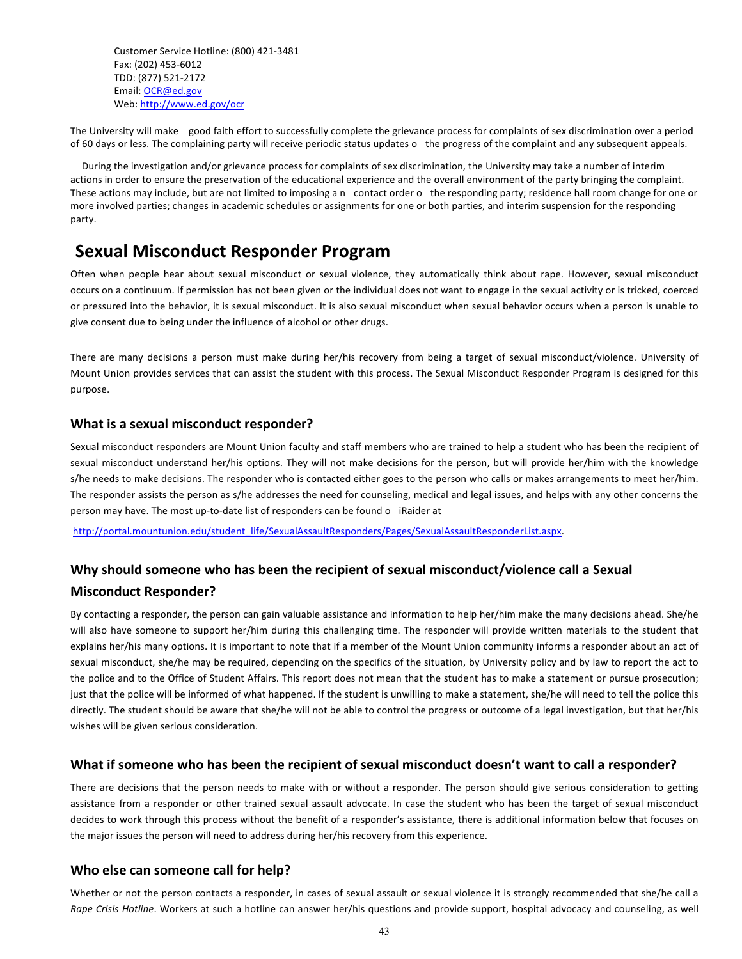Customer Service Hotline: (800) 421-3481 Fax: (202) 453-6012 TDD: (877) 521-2172 Email: OCR@ed.gov Web: http://www.ed.gov/ocr

The University will make good faith effort to successfully complete the grievance process for complaints of sex discrimination over a period of 60 days or less. The complaining party will receive periodic status updates o the progress of the complaint and any subsequent appeals.

During the investigation and/or grievance process for complaints of sex discrimination, the University may take a number of interim actions in order to ensure the preservation of the educational experience and the overall environment of the party bringing the complaint. These actions may include, but are not limited to imposing a n contact order o the responding party; residence hall room change for one or more involved parties; changes in academic schedules or assignments for one or both parties, and interim suspension for the responding party.

# **Sexual Misconduct Responder Program**

Often when people hear about sexual misconduct or sexual violence, they automatically think about rape. However, sexual misconduct occurs on a continuum. If permission has not been given or the individual does not want to engage in the sexual activity or is tricked, coerced or pressured into the behavior, it is sexual misconduct. It is also sexual misconduct when sexual behavior occurs when a person is unable to give consent due to being under the influence of alcohol or other drugs.

There are many decisions a person must make during her/his recovery from being a target of sexual misconduct/violence. University of Mount Union provides services that can assist the student with this process. The Sexual Misconduct Responder Program is designed for this purpose.

# **What is a sexual misconduct responder?**

Sexual misconduct responders are Mount Union faculty and staff members who are trained to help a student who has been the recipient of sexual misconduct understand her/his options. They will not make decisions for the person, but will provide her/him with the knowledge s/he needs to make decisions. The responder who is contacted either goes to the person who calls or makes arrangements to meet her/him. The responder assists the person as s/he addresses the need for counseling, medical and legal issues, and helps with any other concerns the person may have. The most up-to-date list of responders can be found o iRaider at

http://portal.mountunion.edu/student\_life/SexualAssaultResponders/Pages/SexualAssaultResponderList.aspx.

# Why should someone who has been the recipient of sexual misconduct/violence call a Sexual **Misconduct Responder?**

By contacting a responder, the person can gain valuable assistance and information to help her/him make the many decisions ahead. She/he will also have someone to support her/him during this challenging time. The responder will provide written materials to the student that explains her/his many options. It is important to note that if a member of the Mount Union community informs a responder about an act of sexual misconduct, she/he may be required, depending on the specifics of the situation, by University policy and by law to report the act to the police and to the Office of Student Affairs. This report does not mean that the student has to make a statement or pursue prosecution; just that the police will be informed of what happened. If the student is unwilling to make a statement, she/he will need to tell the police this directly. The student should be aware that she/he will not be able to control the progress or outcome of a legal investigation, but that her/his wishes will be given serious consideration.

# What if someone who has been the recipient of sexual misconduct doesn't want to call a responder?

There are decisions that the person needs to make with or without a responder. The person should give serious consideration to getting assistance from a responder or other trained sexual assault advocate. In case the student who has been the target of sexual misconduct decides to work through this process without the benefit of a responder's assistance, there is additional information below that focuses on the major issues the person will need to address during her/his recovery from this experience.

# **Who else can someone call for help?**

Whether or not the person contacts a responder, in cases of sexual assault or sexual violence it is strongly recommended that she/he call a Rape Crisis Hotline. Workers at such a hotline can answer her/his questions and provide support, hospital advocacy and counseling, as well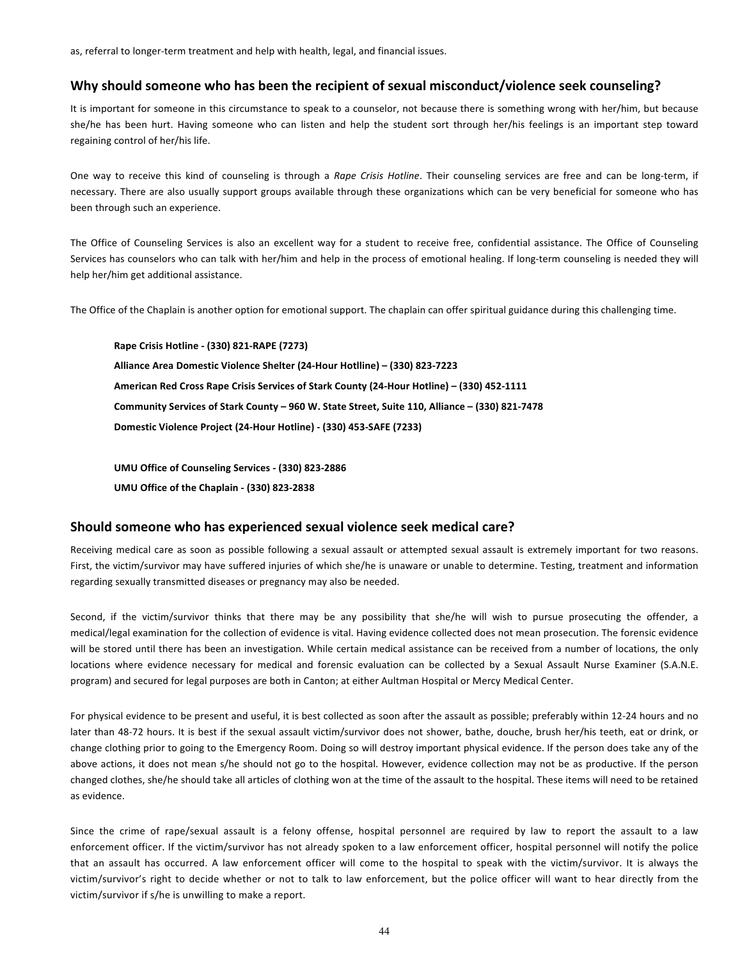as, referral to longer-term treatment and help with health, legal, and financial issues.

# Why should someone who has been the recipient of sexual misconduct/violence seek counseling?

It is important for someone in this circumstance to speak to a counselor, not because there is something wrong with her/him, but because she/he has been hurt. Having someone who can listen and help the student sort through her/his feelings is an important step toward regaining control of her/his life.

One way to receive this kind of counseling is through a *Rape Crisis Hotline*. Their counseling services are free and can be long-term, if necessary. There are also usually support groups available through these organizations which can be very beneficial for someone who has been through such an experience.

The Office of Counseling Services is also an excellent way for a student to receive free, confidential assistance. The Office of Counseling Services has counselors who can talk with her/him and help in the process of emotional healing. If long-term counseling is needed they will help her/him get additional assistance.

The Office of the Chaplain is another option for emotional support. The chaplain can offer spiritual guidance during this challenging time.

**Rape Crisis Hotline - (330) 821-RAPE (7273) Alliance Area Domestic Violence Shelter (24-Hour Hotlline) – (330) 823-7223 American Red Cross Rape Crisis Services of Stark County (24-Hour Hotline) – (330) 452-1111 Community Services of Stark County – 960 W. State Street, Suite 110, Alliance – (330) 821-7478 Domestic Violence Project (24-Hour Hotline) - (330) 453-SAFE (7233)**

**UMU Office of Counseling Services - (330) 823-2886 UMU Office of the Chaplain - (330) 823-2838**

# **Should someone who has experienced sexual violence seek medical care?**

Receiving medical care as soon as possible following a sexual assault or attempted sexual assault is extremely important for two reasons. First, the victim/survivor may have suffered injuries of which she/he is unaware or unable to determine. Testing, treatment and information regarding sexually transmitted diseases or pregnancy may also be needed.

Second, if the victim/survivor thinks that there may be any possibility that she/he will wish to pursue prosecuting the offender, a medical/legal examination for the collection of evidence is vital. Having evidence collected does not mean prosecution. The forensic evidence will be stored until there has been an investigation. While certain medical assistance can be received from a number of locations, the only locations where evidence necessary for medical and forensic evaluation can be collected by a Sexual Assault Nurse Examiner (S.A.N.E. program) and secured for legal purposes are both in Canton; at either Aultman Hospital or Mercy Medical Center.

For physical evidence to be present and useful, it is best collected as soon after the assault as possible; preferably within 12-24 hours and no later than 48-72 hours. It is best if the sexual assault victim/survivor does not shower, bathe, douche, brush her/his teeth, eat or drink, or change clothing prior to going to the Emergency Room. Doing so will destroy important physical evidence. If the person does take any of the above actions, it does not mean s/he should not go to the hospital. However, evidence collection may not be as productive. If the person changed clothes, she/he should take all articles of clothing won at the time of the assault to the hospital. These items will need to be retained as evidence.

Since the crime of rape/sexual assault is a felony offense, hospital personnel are required by law to report the assault to a law enforcement officer. If the victim/survivor has not already spoken to a law enforcement officer, hospital personnel will notify the police that an assault has occurred. A law enforcement officer will come to the hospital to speak with the victim/survivor. It is always the victim/survivor's right to decide whether or not to talk to law enforcement, but the police officer will want to hear directly from the victim/survivor if s/he is unwilling to make a report.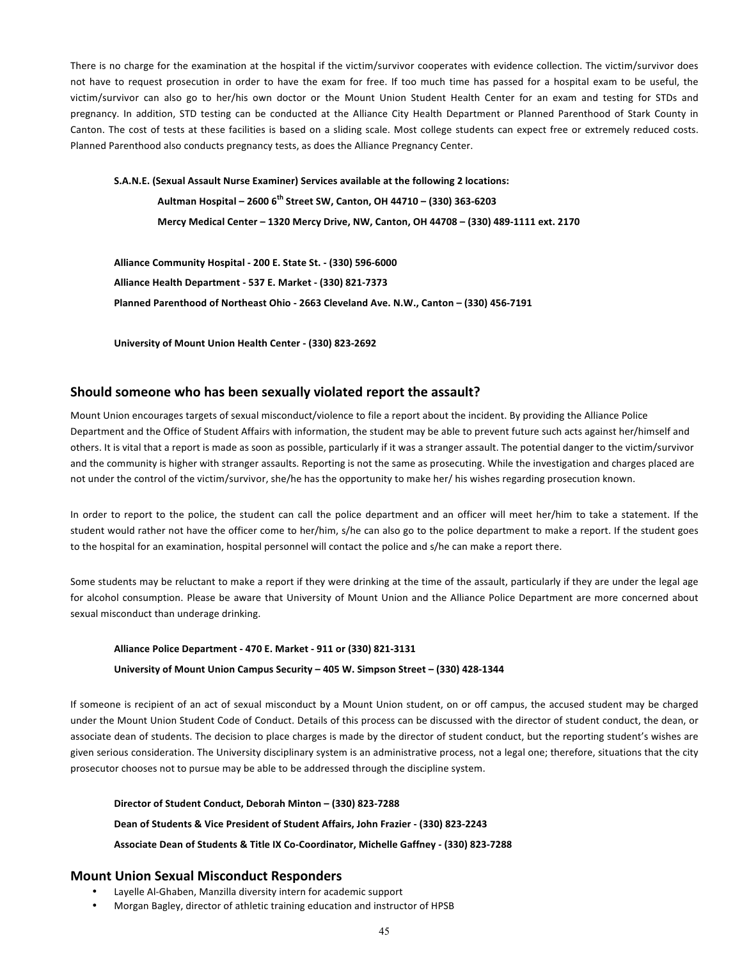There is no charge for the examination at the hospital if the victim/survivor cooperates with evidence collection. The victim/survivor does not have to request prosecution in order to have the exam for free. If too much time has passed for a hospital exam to be useful, the victim/survivor can also go to her/his own doctor or the Mount Union Student Health Center for an exam and testing for STDs and pregnancy. In addition, STD testing can be conducted at the Alliance City Health Department or Planned Parenthood of Stark County in Canton. The cost of tests at these facilities is based on a sliding scale. Most college students can expect free or extremely reduced costs. Planned Parenthood also conducts pregnancy tests, as does the Alliance Pregnancy Center.

**S.A.N.E. (Sexual Assault Nurse Examiner) Services available at the following 2 locations: Aultman Hospital – 2600 6th Street SW, Canton, OH 44710 – (330) 363-6203 Mercy Medical Center – 1320 Mercy Drive, NW, Canton, OH 44708 – (330) 489-1111 ext. 2170**

**Alliance Community Hospital - 200 E. State St. - (330) 596-6000 Alliance Health Department - 537 E. Market - (330) 821-7373 Planned Parenthood of Northeast Ohio - 2663 Cleveland Ave. N.W., Canton – (330) 456-7191**

**University of Mount Union Health Center - (330) 823-2692**

# Should someone who has been sexually violated report the assault?

Mount Union encourages targets of sexual misconduct/violence to file a report about the incident. By providing the Alliance Police Department and the Office of Student Affairs with information, the student may be able to prevent future such acts against her/himself and others. It is vital that a report is made as soon as possible, particularly if it was a stranger assault. The potential danger to the victim/survivor and the community is higher with stranger assaults. Reporting is not the same as prosecuting. While the investigation and charges placed are not under the control of the victim/survivor, she/he has the opportunity to make her/ his wishes regarding prosecution known.

In order to report to the police, the student can call the police department and an officer will meet her/him to take a statement. If the student would rather not have the officer come to her/him, s/he can also go to the police department to make a report. If the student goes to the hospital for an examination, hospital personnel will contact the police and s/he can make a report there.

Some students may be reluctant to make a report if they were drinking at the time of the assault, particularly if they are under the legal age for alcohol consumption. Please be aware that University of Mount Union and the Alliance Police Department are more concerned about sexual misconduct than underage drinking.

### **Alliance Police Department - 470 E. Market - 911 or (330) 821-3131**

#### **University of Mount Union Campus Security – 405 W. Simpson Street – (330) 428-1344**

If someone is recipient of an act of sexual misconduct by a Mount Union student, on or off campus, the accused student may be charged under the Mount Union Student Code of Conduct. Details of this process can be discussed with the director of student conduct, the dean, or associate dean of students. The decision to place charges is made by the director of student conduct, but the reporting student's wishes are given serious consideration. The University disciplinary system is an administrative process, not a legal one; therefore, situations that the city prosecutor chooses not to pursue may be able to be addressed through the discipline system.

**Director of Student Conduct, Deborah Minton – (330) 823-7288**

**Dean of Students & Vice President of Student Affairs, John Frazier - (330) 823-2243**

**Associate Dean of Students & Title IX Co-Coordinator, Michelle Gaffney - (330) 823-7288**

# **Mount Union Sexual Misconduct Responders**

- Layelle Al-Ghaben, Manzilla diversity intern for academic support
- Morgan Bagley, director of athletic training education and instructor of HPSB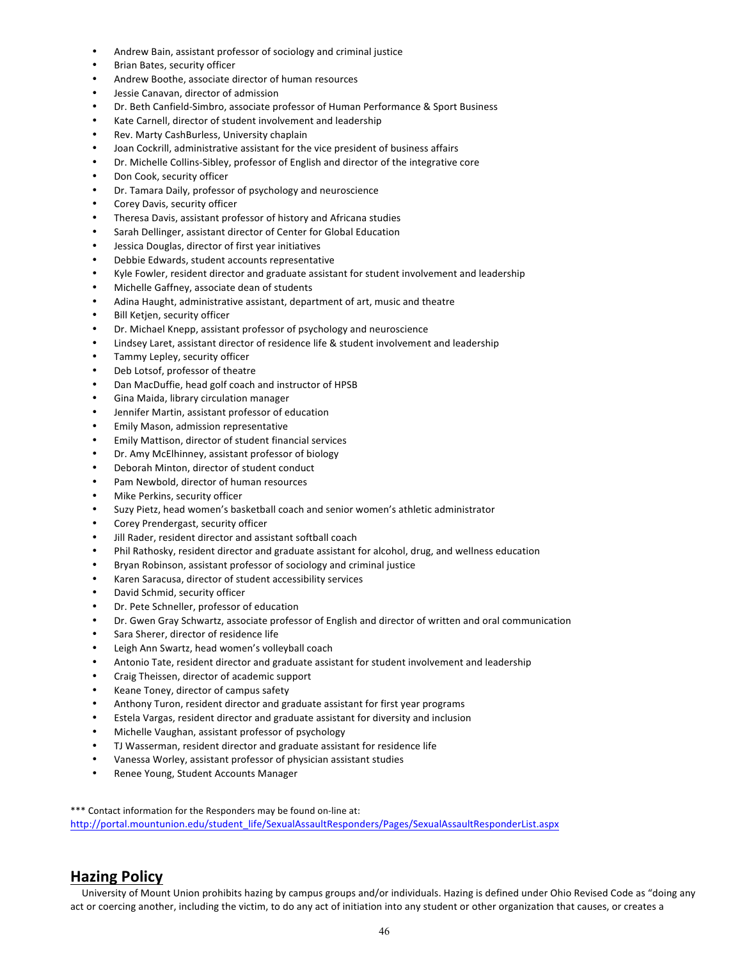- Andrew Bain, assistant professor of sociology and criminal justice
- Brian Bates, security officer
- Andrew Boothe, associate director of human resources
- Jessie Canavan, director of admission
- Dr. Beth Canfield-Simbro, associate professor of Human Performance & Sport Business
- Kate Carnell, director of student involvement and leadership
- Rev. Marty CashBurless, University chaplain
- Joan Cockrill, administrative assistant for the vice president of business affairs
- Dr. Michelle Collins-Sibley, professor of English and director of the integrative core
- Don Cook, security officer
- Dr. Tamara Daily, professor of psychology and neuroscience
- Corey Davis, security officer
- Theresa Davis, assistant professor of history and Africana studies
- Sarah Dellinger, assistant director of Center for Global Education
- Jessica Douglas, director of first year initiatives
- Debbie Edwards, student accounts representative
- Kyle Fowler, resident director and graduate assistant for student involvement and leadership
- Michelle Gaffney, associate dean of students
- Adina Haught, administrative assistant, department of art, music and theatre
- Bill Ketjen, security officer
- Dr. Michael Knepp, assistant professor of psychology and neuroscience
- Lindsey Laret, assistant director of residence life & student involvement and leadership
- Tammy Lepley, security officer
- Deb Lotsof, professor of theatre
- Dan MacDuffie, head golf coach and instructor of HPSB
- Gina Maida, library circulation manager
- Jennifer Martin, assistant professor of education
- Emily Mason, admission representative
- Emily Mattison, director of student financial services
- Dr. Amy McElhinney, assistant professor of biology
- Deborah Minton, director of student conduct
- Pam Newbold, director of human resources
- Mike Perkins, security officer
- Suzy Pietz, head women's basketball coach and senior women's athletic administrator
- Corey Prendergast, security officer
- Jill Rader, resident director and assistant softball coach
- Phil Rathosky, resident director and graduate assistant for alcohol, drug, and wellness education
- Bryan Robinson, assistant professor of sociology and criminal justice
- Karen Saracusa, director of student accessibility services
- David Schmid, security officer
- Dr. Pete Schneller, professor of education
- Dr. Gwen Gray Schwartz, associate professor of English and director of written and oral communication
- Sara Sherer, director of residence life
- Leigh Ann Swartz, head women's volleyball coach
- Antonio Tate, resident director and graduate assistant for student involvement and leadership
- Craig Theissen, director of academic support
- Keane Toney, director of campus safety
- Anthony Turon, resident director and graduate assistant for first year programs
- Estela Vargas, resident director and graduate assistant for diversity and inclusion
- Michelle Vaughan, assistant professor of psychology
- TJ Wasserman, resident director and graduate assistant for residence life
- Vanessa Worley, assistant professor of physician assistant studies
- Renee Young, Student Accounts Manager

\*\*\* Contact information for the Responders may be found on-line at: http://portal.mountunion.edu/student\_life/SexualAssaultResponders/Pages/SexualAssaultResponderList.aspx

# **Hazing Policy**

University of Mount Union prohibits hazing by campus groups and/or individuals. Hazing is defined under Ohio Revised Code as "doing any act or coercing another, including the victim, to do any act of initiation into any student or other organization that causes, or creates a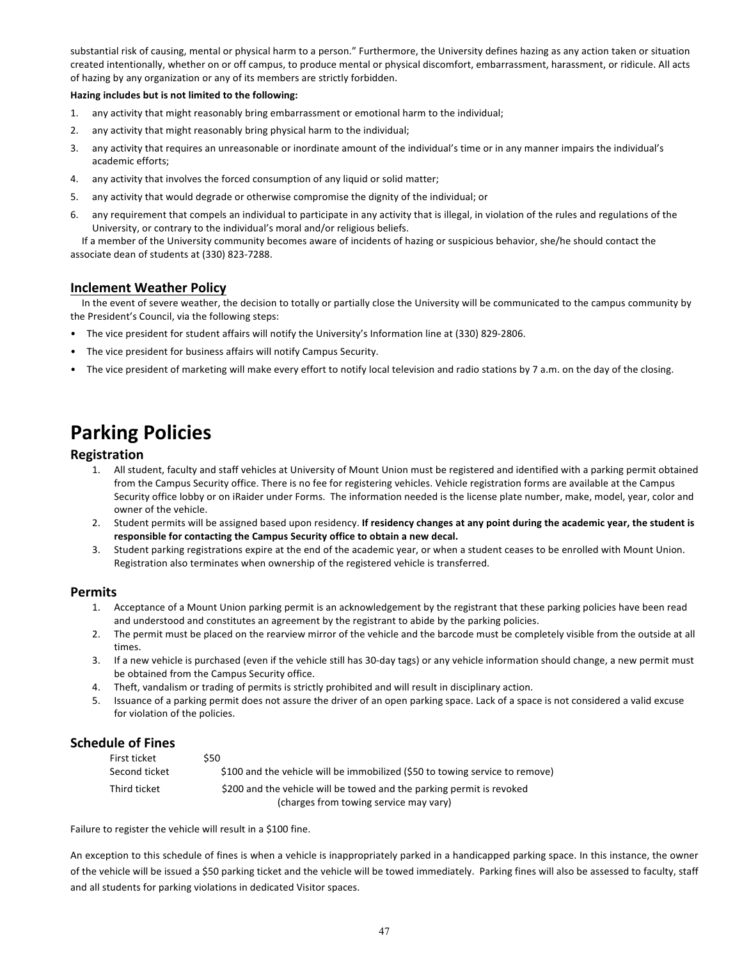substantial risk of causing, mental or physical harm to a person." Furthermore, the University defines hazing as any action taken or situation created intentionally, whether on or off campus, to produce mental or physical discomfort, embarrassment, harassment, or ridicule. All acts of hazing by any organization or any of its members are strictly forbidden.

## **Hazing includes but is not limited to the following:**

- 1. any activity that might reasonably bring embarrassment or emotional harm to the individual;
- 2. any activity that might reasonably bring physical harm to the individual;
- 3. any activity that requires an unreasonable or inordinate amount of the individual's time or in any manner impairs the individual's academic efforts;
- 4. any activity that involves the forced consumption of any liquid or solid matter;
- 5. any activity that would degrade or otherwise compromise the dignity of the individual; or
- 6. any requirement that compels an individual to participate in any activity that is illegal, in violation of the rules and regulations of the University, or contrary to the individual's moral and/or religious beliefs.

If a member of the University community becomes aware of incidents of hazing or suspicious behavior, she/he should contact the associate dean of students at (330) 823-7288.

# **Inclement Weather Policy**

In the event of severe weather, the decision to totally or partially close the University will be communicated to the campus community by the President's Council, via the following steps:

- The vice president for student affairs will notify the University's Information line at (330) 829-2806.
- The vice president for business affairs will notify Campus Security.
- The vice president of marketing will make every effort to notify local television and radio stations by 7 a.m. on the day of the closing.

# **Parking Policies**

# **Registration**

- 1. All student, faculty and staff vehicles at University of Mount Union must be registered and identified with a parking permit obtained from the Campus Security office. There is no fee for registering vehicles. Vehicle registration forms are available at the Campus Security office lobby or on iRaider under Forms. The information needed is the license plate number, make, model, year, color and owner of the vehicle.
- 2. Student permits will be assigned based upon residency. If residency changes at any point during the academic year, the student is responsible for contacting the Campus Security office to obtain a new decal.
- 3. Student parking registrations expire at the end of the academic year, or when a student ceases to be enrolled with Mount Union. Registration also terminates when ownership of the registered vehicle is transferred.

# **Permits**

- 1. Acceptance of a Mount Union parking permit is an acknowledgement by the registrant that these parking policies have been read and understood and constitutes an agreement by the registrant to abide by the parking policies.
- 2. The permit must be placed on the rearview mirror of the vehicle and the barcode must be completely visible from the outside at all times.
- 3. If a new vehicle is purchased (even if the vehicle still has 30-day tags) or any vehicle information should change, a new permit must be obtained from the Campus Security office.
- 4. Theft, vandalism or trading of permits is strictly prohibited and will result in disciplinary action.
- 5. Issuance of a parking permit does not assure the driver of an open parking space. Lack of a space is not considered a valid excuse for violation of the policies.

# **Schedule of Fines**

| First ticket  | S50                                                                          |
|---------------|------------------------------------------------------------------------------|
| Second ticket | \$100 and the vehicle will be immobilized (\$50 to towing service to remove) |
| Third ticket  | \$200 and the vehicle will be towed and the parking permit is revoked        |
|               | (charges from towing service may vary)                                       |

Failure to register the vehicle will result in a \$100 fine.

An exception to this schedule of fines is when a vehicle is inappropriately parked in a handicapped parking space. In this instance, the owner of the vehicle will be issued a \$50 parking ticket and the vehicle will be towed immediately. Parking fines will also be assessed to faculty, staff and all students for parking violations in dedicated Visitor spaces.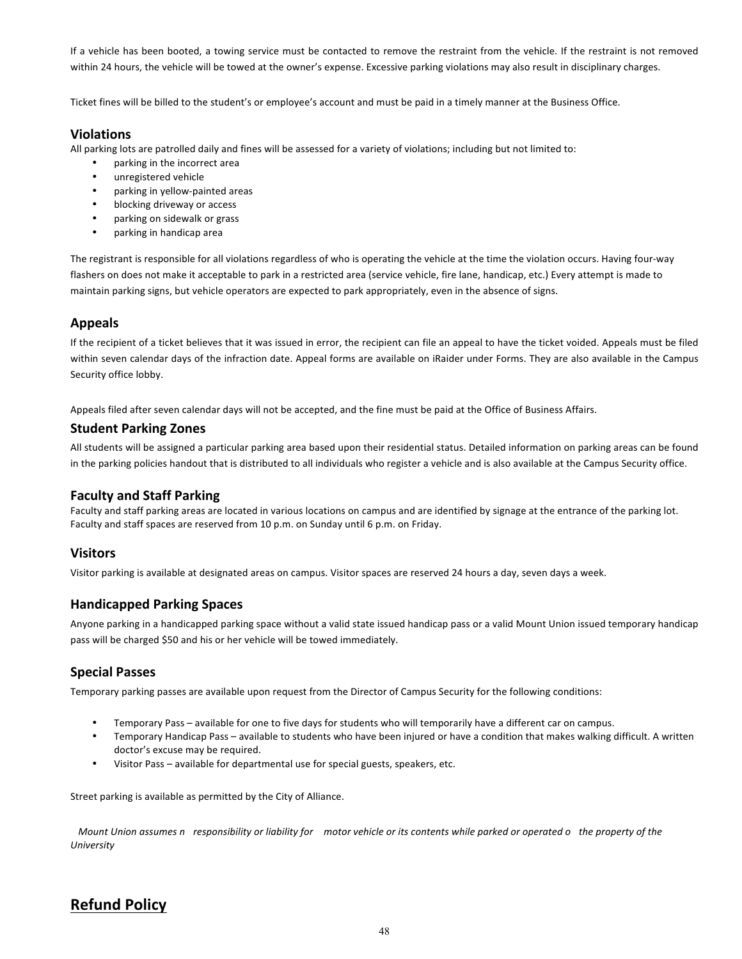If a vehicle has been booted, a towing service must be contacted to remove the restraint from the vehicle. If the restraint is not removed within 24 hours, the vehicle will be towed at the owner's expense. Excessive parking violations may also result in disciplinary charges.

Ticket fines will be billed to the student's or employee's account and must be paid in a timely manner at the Business Office.

# **Violations**

All parking lots are patrolled daily and fines will be assessed for a variety of violations; including but not limited to:

- parking in the incorrect area
- unregistered vehicle
- parking in yellow-painted areas
- blocking driveway or access
- parking on sidewalk or grass
- parking in handicap area

The registrant is responsible for all violations regardless of who is operating the vehicle at the time the violation occurs. Having four-way flashers on does not make it acceptable to park in a restricted area (service vehicle, fire lane, handicap, etc.) Every attempt is made to maintain parking signs, but vehicle operators are expected to park appropriately, even in the absence of signs.

# **Appeals**

If the recipient of a ticket believes that it was issued in error, the recipient can file an appeal to have the ticket voided. Appeals must be filed within seven calendar days of the infraction date. Appeal forms are available on iRaider under Forms. They are also available in the Campus Security office lobby.

Appeals filed after seven calendar days will not be accepted, and the fine must be paid at the Office of Business Affairs.

# **Student Parking Zones**

All students will be assigned a particular parking area based upon their residential status. Detailed information on parking areas can be found in the parking policies handout that is distributed to all individuals who register a vehicle and is also available at the Campus Security office.

# **Faculty and Staff Parking**

Faculty and staff parking areas are located in various locations on campus and are identified by signage at the entrance of the parking lot. Faculty and staff spaces are reserved from 10 p.m. on Sunday until 6 p.m. on Friday.

# **Visitors**

Visitor parking is available at designated areas on campus. Visitor spaces are reserved 24 hours a day, seven days a week.

# **Handicapped Parking Spaces**

Anyone parking in a handicapped parking space without a valid state issued handicap pass or a valid Mount Union issued temporary handicap pass will be charged \$50 and his or her vehicle will be towed immediately.

# **Special Passes**

Temporary parking passes are available upon request from the Director of Campus Security for the following conditions:

- Temporary Pass available for one to five days for students who will temporarily have a different car on campus.
- Temporary Handicap Pass available to students who have been injured or have a condition that makes walking difficult. A written doctor's excuse may be required.
- Visitor Pass available for departmental use for special guests, speakers, etc.

Street parking is available as permitted by the City of Alliance.

*Mount Union assumes n responsibility or liability for motor vehicle or its contents while parked or operated o the property of the University*

# **Refund Policy**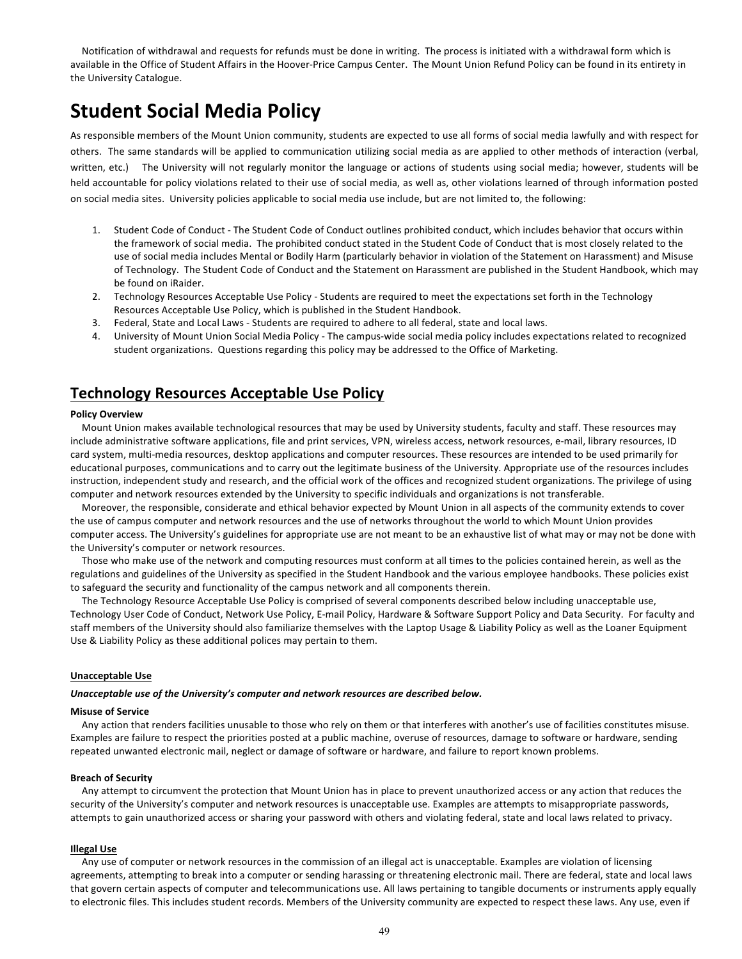Notification of withdrawal and requests for refunds must be done in writing. The process is initiated with a withdrawal form which is available in the Office of Student Affairs in the Hoover-Price Campus Center. The Mount Union Refund Policy can be found in its entirety in the University Catalogue.

# **Student Social Media Policy**

As responsible members of the Mount Union community, students are expected to use all forms of social media lawfully and with respect for others. The same standards will be applied to communication utilizing social media as are applied to other methods of interaction (verbal, written, etc.) The University will not regularly monitor the language or actions of students using social media; however, students will be held accountable for policy violations related to their use of social media, as well as, other violations learned of through information posted on social media sites. University policies applicable to social media use include, but are not limited to, the following:

- 1. Student Code of Conduct The Student Code of Conduct outlines prohibited conduct, which includes behavior that occurs within the framework of social media. The prohibited conduct stated in the Student Code of Conduct that is most closely related to the use of social media includes Mental or Bodily Harm (particularly behavior in violation of the Statement on Harassment) and Misuse of Technology. The Student Code of Conduct and the Statement on Harassment are published in the Student Handbook, which may be found on iRaider.
- 2. Technology Resources Acceptable Use Policy Students are required to meet the expectations set forth in the Technology Resources Acceptable Use Policy, which is published in the Student Handbook.
- 3. Federal, State and Local Laws Students are required to adhere to all federal, state and local laws.
- 4. University of Mount Union Social Media Policy The campus-wide social media policy includes expectations related to recognized student organizations. Questions regarding this policy may be addressed to the Office of Marketing.

# **Technology Resources Acceptable Use Policy**

#### **Policy Overview**

Mount Union makes available technological resources that may be used by University students, faculty and staff. These resources may include administrative software applications, file and print services, VPN, wireless access, network resources, e-mail, library resources, ID card system, multi-media resources, desktop applications and computer resources. These resources are intended to be used primarily for educational purposes, communications and to carry out the legitimate business of the University. Appropriate use of the resources includes instruction, independent study and research, and the official work of the offices and recognized student organizations. The privilege of using computer and network resources extended by the University to specific individuals and organizations is not transferable.

Moreover, the responsible, considerate and ethical behavior expected by Mount Union in all aspects of the community extends to cover the use of campus computer and network resources and the use of networks throughout the world to which Mount Union provides computer access. The University's guidelines for appropriate use are not meant to be an exhaustive list of what may or may not be done with the University's computer or network resources.

Those who make use of the network and computing resources must conform at all times to the policies contained herein, as well as the regulations and guidelines of the University as specified in the Student Handbook and the various employee handbooks. These policies exist to safeguard the security and functionality of the campus network and all components therein.

The Technology Resource Acceptable Use Policy is comprised of several components described below including unacceptable use, Technology User Code of Conduct, Network Use Policy, E-mail Policy, Hardware & Software Support Policy and Data Security. For faculty and staff members of the University should also familiarize themselves with the Laptop Usage & Liability Policy as well as the Loaner Equipment Use & Liability Policy as these additional polices may pertain to them.

#### **Unacceptable Use**

#### *Unacceptable use of the University's computer and network resources are described below.*

#### **Misuse of Service**

Any action that renders facilities unusable to those who rely on them or that interferes with another's use of facilities constitutes misuse. Examples are failure to respect the priorities posted at a public machine, overuse of resources, damage to software or hardware, sending repeated unwanted electronic mail, neglect or damage of software or hardware, and failure to report known problems.

#### **Breach of Security**

Any attempt to circumvent the protection that Mount Union has in place to prevent unauthorized access or any action that reduces the security of the University's computer and network resources is unacceptable use. Examples are attempts to misappropriate passwords, attempts to gain unauthorized access or sharing your password with others and violating federal, state and local laws related to privacy.

#### **Illegal Use**

Any use of computer or network resources in the commission of an illegal act is unacceptable. Examples are violation of licensing agreements, attempting to break into a computer or sending harassing or threatening electronic mail. There are federal, state and local laws that govern certain aspects of computer and telecommunications use. All laws pertaining to tangible documents or instruments apply equally to electronic files. This includes student records. Members of the University community are expected to respect these laws. Any use, even if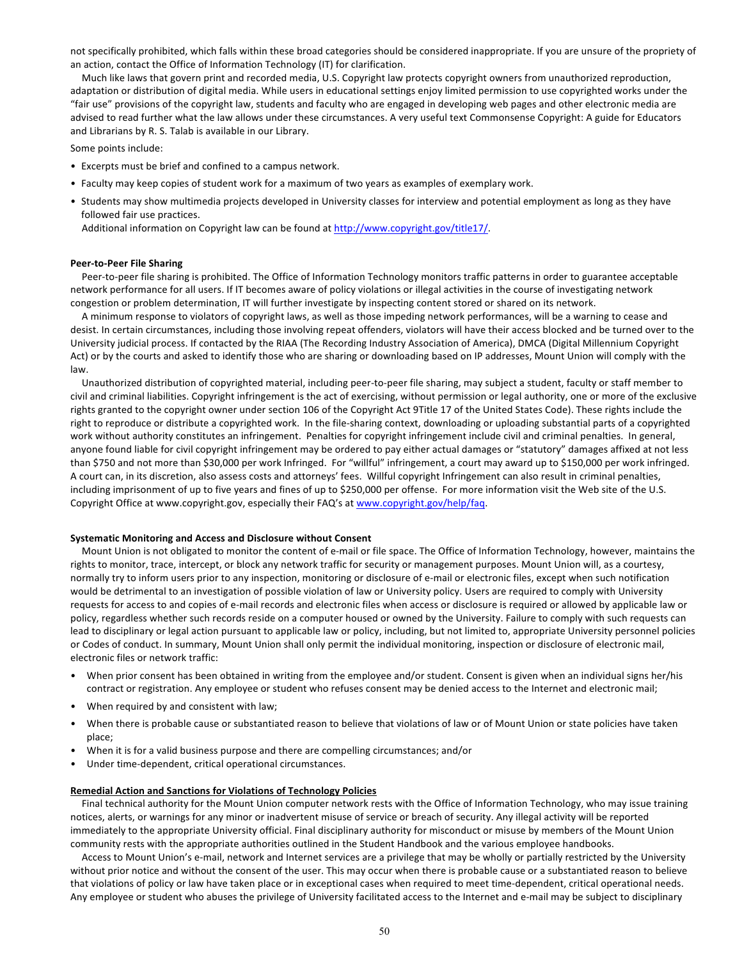not specifically prohibited, which falls within these broad categories should be considered inappropriate. If you are unsure of the propriety of an action, contact the Office of Information Technology (IT) for clarification.

Much like laws that govern print and recorded media, U.S. Copyright law protects copyright owners from unauthorized reproduction, adaptation or distribution of digital media. While users in educational settings enjoy limited permission to use copyrighted works under the "fair use" provisions of the copyright law, students and faculty who are engaged in developing web pages and other electronic media are advised to read further what the law allows under these circumstances. A very useful text Commonsense Copyright: A guide for Educators and Librarians by R. S. Talab is available in our Library.

Some points include:

- Excerpts must be brief and confined to a campus network.
- Faculty may keep copies of student work for a maximum of two years as examples of exemplary work.
- Students may show multimedia projects developed in University classes for interview and potential employment as long as they have followed fair use practices.

Additional information on Copyright law can be found at http://www.copyright.gov/title17/.

#### **Peer-to-Peer File Sharing**

Peer-to-peer file sharing is prohibited. The Office of Information Technology monitors traffic patterns in order to guarantee acceptable network performance for all users. If IT becomes aware of policy violations or illegal activities in the course of investigating network congestion or problem determination, IT will further investigate by inspecting content stored or shared on its network.

A minimum response to violators of copyright laws, as well as those impeding network performances, will be a warning to cease and desist. In certain circumstances, including those involving repeat offenders, violators will have their access blocked and be turned over to the University judicial process. If contacted by the RIAA (The Recording Industry Association of America), DMCA (Digital Millennium Copyright Act) or by the courts and asked to identify those who are sharing or downloading based on IP addresses, Mount Union will comply with the law.

Unauthorized distribution of copyrighted material, including peer-to-peer file sharing, may subject a student, faculty or staff member to civil and criminal liabilities. Copyright infringement is the act of exercising, without permission or legal authority, one or more of the exclusive rights granted to the copyright owner under section 106 of the Copyright Act 9Title 17 of the United States Code). These rights include the right to reproduce or distribute a copyrighted work. In the file-sharing context, downloading or uploading substantial parts of a copyrighted work without authority constitutes an infringement. Penalties for copyright infringement include civil and criminal penalties. In general, anyone found liable for civil copyright infringement may be ordered to pay either actual damages or "statutory" damages affixed at not less than \$750 and not more than \$30,000 per work Infringed. For "willful" infringement, a court may award up to \$150,000 per work infringed. A court can, in its discretion, also assess costs and attorneys' fees. Willful copyright Infringement can also result in criminal penalties, including imprisonment of up to five years and fines of up to \$250,000 per offense. For more information visit the Web site of the U.S. Copyright Office at www.copyright.gov, especially their FAQ's at www.copyright.gov/help/faq.

#### **Systematic Monitoring and Access and Disclosure without Consent**

Mount Union is not obligated to monitor the content of e-mail or file space. The Office of Information Technology, however, maintains the rights to monitor, trace, intercept, or block any network traffic for security or management purposes. Mount Union will, as a courtesy, normally try to inform users prior to any inspection, monitoring or disclosure of e-mail or electronic files, except when such notification would be detrimental to an investigation of possible violation of law or University policy. Users are required to comply with University requests for access to and copies of e-mail records and electronic files when access or disclosure is required or allowed by applicable law or policy, regardless whether such records reside on a computer housed or owned by the University. Failure to comply with such requests can lead to disciplinary or legal action pursuant to applicable law or policy, including, but not limited to, appropriate University personnel policies or Codes of conduct. In summary, Mount Union shall only permit the individual monitoring, inspection or disclosure of electronic mail, electronic files or network traffic:

- When prior consent has been obtained in writing from the employee and/or student. Consent is given when an individual signs her/his contract or registration. Any employee or student who refuses consent may be denied access to the Internet and electronic mail;
- When required by and consistent with law;
- When there is probable cause or substantiated reason to believe that violations of law or of Mount Union or state policies have taken place;
- When it is for a valid business purpose and there are compelling circumstances; and/or
- Under time-dependent, critical operational circumstances.

#### **Remedial Action and Sanctions for Violations of Technology Policies**

Final technical authority for the Mount Union computer network rests with the Office of Information Technology, who may issue training notices, alerts, or warnings for any minor or inadvertent misuse of service or breach of security. Any illegal activity will be reported immediately to the appropriate University official. Final disciplinary authority for misconduct or misuse by members of the Mount Union community rests with the appropriate authorities outlined in the Student Handbook and the various employee handbooks.

Access to Mount Union's e-mail, network and Internet services are a privilege that may be wholly or partially restricted by the University without prior notice and without the consent of the user. This may occur when there is probable cause or a substantiated reason to believe that violations of policy or law have taken place or in exceptional cases when required to meet time-dependent, critical operational needs. Any employee or student who abuses the privilege of University facilitated access to the Internet and e-mail may be subject to disciplinary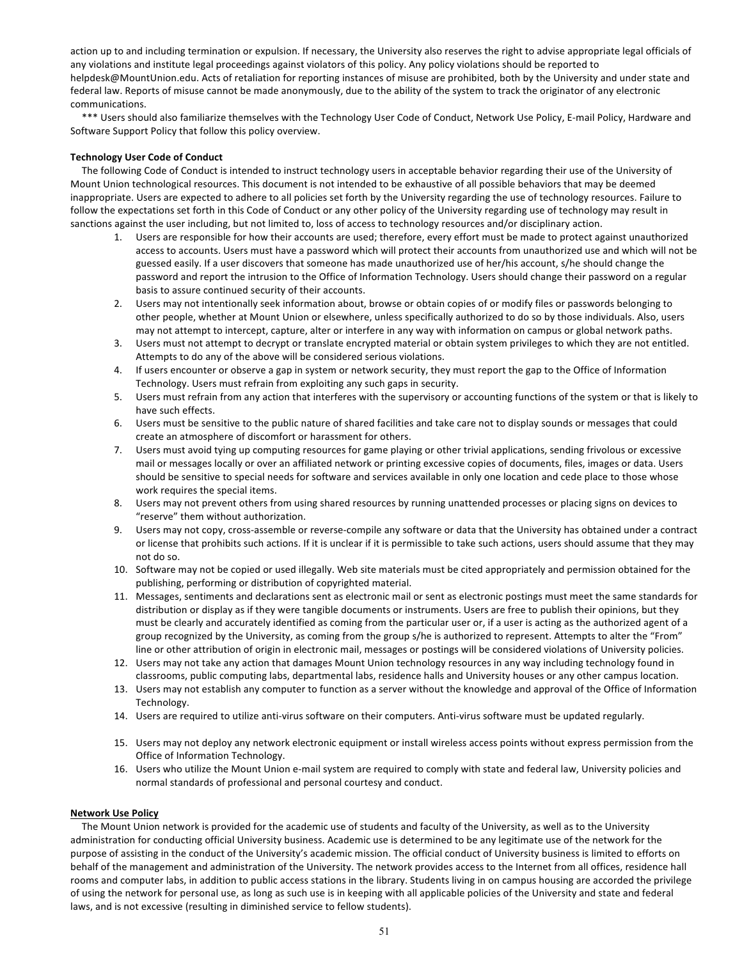action up to and including termination or expulsion. If necessary, the University also reserves the right to advise appropriate legal officials of any violations and institute legal proceedings against violators of this policy. Any policy violations should be reported to helpdesk@MountUnion.edu. Acts of retaliation for reporting instances of misuse are prohibited, both by the University and under state and federal law. Reports of misuse cannot be made anonymously, due to the ability of the system to track the originator of any electronic communications.

\*\*\* Users should also familiarize themselves with the Technology User Code of Conduct, Network Use Policy, E-mail Policy, Hardware and Software Support Policy that follow this policy overview.

## **Technology User Code of Conduct**

The following Code of Conduct is intended to instruct technology users in acceptable behavior regarding their use of the University of Mount Union technological resources. This document is not intended to be exhaustive of all possible behaviors that may be deemed inappropriate. Users are expected to adhere to all policies set forth by the University regarding the use of technology resources. Failure to follow the expectations set forth in this Code of Conduct or any other policy of the University regarding use of technology may result in sanctions against the user including, but not limited to, loss of access to technology resources and/or disciplinary action.

- 1. Users are responsible for how their accounts are used; therefore, every effort must be made to protect against unauthorized access to accounts. Users must have a password which will protect their accounts from unauthorized use and which will not be guessed easily. If a user discovers that someone has made unauthorized use of her/his account, s/he should change the password and report the intrusion to the Office of Information Technology. Users should change their password on a regular basis to assure continued security of their accounts.
- 2. Users may not intentionally seek information about, browse or obtain copies of or modify files or passwords belonging to other people, whether at Mount Union or elsewhere, unless specifically authorized to do so by those individuals. Also, users may not attempt to intercept, capture, alter or interfere in any way with information on campus or global network paths.
- 3. Users must not attempt to decrypt or translate encrypted material or obtain system privileges to which they are not entitled. Attempts to do any of the above will be considered serious violations.
- 4. If users encounter or observe a gap in system or network security, they must report the gap to the Office of Information Technology. Users must refrain from exploiting any such gaps in security.
- 5. Users must refrain from any action that interferes with the supervisory or accounting functions of the system or that is likely to have such effects.
- 6. Users must be sensitive to the public nature of shared facilities and take care not to display sounds or messages that could create an atmosphere of discomfort or harassment for others.
- 7. Users must avoid tying up computing resources for game playing or other trivial applications, sending frivolous or excessive mail or messages locally or over an affiliated network or printing excessive copies of documents, files, images or data. Users should be sensitive to special needs for software and services available in only one location and cede place to those whose work requires the special items.
- 8. Users may not prevent others from using shared resources by running unattended processes or placing signs on devices to "reserve" them without authorization.
- 9. Users may not copy, cross-assemble or reverse-compile any software or data that the University has obtained under a contract or license that prohibits such actions. If it is unclear if it is permissible to take such actions, users should assume that they may not do so.
- 10. Software may not be copied or used illegally. Web site materials must be cited appropriately and permission obtained for the publishing, performing or distribution of copyrighted material.
- 11. Messages, sentiments and declarations sent as electronic mail or sent as electronic postings must meet the same standards for distribution or display as if they were tangible documents or instruments. Users are free to publish their opinions, but they must be clearly and accurately identified as coming from the particular user or, if a user is acting as the authorized agent of a group recognized by the University, as coming from the group s/he is authorized to represent. Attempts to alter the "From" line or other attribution of origin in electronic mail, messages or postings will be considered violations of University policies.
- 12. Users may not take any action that damages Mount Union technology resources in any way including technology found in classrooms, public computing labs, departmental labs, residence halls and University houses or any other campus location.
- 13. Users may not establish any computer to function as a server without the knowledge and approval of the Office of Information Technology.
- 14. Users are required to utilize anti-virus software on their computers. Anti-virus software must be updated regularly.
- 15. Users may not deploy any network electronic equipment or install wireless access points without express permission from the Office of Information Technology.
- 16. Users who utilize the Mount Union e-mail system are required to comply with state and federal law, University policies and normal standards of professional and personal courtesy and conduct.

### **Network Use Policy**

The Mount Union network is provided for the academic use of students and faculty of the University, as well as to the University administration for conducting official University business. Academic use is determined to be any legitimate use of the network for the purpose of assisting in the conduct of the University's academic mission. The official conduct of University business is limited to efforts on behalf of the management and administration of the University. The network provides access to the Internet from all offices, residence hall rooms and computer labs, in addition to public access stations in the library. Students living in on campus housing are accorded the privilege of using the network for personal use, as long as such use is in keeping with all applicable policies of the University and state and federal laws, and is not excessive (resulting in diminished service to fellow students).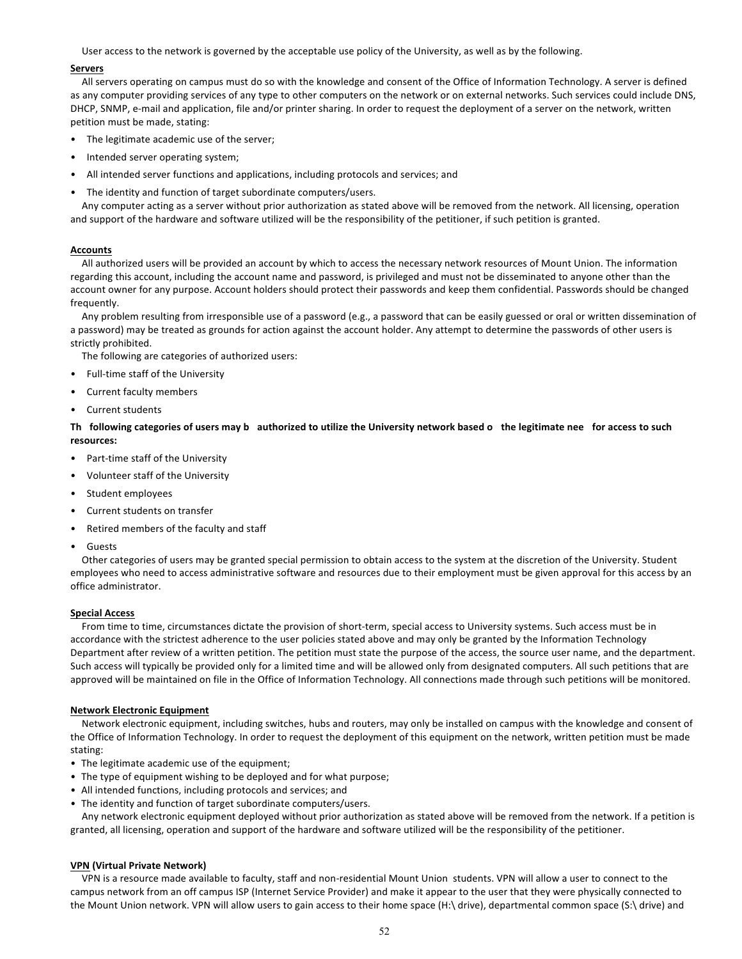User access to the network is governed by the acceptable use policy of the University, as well as by the following.

#### **Servers**

All servers operating on campus must do so with the knowledge and consent of the Office of Information Technology. A server is defined as any computer providing services of any type to other computers on the network or on external networks. Such services could include DNS, DHCP, SNMP, e-mail and application, file and/or printer sharing. In order to request the deployment of a server on the network, written petition must be made, stating:

- The legitimate academic use of the server;
- Intended server operating system;
- All intended server functions and applications, including protocols and services; and
- The identity and function of target subordinate computers/users.

Any computer acting as a server without prior authorization as stated above will be removed from the network. All licensing, operation and support of the hardware and software utilized will be the responsibility of the petitioner, if such petition is granted.

## **Accounts**

All authorized users will be provided an account by which to access the necessary network resources of Mount Union. The information regarding this account, including the account name and password, is privileged and must not be disseminated to anyone other than the account owner for any purpose. Account holders should protect their passwords and keep them confidential. Passwords should be changed frequently.

Any problem resulting from irresponsible use of a password (e.g., a password that can be easily guessed or oral or written dissemination of a password) may be treated as grounds for action against the account holder. Any attempt to determine the passwords of other users is strictly prohibited.

The following are categories of authorized users:

- Full-time staff of the University
- Current faculty members
- Current students

Th following categories of users may b authorized to utilize the University network based o the legitimate nee for access to such **resources:**

- Part-time staff of the University
- Volunteer staff of the University
- Student employees
- Current students on transfer
- Retired members of the faculty and staff
- Guests

Other categories of users may be granted special permission to obtain access to the system at the discretion of the University. Student employees who need to access administrative software and resources due to their employment must be given approval for this access by an office administrator.

## **Special Access**

From time to time, circumstances dictate the provision of short-term, special access to University systems. Such access must be in accordance with the strictest adherence to the user policies stated above and may only be granted by the Information Technology Department after review of a written petition. The petition must state the purpose of the access, the source user name, and the department. Such access will typically be provided only for a limited time and will be allowed only from designated computers. All such petitions that are approved will be maintained on file in the Office of Information Technology. All connections made through such petitions will be monitored.

#### **Network Electronic Equipment**

Network electronic equipment, including switches, hubs and routers, may only be installed on campus with the knowledge and consent of the Office of Information Technology. In order to request the deployment of this equipment on the network, written petition must be made stating:

- The legitimate academic use of the equipment;
- The type of equipment wishing to be deployed and for what purpose;
- All intended functions, including protocols and services; and
- The identity and function of target subordinate computers/users.

Any network electronic equipment deployed without prior authorization as stated above will be removed from the network. If a petition is granted, all licensing, operation and support of the hardware and software utilized will be the responsibility of the petitioner.

#### **VPN (Virtual Private Network)**

VPN is a resource made available to faculty, staff and non-residential Mount Union students. VPN will allow a user to connect to the campus network from an off campus ISP (Internet Service Provider) and make it appear to the user that they were physically connected to the Mount Union network. VPN will allow users to gain access to their home space (H:\ drive), departmental common space (S:\ drive) and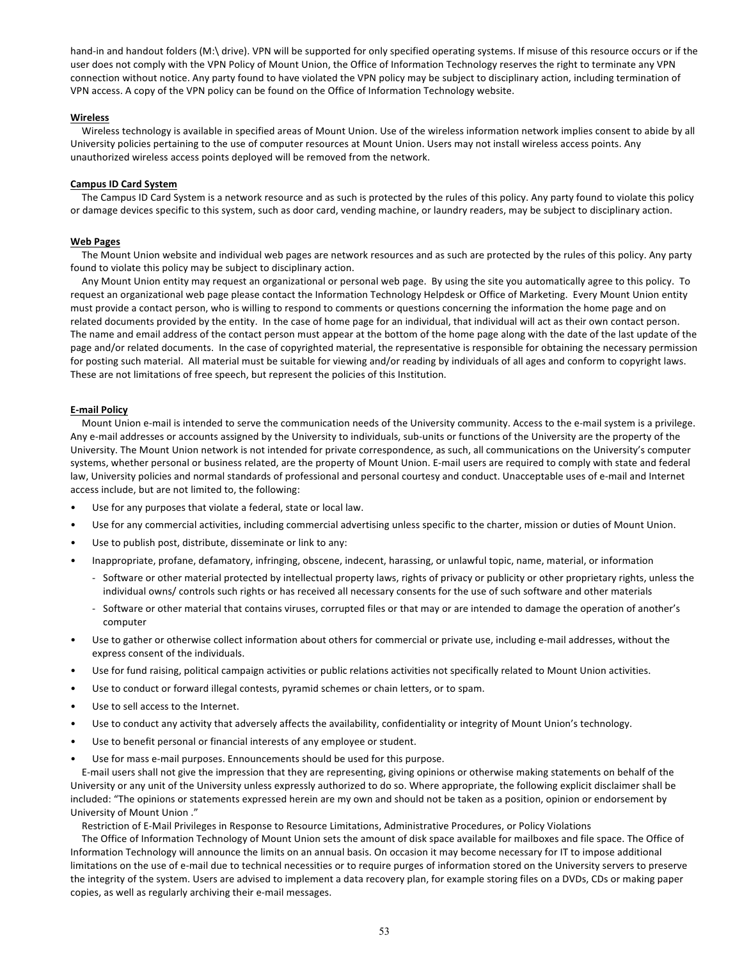hand-in and handout folders (M:\ drive). VPN will be supported for only specified operating systems. If misuse of this resource occurs or if the user does not comply with the VPN Policy of Mount Union, the Office of Information Technology reserves the right to terminate any VPN connection without notice. Any party found to have violated the VPN policy may be subject to disciplinary action, including termination of VPN access. A copy of the VPN policy can be found on the Office of Information Technology website.

## **Wireless**

Wireless technology is available in specified areas of Mount Union. Use of the wireless information network implies consent to abide by all University policies pertaining to the use of computer resources at Mount Union. Users may not install wireless access points. Any unauthorized wireless access points deployed will be removed from the network.

## **Campus ID Card System**

The Campus ID Card System is a network resource and as such is protected by the rules of this policy. Any party found to violate this policy or damage devices specific to this system, such as door card, vending machine, or laundry readers, may be subject to disciplinary action.

## **Web Pages**

The Mount Union website and individual web pages are network resources and as such are protected by the rules of this policy. Any party found to violate this policy may be subject to disciplinary action.

Any Mount Union entity may request an organizational or personal web page. By using the site you automatically agree to this policy. To request an organizational web page please contact the Information Technology Helpdesk or Office of Marketing. Every Mount Union entity must provide a contact person, who is willing to respond to comments or questions concerning the information the home page and on related documents provided by the entity. In the case of home page for an individual, that individual will act as their own contact person. The name and email address of the contact person must appear at the bottom of the home page along with the date of the last update of the page and/or related documents. In the case of copyrighted material, the representative is responsible for obtaining the necessary permission for posting such material. All material must be suitable for viewing and/or reading by individuals of all ages and conform to copyright laws. These are not limitations of free speech, but represent the policies of this Institution.

## **E-mail Policy**

Mount Union e-mail is intended to serve the communication needs of the University community. Access to the e-mail system is a privilege. Any e-mail addresses or accounts assigned by the University to individuals, sub-units or functions of the University are the property of the University. The Mount Union network is not intended for private correspondence, as such, all communications on the University's computer systems, whether personal or business related, are the property of Mount Union. E-mail users are required to comply with state and federal law, University policies and normal standards of professional and personal courtesy and conduct. Unacceptable uses of e-mail and Internet access include, but are not limited to, the following:

- Use for any purposes that violate a federal, state or local law.
- Use for any commercial activities, including commercial advertising unless specific to the charter, mission or duties of Mount Union.
- Use to publish post, distribute, disseminate or link to any:
- Inappropriate, profane, defamatory, infringing, obscene, indecent, harassing, or unlawful topic, name, material, or information
	- Software or other material protected by intellectual property laws, rights of privacy or publicity or other proprietary rights, unless the individual owns/ controls such rights or has received all necessary consents for the use of such software and other materials
	- Software or other material that contains viruses, corrupted files or that may or are intended to damage the operation of another's computer
- Use to gather or otherwise collect information about others for commercial or private use, including e-mail addresses, without the express consent of the individuals.
- Use for fund raising, political campaign activities or public relations activities not specifically related to Mount Union activities.
- Use to conduct or forward illegal contests, pyramid schemes or chain letters, or to spam.
- Use to sell access to the Internet.
- Use to conduct any activity that adversely affects the availability, confidentiality or integrity of Mount Union's technology.
- Use to benefit personal or financial interests of any employee or student.
- Use for mass e-mail purposes. Ennouncements should be used for this purpose.

E-mail users shall not give the impression that they are representing, giving opinions or otherwise making statements on behalf of the University or any unit of the University unless expressly authorized to do so. Where appropriate, the following explicit disclaimer shall be included: "The opinions or statements expressed herein are my own and should not be taken as a position, opinion or endorsement by University of Mount Union ."

Restriction of E-Mail Privileges in Response to Resource Limitations, Administrative Procedures, or Policy Violations

The Office of Information Technology of Mount Union sets the amount of disk space available for mailboxes and file space. The Office of Information Technology will announce the limits on an annual basis. On occasion it may become necessary for IT to impose additional limitations on the use of e-mail due to technical necessities or to require purges of information stored on the University servers to preserve the integrity of the system. Users are advised to implement a data recovery plan, for example storing files on a DVDs, CDs or making paper copies, as well as regularly archiving their e-mail messages.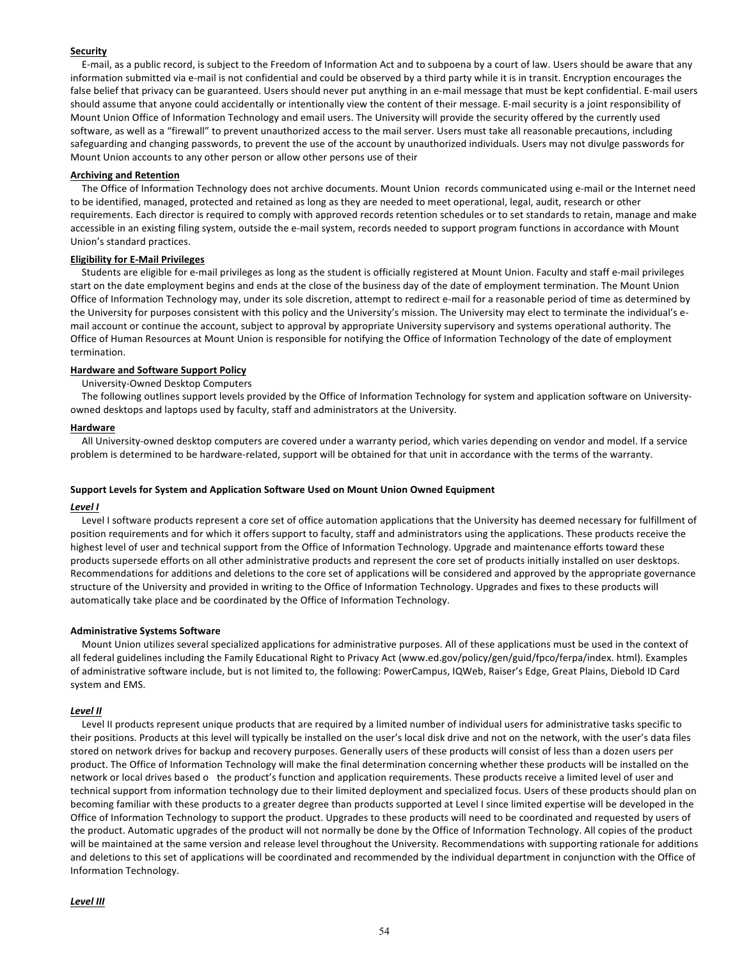## **Security**

E-mail, as a public record, is subject to the Freedom of Information Act and to subpoena by a court of law. Users should be aware that any information submitted via e-mail is not confidential and could be observed by a third party while it is in transit. Encryption encourages the false belief that privacy can be guaranteed. Users should never put anything in an e-mail message that must be kept confidential. E-mail users should assume that anyone could accidentally or intentionally view the content of their message. E-mail security is a joint responsibility of Mount Union Office of Information Technology and email users. The University will provide the security offered by the currently used software, as well as a "firewall" to prevent unauthorized access to the mail server. Users must take all reasonable precautions, including safeguarding and changing passwords, to prevent the use of the account by unauthorized individuals. Users may not divulge passwords for Mount Union accounts to any other person or allow other persons use of their

#### **Archiving and Retention**

The Office of Information Technology does not archive documents. Mount Union records communicated using e-mail or the Internet need to be identified, managed, protected and retained as long as they are needed to meet operational, legal, audit, research or other requirements. Each director is required to comply with approved records retention schedules or to set standards to retain, manage and make accessible in an existing filing system, outside the e-mail system, records needed to support program functions in accordance with Mount Union's standard practices.

#### **Eligibility for E-Mail Privileges**

Students are eligible for e-mail privileges as long as the student is officially registered at Mount Union. Faculty and staff e-mail privileges start on the date employment begins and ends at the close of the business day of the date of employment termination. The Mount Union Office of Information Technology may, under its sole discretion, attempt to redirect e-mail for a reasonable period of time as determined by the University for purposes consistent with this policy and the University's mission. The University may elect to terminate the individual's email account or continue the account, subject to approval by appropriate University supervisory and systems operational authority. The Office of Human Resources at Mount Union is responsible for notifying the Office of Information Technology of the date of employment termination.

### **Hardware and Software Support Policy**

#### University-Owned Desktop Computers

The following outlines support levels provided by the Office of Information Technology for system and application software on Universityowned desktops and laptops used by faculty, staff and administrators at the University.

#### **Hardware**

All University-owned desktop computers are covered under a warranty period, which varies depending on vendor and model. If a service problem is determined to be hardware-related, support will be obtained for that unit in accordance with the terms of the warranty.

#### **Support Levels for System and Application Software Used on Mount Union Owned Equipment**

#### *Level I*

Level I software products represent a core set of office automation applications that the University has deemed necessary for fulfillment of position requirements and for which it offers support to faculty, staff and administrators using the applications. These products receive the highest level of user and technical support from the Office of Information Technology. Upgrade and maintenance efforts toward these products supersede efforts on all other administrative products and represent the core set of products initially installed on user desktops. Recommendations for additions and deletions to the core set of applications will be considered and approved by the appropriate governance structure of the University and provided in writing to the Office of Information Technology. Upgrades and fixes to these products will automatically take place and be coordinated by the Office of Information Technology.

#### **Administrative Systems Software**

Mount Union utilizes several specialized applications for administrative purposes. All of these applications must be used in the context of all federal guidelines including the Family Educational Right to Privacy Act (www.ed.gov/policy/gen/guid/fpco/ferpa/index. html). Examples of administrative software include, but is not limited to, the following: PowerCampus, IQWeb, Raiser's Edge, Great Plains, Diebold ID Card system and EMS.

### *Level II*

Level II products represent unique products that are required by a limited number of individual users for administrative tasks specific to their positions. Products at this level will typically be installed on the user's local disk drive and not on the network, with the user's data files stored on network drives for backup and recovery purposes. Generally users of these products will consist of less than a dozen users per product. The Office of Information Technology will make the final determination concerning whether these products will be installed on the network or local drives based o the product's function and application requirements. These products receive a limited level of user and technical support from information technology due to their limited deployment and specialized focus. Users of these products should plan on becoming familiar with these products to a greater degree than products supported at Level I since limited expertise will be developed in the Office of Information Technology to support the product. Upgrades to these products will need to be coordinated and requested by users of the product. Automatic upgrades of the product will not normally be done by the Office of Information Technology. All copies of the product will be maintained at the same version and release level throughout the University. Recommendations with supporting rationale for additions and deletions to this set of applications will be coordinated and recommended by the individual department in conjunction with the Office of Information Technology.

### *Level III*